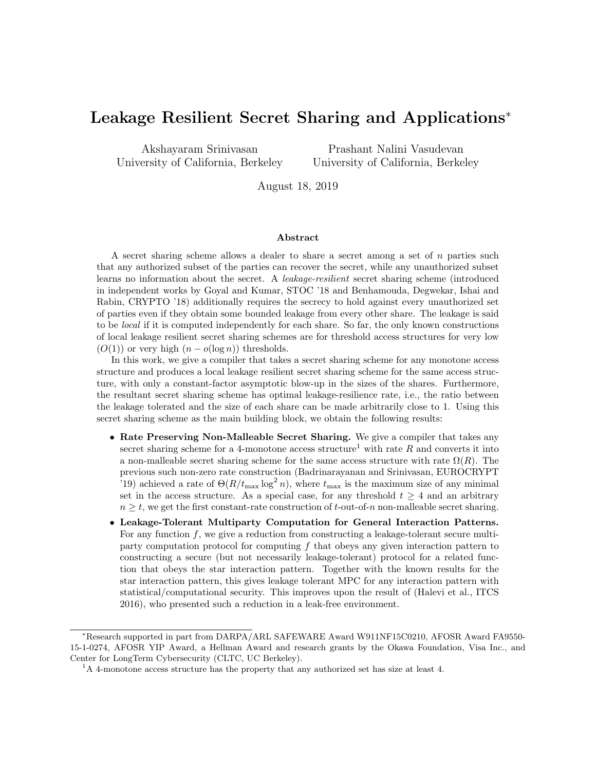## Leakage Resilient Secret Sharing and Applications<sup>∗</sup>

Akshayaram Srinivasan University of California, Berkeley

Prashant Nalini Vasudevan University of California, Berkeley

August 18, 2019

#### Abstract

A secret sharing scheme allows a dealer to share a secret among a set of  $n$  parties such that any authorized subset of the parties can recover the secret, while any unauthorized subset learns no information about the secret. A leakage-resilient secret sharing scheme (introduced in independent works by Goyal and Kumar, STOC '18 and Benhamouda, Degwekar, Ishai and Rabin, CRYPTO '18) additionally requires the secrecy to hold against every unauthorized set of parties even if they obtain some bounded leakage from every other share. The leakage is said to be *local* if it is computed independently for each share. So far, the only known constructions of local leakage resilient secret sharing schemes are for threshold access structures for very low  $(O(1))$  or very high  $(n - o(\log n))$  thresholds.

In this work, we give a compiler that takes a secret sharing scheme for any monotone access structure and produces a local leakage resilient secret sharing scheme for the same access structure, with only a constant-factor asymptotic blow-up in the sizes of the shares. Furthermore, the resultant secret sharing scheme has optimal leakage-resilience rate, i.e., the ratio between the leakage tolerated and the size of each share can be made arbitrarily close to 1. Using this secret sharing scheme as the main building block, we obtain the following results:

- Rate Preserving Non-Malleable Secret Sharing. We give a compiler that takes any secret sharing scheme for a 4-monotone access structure<sup>[1](#page-0-0)</sup> with rate  $R$  and converts it into a non-malleable secret sharing scheme for the same access structure with rate  $\Omega(R)$ . The previous such non-zero rate construction (Badrinarayanan and Srinivasan, EUROCRYPT '19) achieved a rate of  $\Theta(R/t_{\text{max}}\log^2 n)$ , where  $t_{\text{max}}$  is the maximum size of any minimal set in the access structure. As a special case, for any threshold  $t \geq 4$  and an arbitrary  $n \geq t$ , we get the first constant-rate construction of t-out-of-n non-malleable secret sharing.
- Leakage-Tolerant Multiparty Computation for General Interaction Patterns. For any function  $f$ , we give a reduction from constructing a leakage-tolerant secure multiparty computation protocol for computing  $f$  that obeys any given interaction pattern to constructing a secure (but not necessarily leakage-tolerant) protocol for a related function that obeys the star interaction pattern. Together with the known results for the star interaction pattern, this gives leakage tolerant MPC for any interaction pattern with statistical/computational security. This improves upon the result of (Halevi et al., ITCS 2016), who presented such a reduction in a leak-free environment.

<sup>∗</sup>Research supported in part from DARPA/ARL SAFEWARE Award W911NF15C0210, AFOSR Award FA9550- 15-1-0274, AFOSR YIP Award, a Hellman Award and research grants by the Okawa Foundation, Visa Inc., and Center for LongTerm Cybersecurity (CLTC, UC Berkeley).

<span id="page-0-0"></span> $1<sup>1</sup>A$  4-monotone access structure has the property that any authorized set has size at least 4.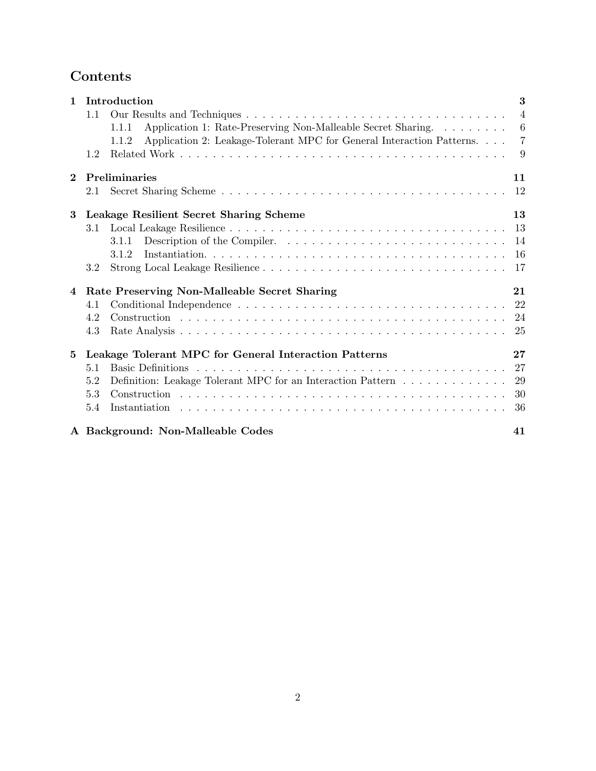# Contents

| $\mathbf{1}$ | Introduction                                          |                                                                                | 3              |
|--------------|-------------------------------------------------------|--------------------------------------------------------------------------------|----------------|
|              | 1.1                                                   |                                                                                | $\overline{4}$ |
|              |                                                       | Application 1: Rate-Preserving Non-Malleable Secret Sharing.<br>1.1.1          | 6              |
|              |                                                       | Application 2: Leakage-Tolerant MPC for General Interaction Patterns.<br>1.1.2 | $\overline{7}$ |
|              | 1.2                                                   |                                                                                | 9              |
| $\bf{2}$     | Preliminaries<br>11                                   |                                                                                |                |
|              | 2.1                                                   |                                                                                | 12             |
| 3            | 13<br>Leakage Resilient Secret Sharing Scheme         |                                                                                |                |
|              | 3.1                                                   |                                                                                | 13             |
|              |                                                       | 3.1.1                                                                          | 14             |
|              |                                                       | 3.1.2                                                                          | 16             |
|              | 3.2                                                   |                                                                                |                |
| 4            | Rate Preserving Non-Malleable Secret Sharing<br>21    |                                                                                |                |
|              | 4.1                                                   |                                                                                | 22             |
|              | 4.2                                                   |                                                                                |                |
|              | 4.3                                                   |                                                                                |                |
| $\bf{5}$     | Leakage Tolerant MPC for General Interaction Patterns |                                                                                | 27             |
|              | 5.1                                                   |                                                                                | 27             |
|              | 5.2                                                   | Definition: Leakage Tolerant MPC for an Interaction Pattern                    | 29             |
|              | 5.3                                                   |                                                                                | 30             |
|              | 5.4                                                   |                                                                                | 36             |
|              |                                                       | A Background: Non-Malleable Codes                                              | 41             |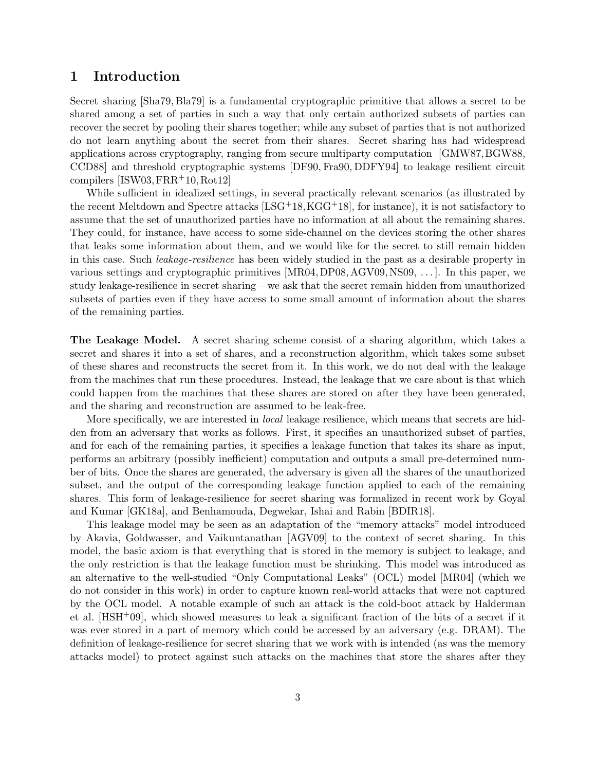### <span id="page-2-0"></span>1 Introduction

Secret sharing [\[Sha79,](#page-40-1) [Bla79\]](#page-37-0) is a fundamental cryptographic primitive that allows a secret to be shared among a set of parties in such a way that only certain authorized subsets of parties can recover the secret by pooling their shares together; while any subset of parties that is not authorized do not learn anything about the secret from their shares. Secret sharing has had widespread applications across cryptography, ranging from secure multiparty computation [\[GMW87,](#page-39-0)[BGW88,](#page-37-1) [CCD88\]](#page-37-2) and threshold cryptographic systems [\[DF90,](#page-38-0) [Fra90,](#page-38-1) [DDFY94\]](#page-37-3) to leakage resilient circuit compilers [\[ISW03,](#page-39-1)[FRR](#page-38-2)+10,[Rot12\]](#page-40-2)

While sufficient in idealized settings, in several practically relevant scenarios (as illustrated by the recent Meltdown and Spectre attacks [\[LSG](#page-40-3)+18[,KGG](#page-39-2)+18], for instance), it is not satisfactory to assume that the set of unauthorized parties have no information at all about the remaining shares. They could, for instance, have access to some side-channel on the devices storing the other shares that leaks some information about them, and we would like for the secret to still remain hidden in this case. Such leakage-resilience has been widely studied in the past as a desirable property in various settings and cryptographic primitives [\[MR04,](#page-40-4)[DP08,](#page-38-3)[AGV09,](#page-36-0)[NS09,](#page-40-5) . . . ]. In this paper, we study leakage-resilience in secret sharing – we ask that the secret remain hidden from unauthorized subsets of parties even if they have access to some small amount of information about the shares of the remaining parties.

The Leakage Model. A secret sharing scheme consist of a sharing algorithm, which takes a secret and shares it into a set of shares, and a reconstruction algorithm, which takes some subset of these shares and reconstructs the secret from it. In this work, we do not deal with the leakage from the machines that run these procedures. Instead, the leakage that we care about is that which could happen from the machines that these shares are stored on after they have been generated, and the sharing and reconstruction are assumed to be leak-free.

More specifically, we are interested in local leakage resilience, which means that secrets are hidden from an adversary that works as follows. First, it specifies an unauthorized subset of parties, and for each of the remaining parties, it specifies a leakage function that takes its share as input, performs an arbitrary (possibly inefficient) computation and outputs a small pre-determined number of bits. Once the shares are generated, the adversary is given all the shares of the unauthorized subset, and the output of the corresponding leakage function applied to each of the remaining shares. This form of leakage-resilience for secret sharing was formalized in recent work by Goyal and Kumar [\[GK18a\]](#page-39-3), and Benhamouda, Degwekar, Ishai and Rabin [\[BDIR18\]](#page-36-1).

This leakage model may be seen as an adaptation of the "memory attacks" model introduced by Akavia, Goldwasser, and Vaikuntanathan [\[AGV09\]](#page-36-0) to the context of secret sharing. In this model, the basic axiom is that everything that is stored in the memory is subject to leakage, and the only restriction is that the leakage function must be shrinking. This model was introduced as an alternative to the well-studied "Only Computational Leaks" (OCL) model [\[MR04\]](#page-40-4) (which we do not consider in this work) in order to capture known real-world attacks that were not captured by the OCL model. A notable example of such an attack is the cold-boot attack by Halderman et al. [\[HSH](#page-39-4)+09], which showed measures to leak a significant fraction of the bits of a secret if it was ever stored in a part of memory which could be accessed by an adversary (e.g. DRAM). The definition of leakage-resilience for secret sharing that we work with is intended (as was the memory attacks model) to protect against such attacks on the machines that store the shares after they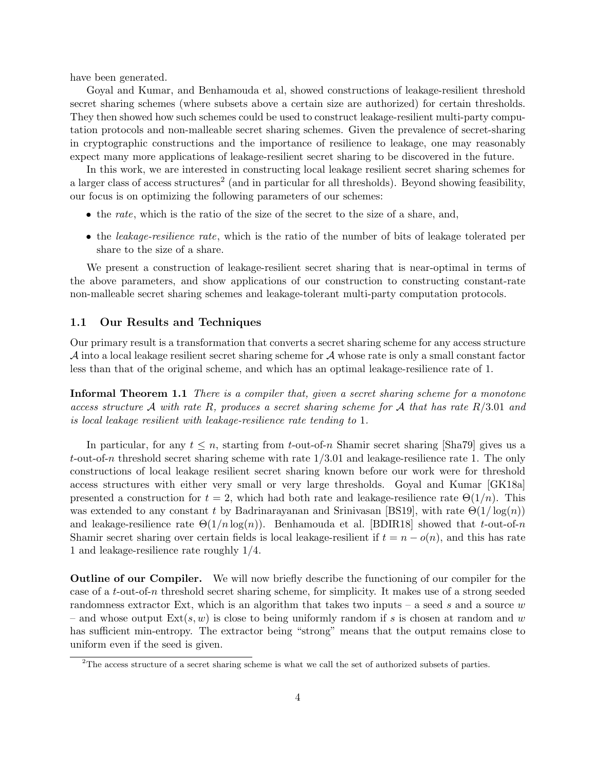have been generated.

Goyal and Kumar, and Benhamouda et al, showed constructions of leakage-resilient threshold secret sharing schemes (where subsets above a certain size are authorized) for certain thresholds. They then showed how such schemes could be used to construct leakage-resilient multi-party computation protocols and non-malleable secret sharing schemes. Given the prevalence of secret-sharing in cryptographic constructions and the importance of resilience to leakage, one may reasonably expect many more applications of leakage-resilient secret sharing to be discovered in the future.

In this work, we are interested in constructing local leakage resilient secret sharing schemes for a larger class of access structures<sup>[2](#page-3-1)</sup> (and in particular for all thresholds). Beyond showing feasibility, our focus is on optimizing the following parameters of our schemes:

- the rate, which is the ratio of the size of the secret to the size of a share, and,
- the *leakage-resilience rate*, which is the ratio of the number of bits of leakage tolerated per share to the size of a share.

We present a construction of leakage-resilient secret sharing that is near-optimal in terms of the above parameters, and show applications of our construction to constructing constant-rate non-malleable secret sharing schemes and leakage-tolerant multi-party computation protocols.

#### <span id="page-3-0"></span>1.1 Our Results and Techniques

Our primary result is a transformation that converts a secret sharing scheme for any access structure A into a local leakage resilient secret sharing scheme for A whose rate is only a small constant factor less than that of the original scheme, and which has an optimal leakage-resilience rate of 1.

Informal Theorem 1.1 There is a compiler that, given a secret sharing scheme for a monotone access structure A with rate R, produces a secret sharing scheme for A that has rate  $R/3.01$  and is local leakage resilient with leakage-resilience rate tending to 1.

In particular, for any  $t \leq n$ , starting from t-out-of-n Shamir secret sharing [\[Sha79\]](#page-40-1) gives us a t-out-of-n threshold secret sharing scheme with rate  $1/3.01$  and leakage-resilience rate 1. The only constructions of local leakage resilient secret sharing known before our work were for threshold access structures with either very small or very large thresholds. Goyal and Kumar [\[GK18a\]](#page-39-3) presented a construction for  $t = 2$ , which had both rate and leakage-resilience rate  $\Theta(1/n)$ . This was extended to any constant t by Badrinarayanan and Srinivasan [\[BS19\]](#page-37-4), with rate  $\Theta(1/\log(n))$ and leakage-resilience rate  $\Theta(1/n \log(n))$ . Benhamouda et al. [\[BDIR18\]](#page-36-1) showed that t-out-of-n Shamir secret sharing over certain fields is local leakage-resilient if  $t = n - o(n)$ , and this has rate 1 and leakage-resilience rate roughly 1/4.

Outline of our Compiler. We will now briefly describe the functioning of our compiler for the case of a t-out-of-n threshold secret sharing scheme, for simplicity. It makes use of a strong seeded randomness extractor Ext, which is an algorithm that takes two inputs – a seed s and a source  $w$ – and whose output  $Ext(s, w)$  is close to being uniformly random if s is chosen at random and w has sufficient min-entropy. The extractor being "strong" means that the output remains close to uniform even if the seed is given.

<span id="page-3-1"></span><sup>&</sup>lt;sup>2</sup>The access structure of a secret sharing scheme is what we call the set of authorized subsets of parties.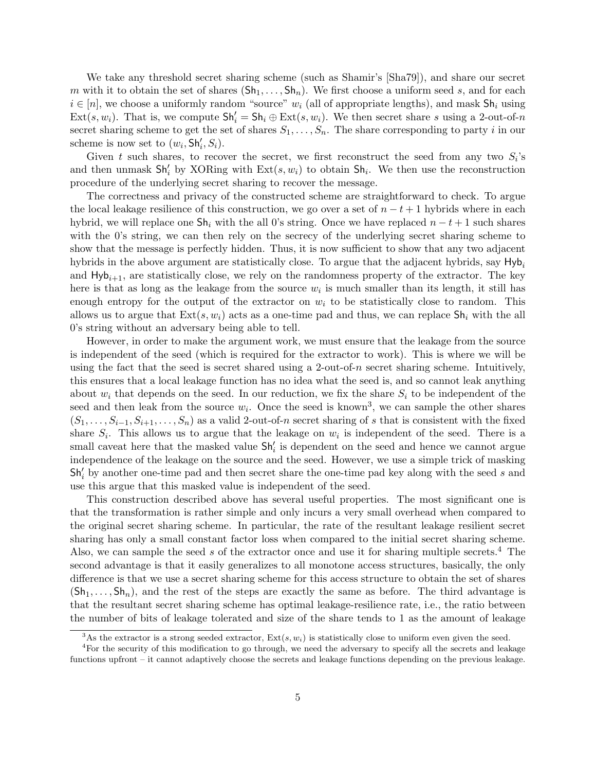We take any threshold secret sharing scheme (such as Shamir's [\[Sha79\]](#page-40-1)), and share our secret m with it to obtain the set of shares  $(Sh_1, \ldots, Sh_n)$ . We first choose a uniform seed s, and for each  $i \in [n]$ , we choose a uniformly random "source"  $w_i$  (all of appropriate lengths), and mask  $Sh_i$  using  $\text{Ext}(s, w_i)$ . That is, we compute  $\text{Sh}'_i = \text{Sh}_i \oplus \text{Ext}(s, w_i)$ . We then secret share s using a 2-out-of-n secret sharing scheme to get the set of shares  $S_1, \ldots, S_n$ . The share corresponding to party i in our scheme is now set to  $(w_i, Sh'_i, S_i)$ .

Given t such shares, to recover the secret, we first reconstruct the seed from any two  $S_i$ 's and then unmask  $\mathsf{Sh}'_i$  by XORing with  $\text{Ext}(s, w_i)$  to obtain  $\mathsf{Sh}_i$ . We then use the reconstruction procedure of the underlying secret sharing to recover the message.

The correctness and privacy of the constructed scheme are straightforward to check. To argue the local leakage resilience of this construction, we go over a set of  $n - t + 1$  hybrids where in each hybrid, we will replace one  $\mathsf{Sh}_i$  with the all 0's string. Once we have replaced  $n-t+1$  such shares with the 0's string, we can then rely on the secrecy of the underlying secret sharing scheme to show that the message is perfectly hidden. Thus, it is now sufficient to show that any two adjacent hybrids in the above argument are statistically close. To argue that the adjacent hybrids, say  $\mathsf{Hyb}_i$ and  $Hyb_{i+1}$ , are statistically close, we rely on the randomness property of the extractor. The key here is that as long as the leakage from the source  $w_i$  is much smaller than its length, it still has enough entropy for the output of the extractor on  $w<sub>i</sub>$  to be statistically close to random. This allows us to argue that  $Ext(s, w_i)$  acts as a one-time pad and thus, we can replace  $Sh_i$  with the all 0's string without an adversary being able to tell.

However, in order to make the argument work, we must ensure that the leakage from the source is independent of the seed (which is required for the extractor to work). This is where we will be using the fact that the seed is secret shared using a 2-out-of- $n$  secret sharing scheme. Intuitively, this ensures that a local leakage function has no idea what the seed is, and so cannot leak anything about  $w_i$  that depends on the seed. In our reduction, we fix the share  $S_i$  to be independent of the seed and then leak from the source  $w_i$ . Once the seed is known<sup>[3](#page-4-0)</sup>, we can sample the other shares  $(S_1, \ldots, S_{i-1}, S_{i+1}, \ldots, S_n)$  as a valid 2-out-of-n secret sharing of s that is consistent with the fixed share  $S_i$ . This allows us to argue that the leakage on  $w_i$  is independent of the seed. There is a small caveat here that the masked value  $\mathsf{Sh}'_i$  is dependent on the seed and hence we cannot argue independence of the leakage on the source and the seed. However, we use a simple trick of masking  $\textsf{Sh}'_i$  by another one-time pad and then secret share the one-time pad key along with the seed s and use this argue that this masked value is independent of the seed.

This construction described above has several useful properties. The most significant one is that the transformation is rather simple and only incurs a very small overhead when compared to the original secret sharing scheme. In particular, the rate of the resultant leakage resilient secret sharing has only a small constant factor loss when compared to the initial secret sharing scheme. Also, we can sample the seed s of the extractor once and use it for sharing multiple secrets.<sup>[4](#page-4-1)</sup> The second advantage is that it easily generalizes to all monotone access structures, basically, the only difference is that we use a secret sharing scheme for this access structure to obtain the set of shares  $(\text{Sh}_1, \ldots, \text{Sh}_n)$ , and the rest of the steps are exactly the same as before. The third advantage is that the resultant secret sharing scheme has optimal leakage-resilience rate, i.e., the ratio between the number of bits of leakage tolerated and size of the share tends to 1 as the amount of leakage

<span id="page-4-1"></span><span id="page-4-0"></span><sup>&</sup>lt;sup>3</sup>As the extractor is a strong seeded extractor,  $Ext(s, w_i)$  is statistically close to uniform even given the seed.

<sup>&</sup>lt;sup>4</sup>For the security of this modification to go through, we need the adversary to specify all the secrets and leakage functions upfront – it cannot adaptively choose the secrets and leakage functions depending on the previous leakage.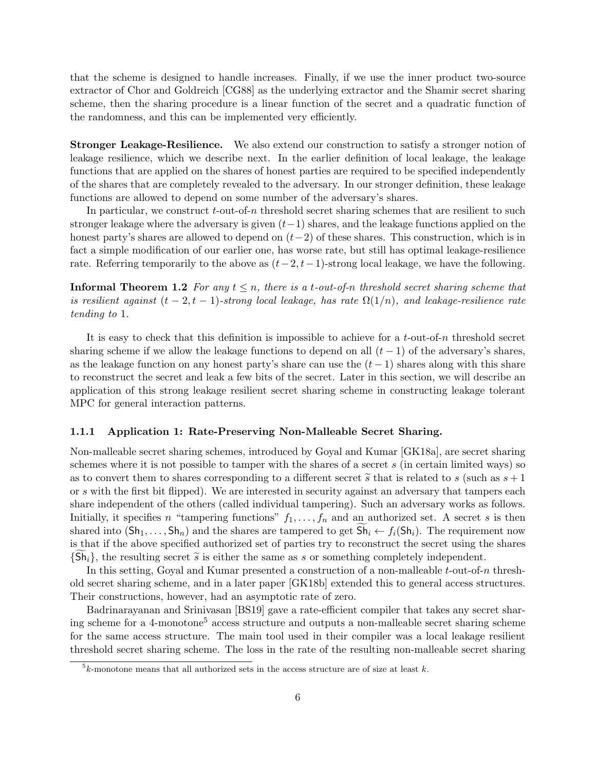that the scheme is designed to handle increases. Finally, if we use the inner product two-source extractor of Chor and Goldreich [\[CG88\]](#page-37-5) as the underlying extractor and the Shamir secret sharing scheme, then the sharing procedure is a linear function of the secret and a quadratic function of the randomness, and this can be implemented very efficiently.

Stronger Leakage-Resilience. We also extend our construction to satisfy a stronger notion of leakage resilience, which we describe next. In the earlier definition of local leakage, the leakage functions that are applied on the shares of honest parties are required to be specified independently of the shares that are completely revealed to the adversary. In our stronger definition, these leakage functions are allowed to depend on some number of the adversary's shares.

In particular, we construct  $t$ -out-of-n threshold secret sharing schemes that are resilient to such stronger leakage where the adversary is given  $(t-1)$  shares, and the leakage functions applied on the honest party's shares are allowed to depend on  $(t-2)$  of these shares. This construction, which is in fact a simple modification of our earlier one, has worse rate, but still has optimal leakage-resilience rate. Referring temporarily to the above as  $(t-2, t-1)$ -strong local leakage, we have the following.

<span id="page-5-2"></span>**Informal Theorem 1.2** For any  $t \leq n$ , there is a t-out-of-n threshold secret sharing scheme that is resilient against  $(t-2,t-1)$ -strong local leakage, has rate  $\Omega(1/n)$ , and leakage-resilience rate tending to 1.

It is easy to check that this definition is impossible to achieve for a t-out-of-n threshold secret sharing scheme if we allow the leakage functions to depend on all  $(t-1)$  of the adversary's shares, as the leakage function on any honest party's share can use the  $(t-1)$  shares along with this share to reconstruct the secret and leak a few bits of the secret. Later in this section, we will describe an application of this strong leakage resilient secret sharing scheme in constructing leakage tolerant MPC for general interaction patterns.

#### <span id="page-5-0"></span>1.1.1 Application 1: Rate-Preserving Non-Malleable Secret Sharing.

Non-malleable secret sharing schemes, introduced by Goyal and Kumar [\[GK18a\]](#page-39-3), are secret sharing schemes where it is not possible to tamper with the shares of a secret  $s$  (in certain limited ways) so as to convert them to shares corresponding to a different secret  $\tilde{s}$  that is related to s (such as  $s + 1$ ) or s with the first bit flipped). We are interested in security against an adversary that tampers each share independent of the others (called individual tampering). Such an adversary works as follows. Initially, it specifies n "tampering functions"  $f_1, \ldots, f_n$  and an authorized set. A secret s is then shared into  $(\textsf{Sh}_1, \ldots, \textsf{Sh}_n)$  and the shares are tampered to get  $\textsf{Sh}_i \leftarrow f_i(\textsf{Sh}_i)$ . The requirement now is that if the above specified authorized set of parties try to reconstruct the secret using the shares  $\{Sh_i\}$ , the resulting secret  $\tilde{s}$  is either the same as s or something completely independent.

In this setting, Goyal and Kumar presented a construction of a non-malleable  $t$ -out-of-n threshold secret sharing scheme, and in a later paper [\[GK18b\]](#page-39-5) extended this to general access structures. Their constructions, however, had an asymptotic rate of zero.

Badrinarayanan and Srinivasan [\[BS19\]](#page-37-4) gave a rate-efficient compiler that takes any secret sharing scheme for a 4-monotone[5](#page-5-1) access structure and outputs a non-malleable secret sharing scheme for the same access structure. The main tool used in their compiler was a local leakage resilient threshold secret sharing scheme. The loss in the rate of the resulting non-malleable secret sharing

<span id="page-5-1"></span> $5k$ -monotone means that all authorized sets in the access structure are of size at least k.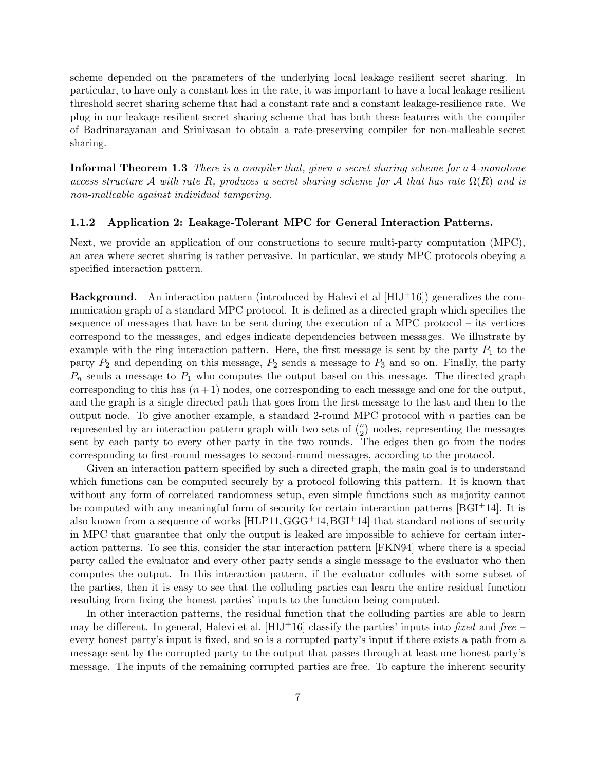scheme depended on the parameters of the underlying local leakage resilient secret sharing. In particular, to have only a constant loss in the rate, it was important to have a local leakage resilient threshold secret sharing scheme that had a constant rate and a constant leakage-resilience rate. We plug in our leakage resilient secret sharing scheme that has both these features with the compiler of Badrinarayanan and Srinivasan to obtain a rate-preserving compiler for non-malleable secret sharing.

Informal Theorem 1.3 There is a compiler that, given a secret sharing scheme for a 4-monotone access structure A with rate R, produces a secret sharing scheme for A that has rate  $\Omega(R)$  and is non-malleable against individual tampering.

#### <span id="page-6-0"></span>1.1.2 Application 2: Leakage-Tolerant MPC for General Interaction Patterns.

Next, we provide an application of our constructions to secure multi-party computation (MPC), an area where secret sharing is rather pervasive. In particular, we study MPC protocols obeying a specified interaction pattern.

**Background.** An interaction pattern (introduced by Halevi et al  $[HIJ^+16]$ ) generalizes the communication graph of a standard MPC protocol. It is defined as a directed graph which specifies the sequence of messages that have to be sent during the execution of a MPC protocol – its vertices correspond to the messages, and edges indicate dependencies between messages. We illustrate by example with the ring interaction pattern. Here, the first message is sent by the party  $P_1$  to the party  $P_2$  and depending on this message,  $P_2$  sends a message to  $P_3$  and so on. Finally, the party  $P_n$  sends a message to  $P_1$  who computes the output based on this message. The directed graph corresponding to this has  $(n+1)$  nodes, one corresponding to each message and one for the output, and the graph is a single directed path that goes from the first message to the last and then to the output node. To give another example, a standard 2-round MPC protocol with n parties can be represented by an interaction pattern graph with two sets of  $\binom{n}{2}$  $n_2$ ) nodes, representing the messages sent by each party to every other party in the two rounds. The edges then go from the nodes corresponding to first-round messages to second-round messages, according to the protocol.

Given an interaction pattern specified by such a directed graph, the main goal is to understand which functions can be computed securely by a protocol following this pattern. It is known that without any form of correlated randomness setup, even simple functions such as majority cannot be computed with any meaningful form of security for certain interaction patterns  $[**BGI**+14]$ . It is also known from a sequence of works  $[HLP11, GGG+14, BGI+14]$  $[HLP11, GGG+14, BGI+14]$  $[HLP11, GGG+14, BGI+14]$  $[HLP11, GGG+14, BGI+14]$  $[HLP11, GGG+14, BGI+14]$  that standard notions of security in MPC that guarantee that only the output is leaked are impossible to achieve for certain interaction patterns. To see this, consider the star interaction pattern [\[FKN94\]](#page-38-5) where there is a special party called the evaluator and every other party sends a single message to the evaluator who then computes the output. In this interaction pattern, if the evaluator colludes with some subset of the parties, then it is easy to see that the colluding parties can learn the entire residual function resulting from fixing the honest parties' inputs to the function being computed.

In other interaction patterns, the residual function that the colluding parties are able to learn may be different. In general, Halevi et al.  $[HIJ^+16]$  classify the parties' inputs into fixed and free – every honest party's input is fixed, and so is a corrupted party's input if there exists a path from a message sent by the corrupted party to the output that passes through at least one honest party's message. The inputs of the remaining corrupted parties are free. To capture the inherent security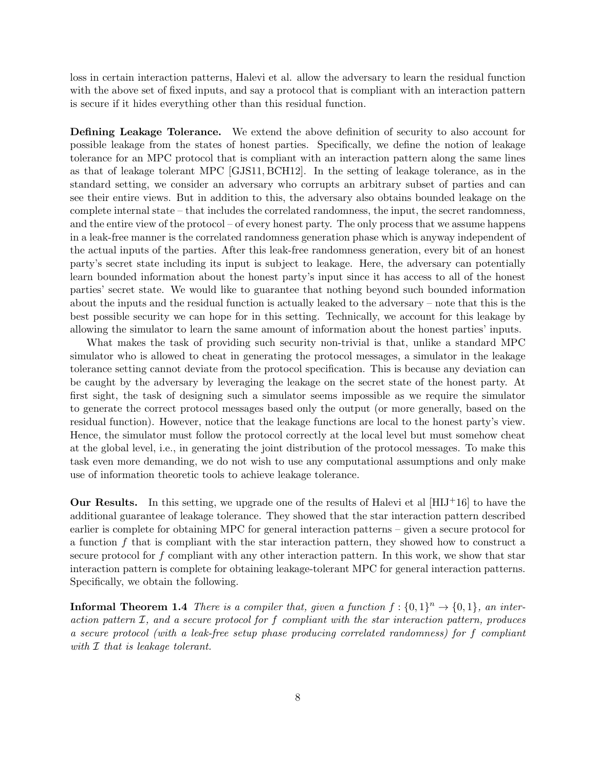loss in certain interaction patterns, Halevi et al. allow the adversary to learn the residual function with the above set of fixed inputs, and say a protocol that is compliant with an interaction pattern is secure if it hides everything other than this residual function.

Defining Leakage Tolerance. We extend the above definition of security to also account for possible leakage from the states of honest parties. Specifically, we define the notion of leakage tolerance for an MPC protocol that is compliant with an interaction pattern along the same lines as that of leakage tolerant MPC [\[GJS11,](#page-38-6) [BCH12\]](#page-36-2). In the setting of leakage tolerance, as in the standard setting, we consider an adversary who corrupts an arbitrary subset of parties and can see their entire views. But in addition to this, the adversary also obtains bounded leakage on the complete internal state – that includes the correlated randomness, the input, the secret randomness, and the entire view of the protocol – of every honest party. The only process that we assume happens in a leak-free manner is the correlated randomness generation phase which is anyway independent of the actual inputs of the parties. After this leak-free randomness generation, every bit of an honest party's secret state including its input is subject to leakage. Here, the adversary can potentially learn bounded information about the honest party's input since it has access to all of the honest parties' secret state. We would like to guarantee that nothing beyond such bounded information about the inputs and the residual function is actually leaked to the adversary – note that this is the best possible security we can hope for in this setting. Technically, we account for this leakage by allowing the simulator to learn the same amount of information about the honest parties' inputs.

What makes the task of providing such security non-trivial is that, unlike a standard MPC simulator who is allowed to cheat in generating the protocol messages, a simulator in the leakage tolerance setting cannot deviate from the protocol specification. This is because any deviation can be caught by the adversary by leveraging the leakage on the secret state of the honest party. At first sight, the task of designing such a simulator seems impossible as we require the simulator to generate the correct protocol messages based only the output (or more generally, based on the residual function). However, notice that the leakage functions are local to the honest party's view. Hence, the simulator must follow the protocol correctly at the local level but must somehow cheat at the global level, i.e., in generating the joint distribution of the protocol messages. To make this task even more demanding, we do not wish to use any computational assumptions and only make use of information theoretic tools to achieve leakage tolerance.

**Our Results.** In this setting, we upgrade one of the results of Halevi et al  $[HIJ^+16]$  to have the additional guarantee of leakage tolerance. They showed that the star interaction pattern described earlier is complete for obtaining MPC for general interaction patterns – given a secure protocol for a function  $f$  that is compliant with the star interaction pattern, they showed how to construct a secure protocol for  $f$  compliant with any other interaction pattern. In this work, we show that star interaction pattern is complete for obtaining leakage-tolerant MPC for general interaction patterns. Specifically, we obtain the following.

**Informal Theorem 1.4** There is a compiler that, given a function  $f: \{0,1\}^n \to \{0,1\}$ , an interaction pattern  $I$ , and a secure protocol for f compliant with the star interaction pattern, produces a secure protocol (with a leak-free setup phase producing correlated randomness) for f compliant with  $I$  that is leakage tolerant.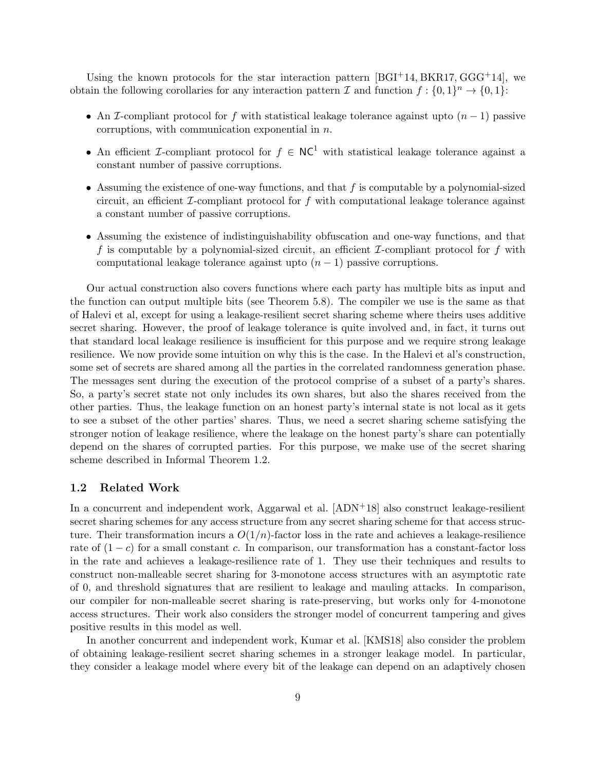Using the known protocols for the star interaction pattern  $[BGI<sup>+</sup>14, BKR17, GGG<sup>+</sup>14]$  $[BGI<sup>+</sup>14, BKR17, GGG<sup>+</sup>14]$  $[BGI<sup>+</sup>14, BKR17, GGG<sup>+</sup>14]$  $[BGI<sup>+</sup>14, BKR17, GGG<sup>+</sup>14]$  $[BGI<sup>+</sup>14, BKR17, GGG<sup>+</sup>14]$ , we obtain the following corollaries for any interaction pattern  $\mathcal I$  and function  $f: \{0,1\}^n \to \{0,1\}$ :

- An I-compliant protocol for f with statistical leakage tolerance against upto  $(n 1)$  passive corruptions, with communication exponential in  $n$ .
- An efficient I-compliant protocol for  $f \in NC^1$  with statistical leakage tolerance against a constant number of passive corruptions.
- Assuming the existence of one-way functions, and that  $f$  is computable by a polynomial-sized circuit, an efficient  $\mathcal{I}$ -compliant protocol for f with computational leakage tolerance against a constant number of passive corruptions.
- Assuming the existence of indistinguishability obfuscation and one-way functions, and that f is computable by a polynomial-sized circuit, an efficient  $\mathcal I$ -compliant protocol for f with computational leakage tolerance against upto  $(n - 1)$  passive corruptions.

Our actual construction also covers functions where each party has multiple bits as input and the function can output multiple bits (see Theorem [5.8\)](#page-30-0). The compiler we use is the same as that of Halevi et al, except for using a leakage-resilient secret sharing scheme where theirs uses additive secret sharing. However, the proof of leakage tolerance is quite involved and, in fact, it turns out that standard local leakage resilience is insufficient for this purpose and we require strong leakage resilience. We now provide some intuition on why this is the case. In the Halevi et al's construction, some set of secrets are shared among all the parties in the correlated randomness generation phase. The messages sent during the execution of the protocol comprise of a subset of a party's shares. So, a party's secret state not only includes its own shares, but also the shares received from the other parties. Thus, the leakage function on an honest party's internal state is not local as it gets to see a subset of the other parties' shares. Thus, we need a secret sharing scheme satisfying the stronger notion of leakage resilience, where the leakage on the honest party's share can potentially depend on the shares of corrupted parties. For this purpose, we make use of the secret sharing scheme described in Informal Theorem [1.2.](#page-5-2)

#### <span id="page-8-0"></span>1.2 Related Work

In a concurrent and independent work, Aggarwal et al. [\[ADN](#page-36-3)+18] also construct leakage-resilient secret sharing schemes for any access structure from any secret sharing scheme for that access structure. Their transformation incurs a  $O(1/n)$ -factor loss in the rate and achieves a leakage-resilience rate of  $(1 - c)$  for a small constant c. In comparison, our transformation has a constant-factor loss in the rate and achieves a leakage-resilience rate of 1. They use their techniques and results to construct non-malleable secret sharing for 3-monotone access structures with an asymptotic rate of 0, and threshold signatures that are resilient to leakage and mauling attacks. In comparison, our compiler for non-malleable secret sharing is rate-preserving, but works only for 4-monotone access structures. Their work also considers the stronger model of concurrent tampering and gives positive results in this model as well.

In another concurrent and independent work, Kumar et al. [\[KMS18\]](#page-40-6) also consider the problem of obtaining leakage-resilient secret sharing schemes in a stronger leakage model. In particular, they consider a leakage model where every bit of the leakage can depend on an adaptively chosen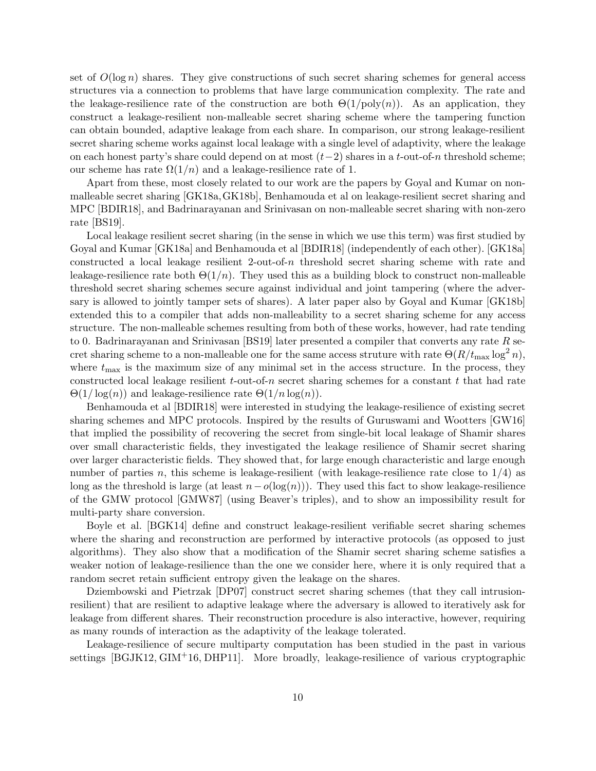set of  $O(\log n)$  shares. They give constructions of such secret sharing schemes for general access structures via a connection to problems that have large communication complexity. The rate and the leakage-resilience rate of the construction are both  $\Theta(1/\text{poly}(n))$ . As an application, they construct a leakage-resilient non-malleable secret sharing scheme where the tampering function can obtain bounded, adaptive leakage from each share. In comparison, our strong leakage-resilient secret sharing scheme works against local leakage with a single level of adaptivity, where the leakage on each honest party's share could depend on at most  $(t-2)$  shares in a t-out-of-n threshold scheme; our scheme has rate  $\Omega(1/n)$  and a leakage-resilience rate of 1.

Apart from these, most closely related to our work are the papers by Goyal and Kumar on nonmalleable secret sharing [\[GK18a,](#page-39-3)[GK18b\]](#page-39-5), Benhamouda et al on leakage-resilient secret sharing and MPC [\[BDIR18\]](#page-36-1), and Badrinarayanan and Srinivasan on non-malleable secret sharing with non-zero rate [\[BS19\]](#page-37-4).

Local leakage resilient secret sharing (in the sense in which we use this term) was first studied by Goyal and Kumar [\[GK18a\]](#page-39-3) and Benhamouda et al [\[BDIR18\]](#page-36-1) (independently of each other). [\[GK18a\]](#page-39-3) constructed a local leakage resilient 2-out-of- $n$  threshold secret sharing scheme with rate and leakage-resilience rate both  $\Theta(1/n)$ . They used this as a building block to construct non-malleable threshold secret sharing schemes secure against individual and joint tampering (where the adversary is allowed to jointly tamper sets of shares). A later paper also by Goyal and Kumar [\[GK18b\]](#page-39-5) extended this to a compiler that adds non-malleability to a secret sharing scheme for any access structure. The non-malleable schemes resulting from both of these works, however, had rate tending to 0. Badrinarayanan and Srinivasan [\[BS19\]](#page-37-4) later presented a compiler that converts any rate R secret sharing scheme to a non-malleable one for the same access struture with rate  $\Theta(R/t_{\text{max}} \log^2 n)$ , where  $t_{\text{max}}$  is the maximum size of any minimal set in the access structure. In the process, they constructed local leakage resilient  $t$ -out-of-n secret sharing schemes for a constant  $t$  that had rate  $\Theta(1/\log(n))$  and leakage-resilience rate  $\Theta(1/n \log(n))$ .

Benhamouda et al [\[BDIR18\]](#page-36-1) were interested in studying the leakage-resilience of existing secret sharing schemes and MPC protocols. Inspired by the results of Guruswami and Wootters [\[GW16\]](#page-39-8) that implied the possibility of recovering the secret from single-bit local leakage of Shamir shares over small characteristic fields, they investigated the leakage resilience of Shamir secret sharing over larger characteristic fields. They showed that, for large enough characteristic and large enough number of parties n, this scheme is leakage-resilient (with leakage-resilience rate close to  $1/4$ ) as long as the threshold is large (at least  $n-o(\log(n))$ ). They used this fact to show leakage-resilience of the GMW protocol [\[GMW87\]](#page-39-0) (using Beaver's triples), and to show an impossibility result for multi-party share conversion.

Boyle et al. [\[BGK14\]](#page-37-8) define and construct leakage-resilient verifiable secret sharing schemes where the sharing and reconstruction are performed by interactive protocols (as opposed to just algorithms). They also show that a modification of the Shamir secret sharing scheme satisfies a weaker notion of leakage-resilience than the one we consider here, where it is only required that a random secret retain sufficient entropy given the leakage on the shares.

Dziembowski and Pietrzak [\[DP07\]](#page-38-7) construct secret sharing schemes (that they call intrusionresilient) that are resilient to adaptive leakage where the adversary is allowed to iteratively ask for leakage from different shares. Their reconstruction procedure is also interactive, however, requiring as many rounds of interaction as the adaptivity of the leakage tolerated.

Leakage-resilience of secure multiparty computation has been studied in the past in various settings [\[BGJK12,](#page-37-9) [GIM](#page-38-8)<sup>+</sup>16, [DHP11\]](#page-38-9). More broadly, leakage-resilience of various cryptographic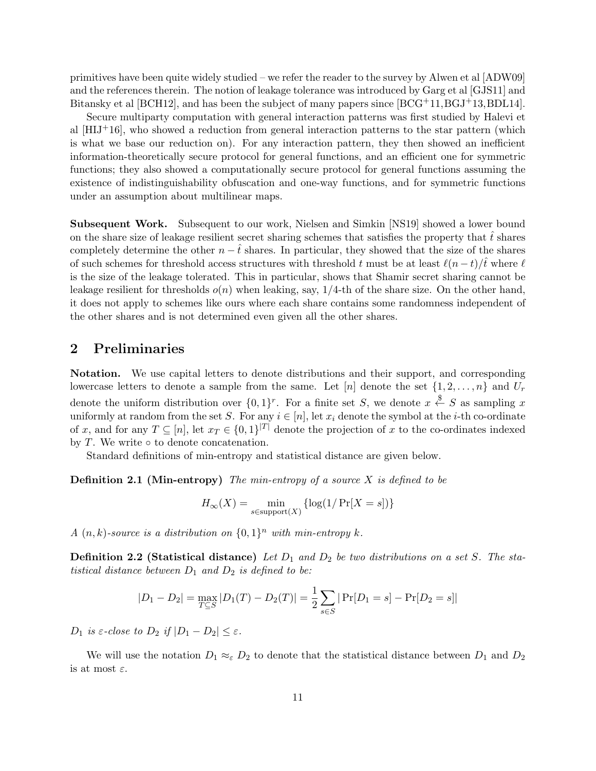primitives have been quite widely studied – we refer the reader to the survey by Alwen et al [\[ADW09\]](#page-36-4) and the references therein. The notion of leakage tolerance was introduced by Garg et al [\[GJS11\]](#page-38-6) and Bitansky et al [\[BCH12\]](#page-36-2), and has been the subject of many papers since [\[BCG](#page-36-5)+11[,BGJ](#page-37-10)+13[,BDL14\]](#page-36-6).

Secure multiparty computation with general interaction patterns was first studied by Halevi et al  $[HIJ^+16]$ , who showed a reduction from general interaction patterns to the star pattern (which is what we base our reduction on). For any interaction pattern, they then showed an inefficient information-theoretically secure protocol for general functions, and an efficient one for symmetric functions; they also showed a computationally secure protocol for general functions assuming the existence of indistinguishability obfuscation and one-way functions, and for symmetric functions under an assumption about multilinear maps.

Subsequent Work. Subsequent to our work, Nielsen and Simkin [\[NS19\]](#page-40-7) showed a lower bound on the share size of leakage resilient secret sharing schemes that satisfies the property that  $\hat{t}$  shares completely determine the other  $n - \hat{t}$  shares. In particular, they showed that the size of the shares of such schemes for threshold access structures with threshold t must be at least  $\ell(n - t)/t^2$  where  $\ell$ is the size of the leakage tolerated. This in particular, shows that Shamir secret sharing cannot be leakage resilient for thresholds  $o(n)$  when leaking, say,  $1/4$ -th of the share size. On the other hand, it does not apply to schemes like ours where each share contains some randomness independent of the other shares and is not determined even given all the other shares.

### <span id="page-10-0"></span>2 Preliminaries

Notation. We use capital letters to denote distributions and their support, and corresponding lowercase letters to denote a sample from the same. Let [n] denote the set  $\{1, 2, \ldots, n\}$  and  $U_r$ denote the uniform distribution over  $\{0,1\}^r$ . For a finite set S, we denote  $x \stackrel{\$}{\leftarrow} S$  as sampling x uniformly at random from the set S. For any  $i \in [n]$ , let  $x_i$  denote the symbol at the *i*-th co-ordinate of x, and for any  $T \subseteq [n]$ , let  $x_T \in \{0,1\}^{|T|}$  denote the projection of x to the co-ordinates indexed by  $T$ . We write  $\circ$  to denote concatenation.

Standard definitions of min-entropy and statistical distance are given below.

**Definition 2.1 (Min-entropy)** The min-entropy of a source  $X$  is defined to be

$$
H_{\infty}(X) = \min_{s \in \text{support}(X)} \{ \log(1/\Pr[X=s]) \}
$$

A  $(n, k)$ -source is a distribution on  $\{0, 1\}^n$  with min-entropy k.

**Definition 2.2 (Statistical distance)** Let  $D_1$  and  $D_2$  be two distributions on a set S. The statistical distance between  $D_1$  and  $D_2$  is defined to be:

$$
|D_1 - D_2| = \max_{T \subseteq S} |D_1(T) - D_2(T)| = \frac{1}{2} \sum_{s \in S} |Pr[D_1 = s] - Pr[D_2 = s]|
$$

 $D_1$  is  $\varepsilon$ -close to  $D_2$  if  $|D_1 - D_2| \leq \varepsilon$ .

We will use the notation  $D_1 \approx_{\varepsilon} D_2$  to denote that the statistical distance between  $D_1$  and  $D_2$ is at most  $\varepsilon$ .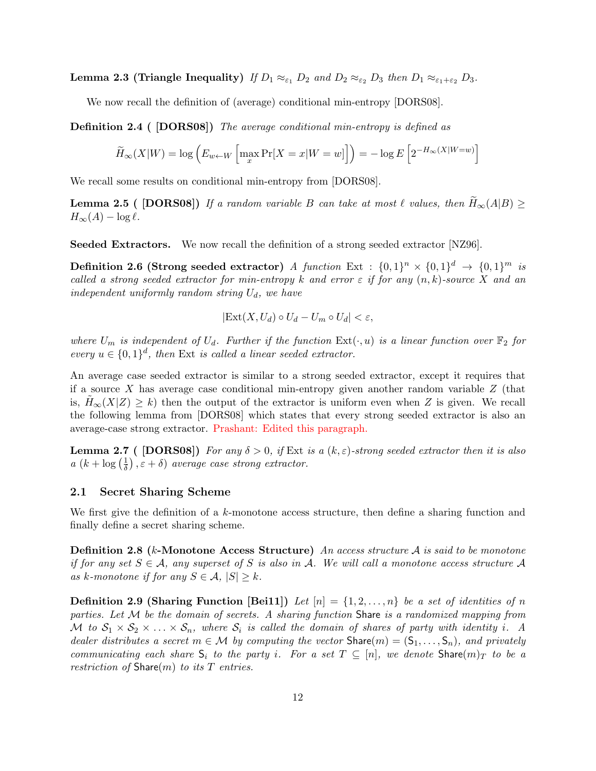**Lemma 2.3 (Triangle Inequality)** If  $D_1 \approx_{\varepsilon_1} D_2$  and  $D_2 \approx_{\varepsilon_2} D_3$  then  $D_1 \approx_{\varepsilon_1 + \varepsilon_2} D_3$ .

We now recall the definition of (average) conditional min-entropy [\[DORS08\]](#page-38-10).

Definition 2.4 ( [\[DORS08\]](#page-38-10)) The average conditional min-entropy is defined as

$$
\widetilde{H}_{\infty}(X|W) = \log \left( E_{w \leftarrow W} \left[ \max_{x} \Pr[X = x|W = w] \right] \right) = -\log E \left[ 2^{-H_{\infty}(X|W=w)} \right]
$$

We recall some results on conditional min-entropy from [\[DORS08\]](#page-38-10).

**Lemma 2.5 (** [\[DORS08\]](#page-38-10)) If a random variable B can take at most  $\ell$  values, then  $H_{\infty}(A|B) \ge$  $H_{\infty}(A) - \log \ell.$ 

Seeded Extractors. We now recall the definition of a strong seeded extractor [\[NZ96\]](#page-40-8).

**Definition 2.6 (Strong seeded extractor)** A function Ext :  $\{0,1\}^n \times \{0,1\}^d$   $\rightarrow$   $\{0,1\}^m$  is called a strong seeded extractor for min-entropy k and error  $\varepsilon$  if for any  $(n, k)$ -source X and an independent uniformly random string  $U_d$ , we have

<span id="page-11-2"></span>
$$
|\text{Ext}(X, U_d) \circ U_d - U_m \circ U_d| < \varepsilon,
$$

where  $U_m$  is independent of  $U_d$ . Further if the function  $Ext(\cdot, u)$  is a linear function over  $\mathbb{F}_2$  for every  $u \in \{0,1\}^d$ , then Ext is called a linear seeded extractor.

An average case seeded extractor is similar to a strong seeded extractor, except it requires that if a source X has average case conditional min-entropy given another random variable  $Z$  (that is,  $H_{\infty}(X|Z) \geq k$ ) then the output of the extractor is uniform even when Z is given. We recall the following lemma from [\[DORS08\]](#page-38-10) which states that every strong seeded extractor is also an average-case strong extractor. Prashant: Edited this paragraph.

**Lemma 2.7** ( [\[DORS08\]](#page-38-10)) For any  $\delta > 0$ , if Ext is a  $(k, \varepsilon)$ -strong seeded extractor then it is also  $a(k+\log(\frac{1}{\delta}))$  $(\frac{1}{\delta})$ ,  $\varepsilon + \delta$ ) average case strong extractor.

#### <span id="page-11-0"></span>2.1 Secret Sharing Scheme

We first give the definition of a k-monotone access structure, then define a sharing function and finally define a secret sharing scheme.

<span id="page-11-1"></span>**Definition 2.8** (k-Monotone Access Structure) An access structure A is said to be monotone if for any set  $S \in \mathcal{A}$ , any superset of S is also in A. We will call a monotone access structure A as k-monotone if for any  $S \in \mathcal{A}, |S| \geq k$ .

**Definition 2.9 (Sharing Function [\[Bei11\]](#page-36-7))** Let  $[n] = \{1, 2, ..., n\}$  be a set of identities of n parties. Let  $M$  be the domain of secrets. A sharing function Share is a randomized mapping from M to  $S_1 \times S_2 \times \ldots \times S_n$ , where  $S_i$  is called the domain of shares of party with identity i. A dealer distributes a secret  $m \in \mathcal{M}$  by computing the vector  $\text{Share}(m) = (\mathsf{S}_1, \ldots, \mathsf{S}_n)$ , and privately communicating each share  $S_i$  to the party i. For a set  $T \subseteq [n]$ , we denote  $\text{Share}(m)_T$  to be a restriction of  $\text{Share}(m)$  to its T entries.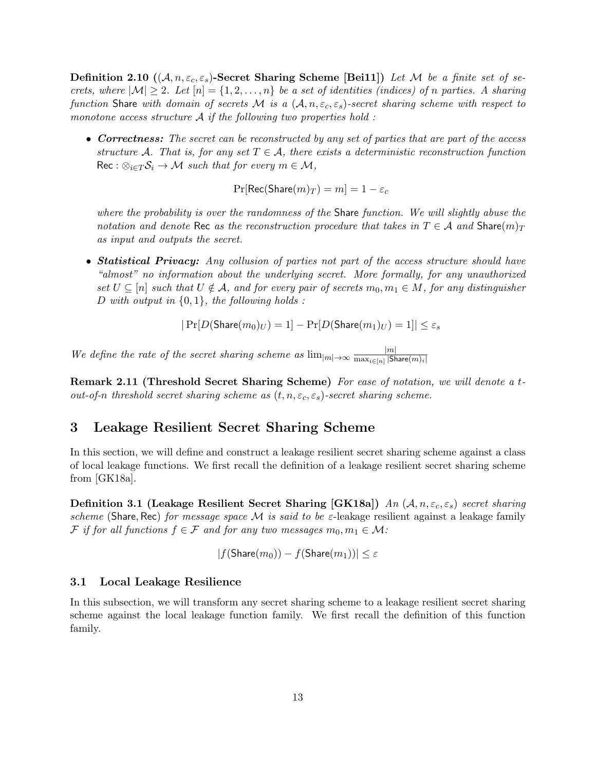**Definition 2.10**  $((\mathcal{A}, n, \varepsilon_c, \varepsilon_s)$ -Secret Sharing Scheme [\[Bei11\]](#page-36-7)) Let M be a finite set of secrets, where  $|\mathcal{M}| \geq 2$ . Let  $[n] = \{1, 2, ..., n\}$  be a set of identities (indices) of n parties. A sharing function Share with domain of secrets M is a  $(A, n, \varepsilon_c, \varepsilon_s)$ -secret sharing scheme with respect to monotone access structure  $A$  if the following two properties hold :

• Correctness: The secret can be reconstructed by any set of parties that are part of the access structure A. That is, for any set  $T \in \mathcal{A}$ , there exists a deterministic reconstruction function Rec :  $\otimes_{i \in T} S_i \to M$  such that for every  $m \in M$ ,

 $Pr[Rec(Share(m)_T) = m] = 1 - \varepsilon_c$ 

where the probability is over the randomness of the Share function. We will slightly abuse the notation and denote Rec as the reconstruction procedure that takes in  $T \in \mathcal{A}$  and Share $(m)$ <sup>T</sup> as input and outputs the secret.

• Statistical Privacy: Any collusion of parties not part of the access structure should have "almost" no information about the underlying secret. More formally, for any unauthorized set  $U \subseteq [n]$  such that  $U \notin \mathcal{A}$ , and for every pair of secrets  $m_0, m_1 \in M$ , for any distinguisher D with output in  $\{0,1\}$ , the following holds :

$$
|\Pr[D(\text{Share}(m_0)_U) = 1] - \Pr[D(\text{Share}(m_1)_U) = 1]| \le \varepsilon_s
$$

We define the rate of the secret sharing scheme as  $\lim_{|m|\to\infty} \frac{|m|}{\max_{i\in[n]} |S|}$  $\overline{\max_{i\in[n]}|\mathsf{Share}(m)_i|}$ 

**Remark 2.11 (Threshold Secret Sharing Scheme)** For ease of notation, we will denote a tout-of-n threshold secret sharing scheme as  $(t, n, \varepsilon_c, \varepsilon_s)$ -secret sharing scheme.

### <span id="page-12-0"></span>3 Leakage Resilient Secret Sharing Scheme

In this section, we will define and construct a leakage resilient secret sharing scheme against a class of local leakage functions. We first recall the definition of a leakage resilient secret sharing scheme from [\[GK18a\]](#page-39-3).

<span id="page-12-2"></span>Definition 3.1 (Leakage Resilient Secret Sharing [\[GK18a\]](#page-39-3)) An  $(A, n, \varepsilon_c, \varepsilon_s)$  secret sharing scheme (Share, Rec) for message space M is said to be  $\varepsilon$ -leakage resilient against a leakage family F if for all functions  $f \in \mathcal{F}$  and for any two messages  $m_0, m_1 \in \mathcal{M}$ :

$$
|f(\mathsf{Share}(m_0))-f(\mathsf{Share}(m_1))|\leq \varepsilon
$$

#### <span id="page-12-1"></span>3.1 Local Leakage Resilience

In this subsection, we will transform any secret sharing scheme to a leakage resilient secret sharing scheme against the local leakage function family. We first recall the definition of this function family.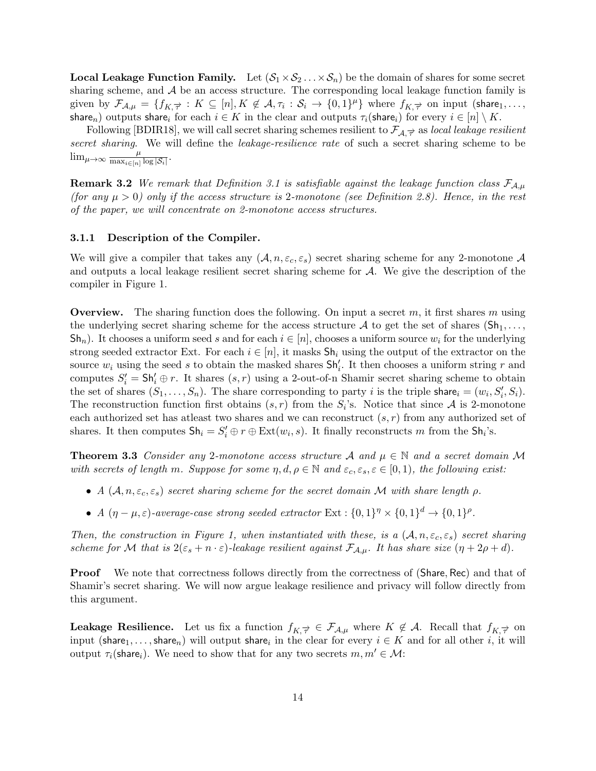**Local Leakage Function Family.** Let  $(S_1 \times S_2 \dots \times S_n)$  be the domain of shares for some secret sharing scheme, and  $A$  be an access structure. The corresponding local leakage function family is given by  $\mathcal{F}_{\mathcal{A},\mu} = \{f_{K,\vec{\tau}} : K \subseteq [n], K \notin \mathcal{A}, \tau_i : \mathcal{S}_i \to \{0,1\}^{\mu}\}\$  where  $f_{K,\vec{\tau}}$  on input (share<sub>1</sub>,..., share<sub>n</sub>) outputs share<sub>i</sub> for each  $i \in K$  in the clear and outputs  $\tau_i(\text{share}_i)$  for every  $i \in [n] \setminus K$ .

Following [\[BDIR18\]](#page-36-1), we will call secret sharing schemes resilient to  $\mathcal{F}_{\mathcal{A},\vec{\tau}}$  as local leakage resilient secret sharing. We will define the leakage-resilience rate of such a secret sharing scheme to be  $\lim_{\mu \to \infty} \frac{\mu}{\max_{i \in [m]} }$  $\frac{\mu}{\max_{i\in[n]}\log|\mathcal{S}_i|}.$ 

**Remark 3.2** We remark that Definition [3.1](#page-12-2) is satisfiable against the leakage function class  $\mathcal{F}_{A,\mu}$ (for any  $\mu > 0$ ) only if the access structure is 2-monotone (see Definition [2.8\)](#page-11-1). Hence, in the rest of the paper, we will concentrate on 2-monotone access structures.

#### <span id="page-13-0"></span>3.1.1 Description of the Compiler.

We will give a compiler that takes any  $(A, n, \varepsilon_c, \varepsilon_s)$  secret sharing scheme for any 2-monotone A and outputs a local leakage resilient secret sharing scheme for  $A$ . We give the description of the compiler in Figure [1.](#page-14-0)

**Overview.** The sharing function does the following. On input a secret  $m$ , it first shares  $m$  using the underlying secret sharing scheme for the access structure A to get the set of shares  $(Sh_1, \ldots,$  $\mathsf{Sh}_n$ ). It chooses a uniform seed s and for each  $i \in [n]$ , chooses a uniform source  $w_i$  for the underlying strong seeded extractor Ext. For each  $i \in [n]$ , it masks  $\mathsf{Sh}_i$  using the output of the extractor on the source  $w_i$  using the seed s to obtain the masked shares  $\mathsf{Sh}'_i$ . It then chooses a uniform string r and computes  $S_i' = Sh_i' \oplus r$ . It shares  $(s, r)$  using a 2-out-of-n Shamir secret sharing scheme to obtain the set of shares  $(S_1, \ldots, S_n)$ . The share corresponding to party *i* is the triple share<sub>i</sub> =  $(w_i, S'_i, S_i)$ . The reconstruction function first obtains  $(s, r)$  from the  $S_i$ 's. Notice that since A is 2-monotone each authorized set has at least two shares and we can reconstruct  $(s, r)$  from any authorized set of shares. It then computes  $\mathsf{Sh}_i = S'_i \oplus r \oplus \text{Ext}(w_i, s)$ . It finally reconstructs m from the  $\mathsf{Sh}_i$ 's.

<span id="page-13-1"></span>**Theorem 3.3** Consider any 2-monotone access structure A and  $\mu \in \mathbb{N}$  and a secret domain M with secrets of length m. Suppose for some  $\eta, d, \rho \in \mathbb{N}$  and  $\varepsilon_c, \varepsilon_s, \varepsilon \in [0,1)$ , the following exist:

- A  $(A, n, \varepsilon_c, \varepsilon_s)$  secret sharing scheme for the secret domain M with share length  $\rho$ .
- A  $(\eta \mu, \varepsilon)$ -average-case strong seeded extractor Ext :  $\{0,1\}^{\eta} \times \{0,1\}^d \rightarrow \{0,1\}^{\rho}$ .

Then, the construction in Figure [1,](#page-14-0) when instantiated with these, is a  $(A, n, \varepsilon_c, \varepsilon_s)$  secret sharing scheme for M that is  $2(\varepsilon_s + n \cdot \varepsilon)$ -leakage resilient against  $\mathcal{F}_{\mathcal{A},\mu}$ . It has share size  $(\eta + 2\rho + d)$ .

**Proof** We note that correctness follows directly from the correctness of (Share, Rec) and that of Shamir's secret sharing. We will now argue leakage resilience and privacy will follow directly from this argument.

**Leakage Resilience.** Let us fix a function  $f_{K,\vec{\tau}} \in \mathcal{F}_{\mathcal{A},\mu}$  where  $K \notin \mathcal{A}$ . Recall that  $f_{K,\vec{\tau}}$  on input (share<sub>1</sub>, . . . , share<sub>n</sub>) will output share<sub>i</sub> in the clear for every  $i \in K$  and for all other i, it will output  $\tau_i(\text{share}_i)$ . We need to show that for any two secrets  $m, m' \in \mathcal{M}$ :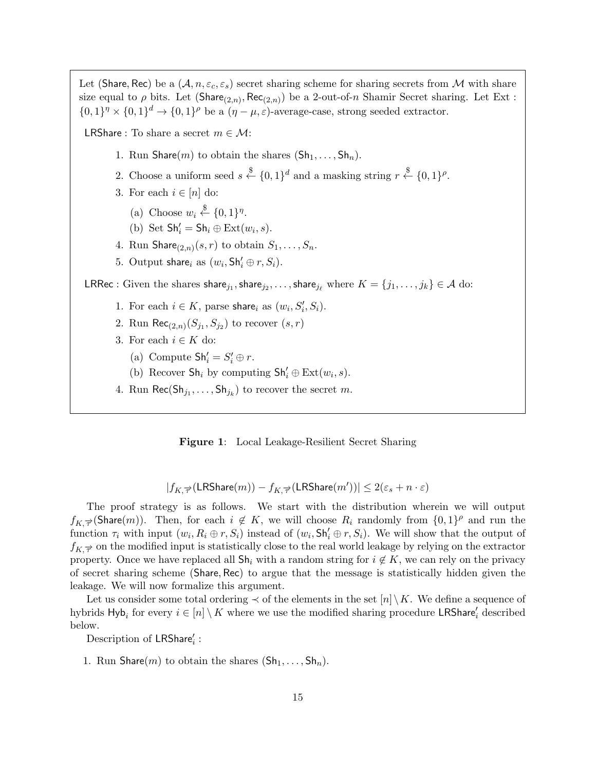Let (Share, Rec) be a  $(A, n, \varepsilon_c, \varepsilon_s)$  secret sharing scheme for sharing secrets from M with share size equal to  $\rho$  bits. Let  $(Share_{(2,n)}, Rec_{(2,n)})$  be a 2-out-of-n Shamir Secret sharing. Let Ext :  $\{0,1\}^{\eta} \times \{0,1\}^d \to \{0,1\}^{\rho}$  be a  $(\eta - \mu, \varepsilon)$ -average-case, strong seeded extractor. LRShare : To share a secret  $m \in \mathcal{M}$ : 1. Run Share(m) to obtain the shares  $(Sh_1, \ldots, Sh_n)$ . 2. Choose a uniform seed  $s \stackrel{\$}{\leftarrow} \{0,1\}^d$  and a masking string  $r \stackrel{\$}{\leftarrow} \{0,1\}^{\rho}$ . 3. For each  $i \in [n]$  do: (a) Choose  $w_i \overset{\$}{\leftarrow} \{0,1\}^{\eta}$ . (b) Set  $\mathsf{Sh}'_i = \mathsf{Sh}_i \oplus \mathrm{Ext}(w_i,s)$ . 4. Run  $\textsf{Share}_{(2,n)}(s,r)$  to obtain  $S_1,\ldots,S_n.$ 5. Output share<sub>i</sub> as  $(w_i, Sh'_i \oplus r, S_i)$ . LRRec : Given the shares share<sub>j1</sub>, share<sub>j2</sub>, . . . , share<sub>je</sub> where  $K = \{j_1, \ldots, j_k\} \in A$  do: 1. For each  $i \in K$ , parse share<sub>i</sub> as  $(w_i, S'_i, S_i)$ . 2. Run  $\mathsf{Rec}_{(2,n)}(S_{j_1},S_{j_2})$  to recover  $(s,r)$ 3. For each  $i \in K$  do: (a) Compute  $\mathsf{Sh}_i' = S_i' \oplus r$ . (b) Recover  $\mathsf{Sh}_i$  by computing  $\mathsf{Sh}'_i \oplus \mathrm{Ext}(w_i,s)$ . 4. Run  $\mathsf{Rec}(\mathsf{Sh}_{j_1}, \ldots, \mathsf{Sh}_{j_k})$  to recover the secret  $m$ .

<span id="page-14-0"></span>Figure 1: Local Leakage-Resilient Secret Sharing

$$
|f_{K,\overrightarrow{\tau}}(\textsf{LRShare}(m)) - f_{K,\overrightarrow{\tau}}(\textsf{LRShare}(m'))| \leq 2(\varepsilon_s + n \cdot \varepsilon)
$$

The proof strategy is as follows. We start with the distribution wherein we will output  $f_{K,\vec{\tau}}(\text{Share}(m))$ . Then, for each  $i \notin K$ , we will choose  $R_i$  randomly from  $\{0,1\}^{\rho}$  and run the function  $\tau_i$  with input  $(w_i, R_i \oplus r, S_i)$  instead of  $(w_i, \mathsf{Sh}'_i \oplus r, S_i)$ . We will show that the output of  $f_{K,\vec{\tau}}$  on the modified input is statistically close to the real world leakage by relying on the extractor property. Once we have replaced all  $\mathsf{Sh}_i$  with a random string for  $i \notin K$ , we can rely on the privacy of secret sharing scheme (Share, Rec) to argue that the message is statistically hidden given the leakage. We will now formalize this argument.

Let us consider some total ordering  $\prec$  of the elements in the set  $[n]\setminus K$ . We define a sequence of hybrids  $\mathsf{Hyb}_i$  for every  $i \in [n] \setminus K$  where we use the modified sharing procedure LRShare'<sub>i</sub> described below.

Description of  $\mathsf{LRShare}_i'$  :

1. Run Share(*m*) to obtain the shares  $(Sh_1, \ldots, Sh_n)$ .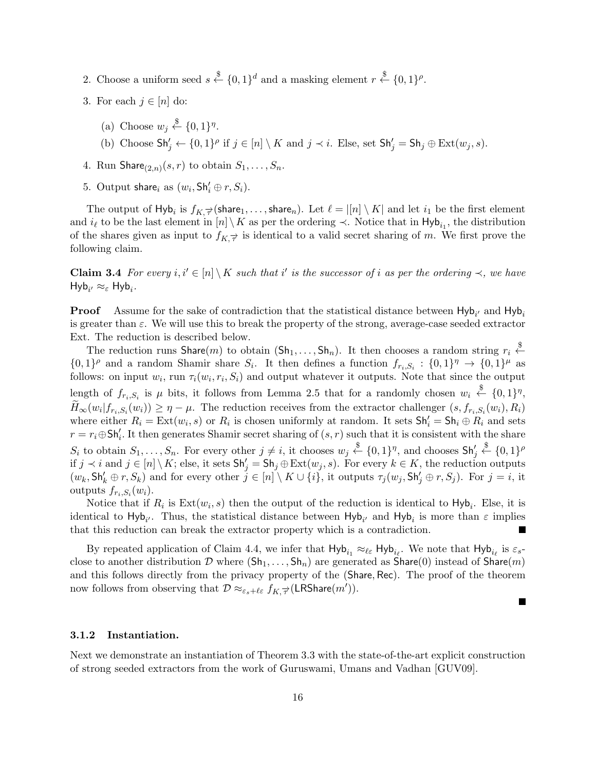- 2. Choose a uniform seed  $s \stackrel{\$}{\leftarrow} \{0,1\}^d$  and a masking element  $r \stackrel{\$}{\leftarrow} \{0,1\}^{\rho}$ .
- 3. For each  $j \in [n]$  do:
	- (a) Choose  $w_j \overset{\$}{\leftarrow} \{0,1\}^{\eta}$ .

(b) Choose  $\mathsf{Sh}'_j \leftarrow \{0,1\}^\rho$  if  $j \in [n] \setminus K$  and  $j \prec i$ . Else, set  $\mathsf{Sh}'_j = \mathsf{Sh}_j \oplus \mathrm{Ext}(w_j, s)$ .

- 4. Run  $\textsf{Share}_{(2,n)}(s,r)$  to obtain  $S_1,\ldots,S_n.$
- 5. Output share<sub>i</sub> as  $(w_i, Sh'_i \oplus r, S_i)$ .

The output of  $Hy{\bf b}_i$  is  $f_{K,\overrightarrow{\tau}}(\mathsf{share}_1,\ldots,\mathsf{share}_n)$ . Let  $\ell=|[n]\setminus K|$  and let  $i_1$  be the first element and  $i_\ell$  to be the last element in  $[n] \setminus K$  as per the ordering  $\prec$ . Notice that in  $Hyb_{i_1}$ , the distribution of the shares given as input to  $f_{K,\vec{\tau}}$  is identical to a valid secret sharing of m. We first prove the following claim.

**Claim 3.4** For every  $i, i' \in [n] \setminus K$  such that i' is the successor of i as per the ordering  $\prec$ , we have  $\mathsf{Hyb}_{i'} \approx_{\varepsilon} \mathsf{Hyb}_i.$ 

**Proof** Assume for the sake of contradiction that the statistical distance between  $\text{Hyb}_{i'}$  and  $\text{Hyb}_{i}$ is greater than  $\varepsilon$ . We will use this to break the property of the strong, average-case seeded extractor Ext. The reduction is described below.

The reduction runs Share $(m)$  to obtain  $(\textsf{Sh}_1,\ldots,\textsf{Sh}_n)$ . It then chooses a random string  $r_i \overset{\$}{\leftarrow}$  $\{0,1\}^p$  and a random Shamir share  $S_i$ . It then defines a function  $f_{r_i,S_i}: \{0,1\}^p \to \{0,1\}^{\mu}$  as follows: on input  $w_i$ , run  $\tau_i(w_i, r_i, S_i)$  and output whatever it outputs. Note that since the output length of  $f_{r_i, S_i}$  is  $\mu$  bits, it follows from Lemma [2.5](#page-11-2) that for a randomly chosen  $w_i \stackrel{\$}{\leftarrow} \{0,1\}^{\eta}$ ,  $H_{\infty}(w_i|f_{r_i,S_i}(w_i)) \geq \eta - \mu$ . The reduction receives from the extractor challenger  $(s, f_{r_i,S_i}(w_i), R_i)$ where either  $R_i = \text{Ext}(w_i, s)$  or  $R_i$  is chosen uniformly at random. It sets  $\text{Sh}'_i = \text{Sh}_i \oplus R_i$  and sets  $r = r_i \oplus Sh'_i$ . It then generates Shamir secret sharing of  $(s, r)$  such that it is consistent with the share  $S_i$  to obtain  $S_1, \ldots, S_n$ . For every other  $j \neq i$ , it chooses  $w_j \stackrel{\$}{\leftarrow} \{0,1\}^{\eta}$ , and chooses  $\mathsf{Sh}'_j \stackrel{\$}{\leftarrow} \{0,1\}^{\rho}$ if  $j \prec i$  and  $j \in [n] \setminus K$ ; else, it sets  $\mathsf{Sh}'_j = \mathsf{Sh}_j \oplus \mathrm{Ext}(w_j, s)$ . For every  $k \in K$ , the reduction outputs  $(w_k, \mathsf{Sh}'_k \oplus r, S_k)$  and for every other  $j \in [n] \setminus K \cup \{i\}$ , it outputs  $\tau_j(w_j, \mathsf{Sh}'_j \oplus r, S_j)$ . For  $j = i$ , it outputs  $f_{r_i, S_i}(w_i)$ .

Notice that if  $R_i$  is  $Ext(w_i, s)$  then the output of the reduction is identical to  $H_yb_i$ . Else, it is identical to Hyb<sub>i</sub>. Thus, the statistical distance between  $Hyb_{i'}$  and  $Hyb_i$  is more than  $\varepsilon$  implies that this reduction can break the extractor property which is a contradiction. **In the Second State** 

By repeated application of Claim [4.4,](#page-23-1) we infer that  $Hyb_{i_1} \approx_{\ell \varepsilon} Hyb_{i_\ell}$ . We note that  $Hyb_{i_\ell}$  is  $\varepsilon_s$ close to another distribution D where  $(Sh_1, \ldots, Sh_n)$  are generated as Share $(0)$  instead of Share $(m)$ and this follows directly from the privacy property of the (Share, Rec). The proof of the theorem now follows from observing that  $\mathcal{D} \approx_{\varepsilon_s+\ell\varepsilon} f_{K,\overrightarrow{\tau}}(\mathsf{LRShare}(m')).$ 

ш

#### <span id="page-15-0"></span>3.1.2 Instantiation.

<span id="page-15-1"></span>Next we demonstrate an instantiation of Theorem [3.3](#page-13-1) with the state-of-the-art explicit construction of strong seeded extractors from the work of Guruswami, Umans and Vadhan [\[GUV09\]](#page-39-9).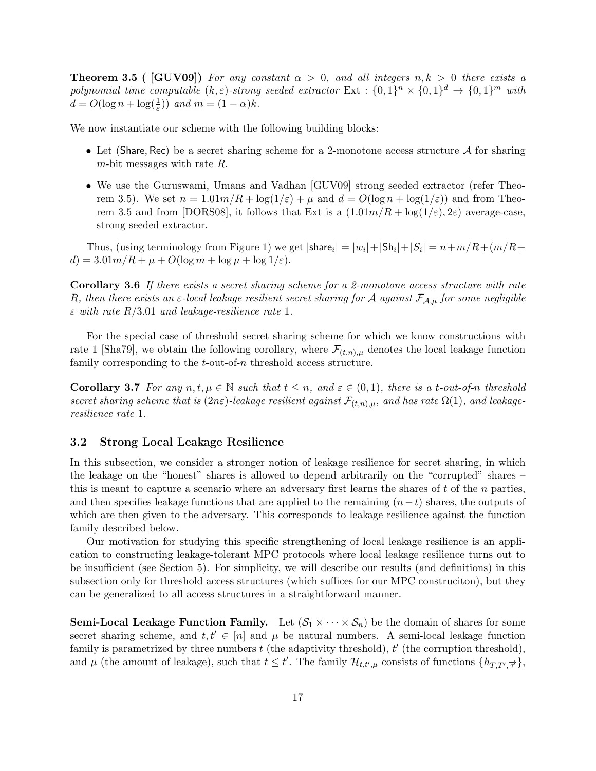**Theorem 3.5 ( [\[GUV09\]](#page-39-9))** For any constant  $\alpha > 0$ , and all integers  $n, k > 0$  there exists a polynomial time computable  $(k,\varepsilon)$ -strong seeded extractor Ext :  $\{0,1\}^n \times \{0,1\}^d \to \{0,1\}^m$  with  $d = O(\log n + \log(\frac{1}{\varepsilon}))$  and  $m = (1 - \alpha)k$ .

We now instantiate our scheme with the following building blocks:

- Let (Share, Rec) be a secret sharing scheme for a 2-monotone access structure  $A$  for sharing m-bit messages with rate R.
- We use the Guruswami, Umans and Vadhan [\[GUV09\]](#page-39-9) strong seeded extractor (refer Theo-rem [3.5\)](#page-15-1). We set  $n = 1.01m/R + \log(1/\varepsilon) + \mu$  and  $d = O(\log n + \log(1/\varepsilon))$  and from Theo-rem [3.5](#page-15-1) and from [\[DORS08\]](#page-38-10), it follows that Ext is a  $(1.01m/R + \log(1/\varepsilon), 2\varepsilon)$  average-case. strong seeded extractor.

Thus, (using terminology from Figure [1\)](#page-14-0) we get  $|\mathsf{share}_i| = |w_i| + |\mathsf{Sh}_i| + |S_i| = n + m/R + (m/R +$  $d$ ) = 3.01m/R +  $\mu$  + O(log m + log  $\mu$  + log 1/ $\varepsilon$ ).

Corollary 3.6 If there exists a secret sharing scheme for a 2-monotone access structure with rate R, then there exists an  $\varepsilon$ -local leakage resilient secret sharing for A against  $\mathcal{F}_{\mathcal{A},\mu}$  for some negligible  $\varepsilon$  with rate  $R/3.01$  and leakage-resilience rate 1.

For the special case of threshold secret sharing scheme for which we know constructions with rate 1 [\[Sha79\]](#page-40-1), we obtain the following corollary, where  $\mathcal{F}_{(t,n),\mu}$  denotes the local leakage function family corresponding to the t-out-of-n threshold access structure.

**Corollary 3.7** For any  $n, t, \mu \in \mathbb{N}$  such that  $t \leq n$ , and  $\varepsilon \in (0, 1)$ , there is a t-out-of-n threshold secret sharing scheme that is  $(2n\varepsilon)$ -leakage resilient against  $\mathcal{F}_{(t,n),\mu}$ , and has rate  $\Omega(1)$ , and leakageresilience rate 1.

#### <span id="page-16-0"></span>3.2 Strong Local Leakage Resilience

In this subsection, we consider a stronger notion of leakage resilience for secret sharing, in which the leakage on the "honest" shares is allowed to depend arbitrarily on the "corrupted" shares – this is meant to capture a scenario where an adversary first learns the shares of  $t$  of the  $n$  parties, and then specifies leakage functions that are applied to the remaining  $(n-t)$  shares, the outputs of which are then given to the adversary. This corresponds to leakage resilience against the function family described below.

Our motivation for studying this specific strengthening of local leakage resilience is an application to constructing leakage-tolerant MPC protocols where local leakage resilience turns out to be insufficient (see Section [5\)](#page-26-0). For simplicity, we will describe our results (and definitions) in this subsection only for threshold access structures (which suffices for our MPC construciton), but they can be generalized to all access structures in a straightforward manner.

**Semi-Local Leakage Function Family.** Let  $(S_1 \times \cdots \times S_n)$  be the domain of shares for some secret sharing scheme, and  $t, t' \in [n]$  and  $\mu$  be natural numbers. A semi-local leakage function family is parametrized by three numbers  $t$  (the adaptivity threshold),  $t'$  (the corruption threshold), and  $\mu$  (the amount of leakage), such that  $t \leq t'$ . The family  $\mathcal{H}_{t,t',\mu}$  consists of functions  $\{h_{T,T',\vec{\tau}}\},$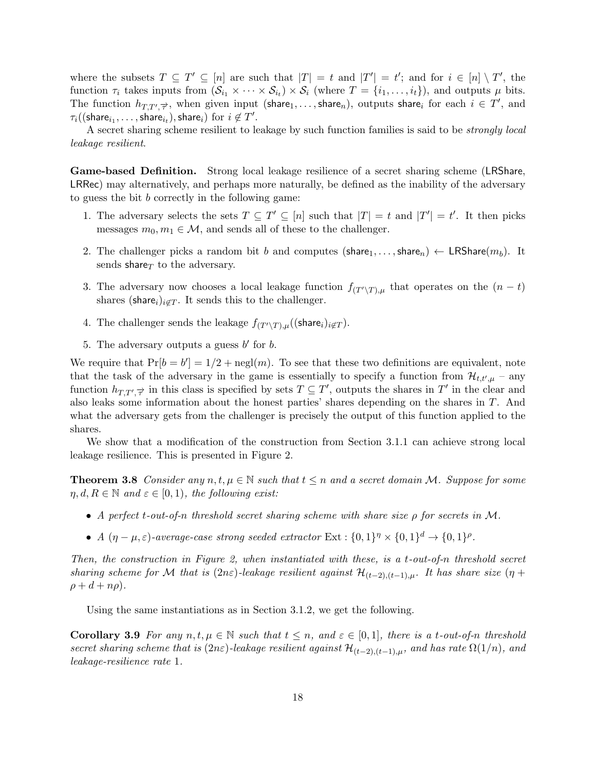where the subsets  $T \subseteq T' \subseteq [n]$  are such that  $|T| = t$  and  $|T'| = t'$ ; and for  $i \in [n] \setminus T'$ , the function  $\tau_i$  takes inputs from  $(\mathcal{S}_{i_1} \times \cdots \times \mathcal{S}_{i_t}) \times \mathcal{S}_i$  (where  $T = \{i_1, \ldots, i_t\}$ ), and outputs  $\mu$  bits. The function  $h_{T,T',\vec{\tau}},$  when given input (share<sub>1</sub>,...,share<sub>n</sub>), outputs share<sub>i</sub> for each  $i \in T'$ , and  $\tau_i((\textsf{share}_{i_1}, \ldots, \textsf{share}_{i_t}), \textsf{share}_i) \text{ for } i \notin T'.$ 

A secret sharing scheme resilient to leakage by such function families is said to be strongly local leakage resilient.

Game-based Definition. Strong local leakage resilience of a secret sharing scheme (LRShare, LRRec) may alternatively, and perhaps more naturally, be defined as the inability of the adversary to guess the bit b correctly in the following game:

- 1. The adversary selects the sets  $T \subseteq T' \subseteq [n]$  such that  $|T| = t$  and  $|T'| = t'$ . It then picks messages  $m_0, m_1 \in \mathcal{M}$ , and sends all of these to the challenger.
- 2. The challenger picks a random bit b and computes (share $_1, \ldots,$ share $_n$ )  $\leftarrow$  LRShare $(m_b)$ . It sends share  $\tau$  to the adversary.
- 3. The adversary now chooses a local leakage function  $f(T^{\prime}\Upsilon)_{,\mu}$  that operates on the  $(n t)$ shares (share<sub>i</sub>)<sub>i∉T</sub>. It sends this to the challenger.
- 4. The challenger sends the leakage  $f_{(T'\Upsilon),\mu}((\text{share}_i)_{i\not\in T}).$
- 5. The adversary outputs a guess  $b'$  for  $b$ .

We require that  $Pr[b = b'] = 1/2 + negl(m)$ . To see that these two definitions are equivalent, note that the task of the adversary in the game is essentially to specify a function from  $\mathcal{H}_{t,t',\mu}$  – any function  $h_{T,T',\vec{\tau}}$  in this class is specified by sets  $T \subseteq T'$ , outputs the shares in T' in the clear and also leaks some information about the honest parties' shares depending on the shares in T. And what the adversary gets from the challenger is precisely the output of this function applied to the shares.

We show that a modification of the construction from Section [3.1.1](#page-13-0) can achieve strong local leakage resilience. This is presented in Figure [2.](#page-18-0)

<span id="page-17-0"></span>**Theorem 3.8** Consider any  $n, t, \mu \in \mathbb{N}$  such that  $t \leq n$  and a secret domain M. Suppose for some  $\eta, d, R \in \mathbb{N}$  and  $\varepsilon \in [0, 1)$ , the following exist:

- A perfect t-out-of-n threshold secret sharing scheme with share size ρ for secrets in M.
- A  $(\eta \mu, \varepsilon)$ -average-case strong seeded extractor Ext :  $\{0,1\}^{\eta} \times \{0,1\}^d \rightarrow \{0,1\}^{\rho}$ .

Then, the construction in Figure [2,](#page-18-0) when instantiated with these, is a t-out-of-n threshold secret sharing scheme for M that is (2nε)-leakage resilient against  $\mathcal{H}_{(t-2),(t-1),\mu}$ . It has share size ( $\eta$  +  $\rho + d + n\rho$ ).

Using the same instantiations as in Section [3.1.2,](#page-15-0) we get the following.

**Corollary 3.9** For any  $n, t, \mu \in \mathbb{N}$  such that  $t \leq n$ , and  $\varepsilon \in [0,1]$ , there is a t-out-of-n threshold secret sharing scheme that is  $(2n\varepsilon)$ -leakage resilient against  $\mathcal{H}_{(t-2),(t-1),\mu}$ , and has rate  $\Omega(1/n)$ , and leakage-resilience rate 1.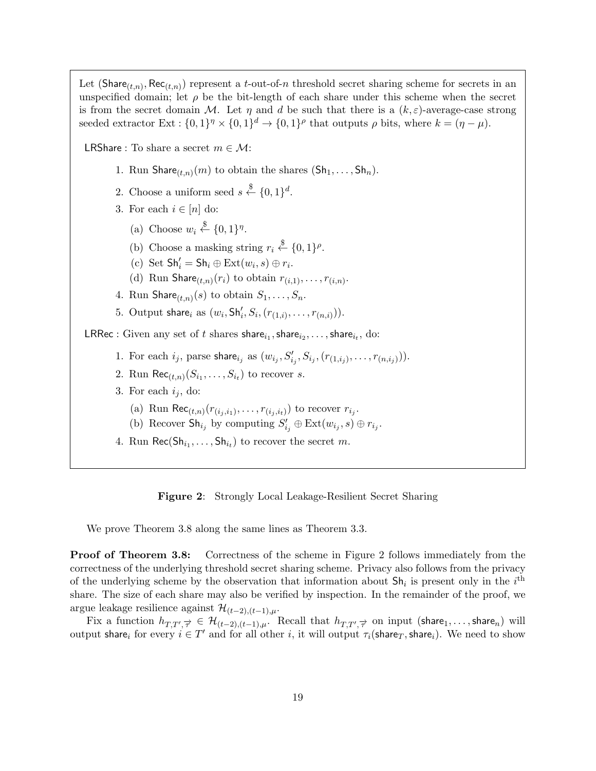Let  $(Share_{(t,n)}, Rec_{(t,n)})$  represent a t-out-of-n threshold secret sharing scheme for secrets in an unspecified domain; let  $\rho$  be the bit-length of each share under this scheme when the secret is from the secret domain M. Let  $\eta$  and d be such that there is a  $(k, \varepsilon)$ -average-case strong seeded extractor Ext :  $\{0,1\}^{\eta} \times \{0,1\}^d \to \{0,1\}^{\rho}$  that outputs  $\rho$  bits, where  $k = (\eta - \mu)$ . **LRShare** : To share a secret  $m \in \mathcal{M}$ : 1. Run Share $(t,n)(m)$  to obtain the shares  $(\textsf{Sh}_1,\ldots,\textsf{Sh}_n)$ . 2. Choose a uniform seed  $s \stackrel{\$}{\leftarrow} \{0,1\}^d$ . 3. For each  $i \in [n]$  do: (a) Choose  $w_i \overset{\$}{\leftarrow} \{0,1\}^{\eta}$ . (b) Choose a masking string  $r_i \stackrel{\$}{\leftarrow} \{0,1\}^{\rho}$ . (c) Set  $\mathsf{Sh}'_i = \mathsf{Sh}_i \oplus \mathrm{Ext}(w_i,s) \oplus r_i.$ (d) Run Share $(t,n)(r_i)$  to obtain  $r_{(i,1)}, \ldots, r_{(i,n)}$ . 4. Run  $\mathsf{Share}_{(t,n)}(s)$  to obtain  $S_1,\ldots,S_n.$ 5. Output share<sub>i</sub> as  $(w_i, Sh'_i, S_i, (r_{(1,i)}, \ldots, r_{(n,i)})).$ LRRec : Given any set of  $t$  shares share $_{i_1}$ , share $_{i_2}, \ldots$ , share $_{i_t}$ , do: 1. For each  $i_j$ , parse share $i_j$  as  $(w_{i_j}, S'_{i_j}, S_{i_j}, (r_{(1,i_j)}, \ldots, r_{(n,i_j)})).$ 2. Run  $\mathsf{Rec}_{(t,n)}(S_{i_1},\ldots,S_{i_t})$  to recover s. 3. For each  $i_j$ , do: (a) Run Rec<sub>(t,n)</sub> $(r_{(i_j,i_1)},\ldots,r_{(i_j,i_t)})$  to recover  $r_{i_j}$ . (b) Recover  $\textsf{Sh}_{i_j}$  by computing  $S'_{i_j} \oplus \text{Ext}(w_{i_j}, s) \oplus r_{i_j}.$ 4. Run  $\mathsf{Rec}(\mathsf{Sh}_{i_1},\ldots,\mathsf{Sh}_{i_t})$  to recover the secret  $m$ .

<span id="page-18-0"></span>Figure 2: Strongly Local Leakage-Resilient Secret Sharing

We prove Theorem [3.8](#page-17-0) along the same lines as Theorem [3.3.](#page-13-1)

**Proof of Theorem [3.8:](#page-17-0)** Correctness of the scheme in Figure [2](#page-18-0) follows immediately from the correctness of the underlying threshold secret sharing scheme. Privacy also follows from the privacy of the underlying scheme by the observation that information about  $\mathsf{Sh}_i$  is present only in the  $i^{\text{th}}$ share. The size of each share may also be verified by inspection. In the remainder of the proof, we argue leakage resilience against  $\mathcal{H}_{(t-2),(t-1),\mu}$ .

Fix a function  $h_{T,T', \vec{\tau}} \in \mathcal{H}_{(t-2),(t-1),\mu}$ . Recall that  $h_{T,T', \vec{\tau}}$  on input (share $_1,\ldots,$ share $_n)$  will output share<sub>i</sub> for every  $i \in T'$  and for all other i, it will output  $\tau_i(\textsf{share}_T, \textsf{share}_i)$ . We need to show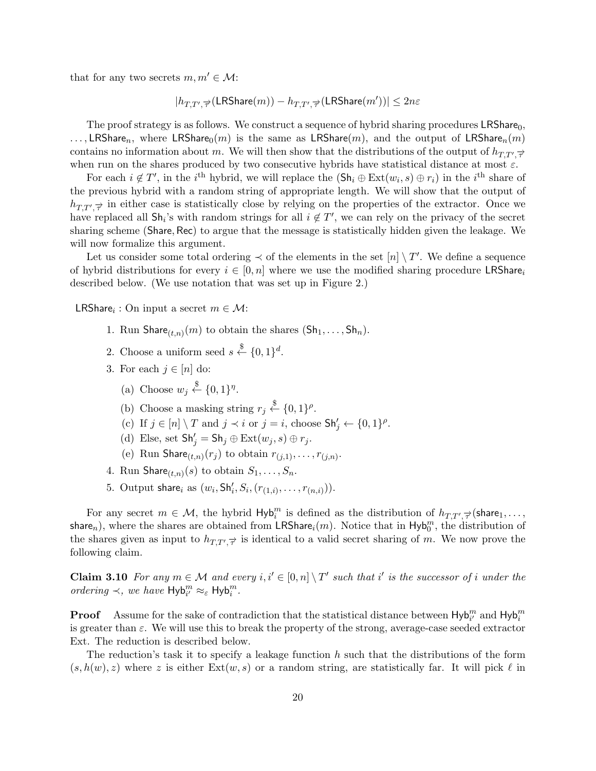that for any two secrets  $m, m' \in \mathcal{M}$ :

$$
|h_{T,T',\overrightarrow{\tau}}(\mathsf{LRShare}(m))-h_{T,T',\overrightarrow{\tau}}(\mathsf{LRShare}(m'))| \leq 2n\varepsilon
$$

The proof strategy is as follows. We construct a sequence of hybrid sharing procedures  $LRShare<sub>0</sub>$ , ..., LRShare<sub>n</sub>, where LRShare<sub>0</sub> $(m)$  is the same as LRShare $(m)$ , and the output of LRShare<sub>n</sub> $(m)$ contains no information about m. We will then show that the distributions of the output of  $h_{T,T',\vec{\tau}}$ when run on the shares produced by two consecutive hybrids have statistical distance at most  $\varepsilon$ .

For each  $i \notin T'$ , in the *i*<sup>th</sup> hybrid, we will replace the  $(Sh_i \oplus Ext(w_i, s) \oplus r_i)$  in the *i*<sup>th</sup> share of the previous hybrid with a random string of appropriate length. We will show that the output of  $h_{T,T',\vec{\tau}}$  in either case is statistically close by relying on the properties of the extractor. Once we have replaced all  $\mathsf{Sh}_i$ 's with random strings for all  $i \notin \mathcal{T}'$ , we can rely on the privacy of the secret sharing scheme (Share, Rec) to argue that the message is statistically hidden given the leakage. We will now formalize this argument.

Let us consider some total ordering  $\prec$  of the elements in the set  $[n] \setminus T'$ . We define a sequence of hybrid distributions for every  $i \in [0, n]$  where we use the modified sharing procedure LRShare<sub>i</sub> described below. (We use notation that was set up in Figure [2.](#page-18-0))

LRShare<sub>i</sub>: On input a secret  $m \in \mathcal{M}$ :

- 1. Run Share $(t,n)(m)$  to obtain the shares  $(\textsf{Sh}_1,\ldots,\textsf{Sh}_n)$ .
- 2. Choose a uniform seed  $s \stackrel{\$}{\leftarrow} \{0,1\}^d$ .
- 3. For each  $j \in [n]$  do:
	- (a) Choose  $w_j \overset{\$}{\leftarrow} \{0,1\}^{\eta}$ .
	- (b) Choose a masking string  $r_j \stackrel{\$}{\leftarrow} \{0,1\}^{\rho}$ .
	- (c) If  $j \in [n] \setminus T$  and  $j \prec i$  or  $j = i$ , choose  $\mathsf{Sh}'_j \leftarrow \{0, 1\}^{\rho}$ .
	- (d) Else, set  $\mathsf{Sh}'_j = \mathsf{Sh}_j \oplus \mathrm{Ext}(w_j, s) \oplus r_j$ .
	- (e) Run Share $(t,n)(r_j)$  to obtain  $r_{(j,1)},\ldots,r_{(j,n)}$ .
- 4. Run Share $(t, n)(s)$  to obtain  $S_1, \ldots, S_n$ .
- 5. Output share<sub>i</sub> as  $(w_i, Sh'_i, S_i, (r_{(1,i)}, \ldots, r_{(n,i)})).$

For any secret  $m \in \mathcal{M}$ , the hybrid  $Hyb_i^m$  is defined as the distribution of  $h_{T,T',\vec{\tau}}$  (share<sub>1</sub>, ...,  ${\sf share}_n),$  where the shares are obtained from LRShare $_i(m).$  Notice that in  ${\sf Hyb}_0^m,$  the distribution of the shares given as input to  $h_{T,T',\vec{\tau}}$  is identical to a valid secret sharing of m. We now prove the following claim.

**Claim 3.10** For any  $m \in \mathcal{M}$  and every  $i, i' \in [0, n] \setminus T'$  such that i' is the successor of i under the ordering  $\prec$ , we have  $\text{Hyb}_{i'}^m \approx_{\varepsilon} \text{Hyb}_{i}^m$ .

**Proof** Assume for the sake of contradiction that the statistical distance between  $Hyb_{i'}^m$  and  $Hyb_i^m$ is greater than  $\varepsilon$ . We will use this to break the property of the strong, average-case seeded extractor Ext. The reduction is described below.

The reduction's task it to specify a leakage function  $h$  such that the distributions of the form  $(s, h(w), z)$  where z is either  $Ext(w, s)$  or a random string, are statistically far. It will pick  $\ell$  in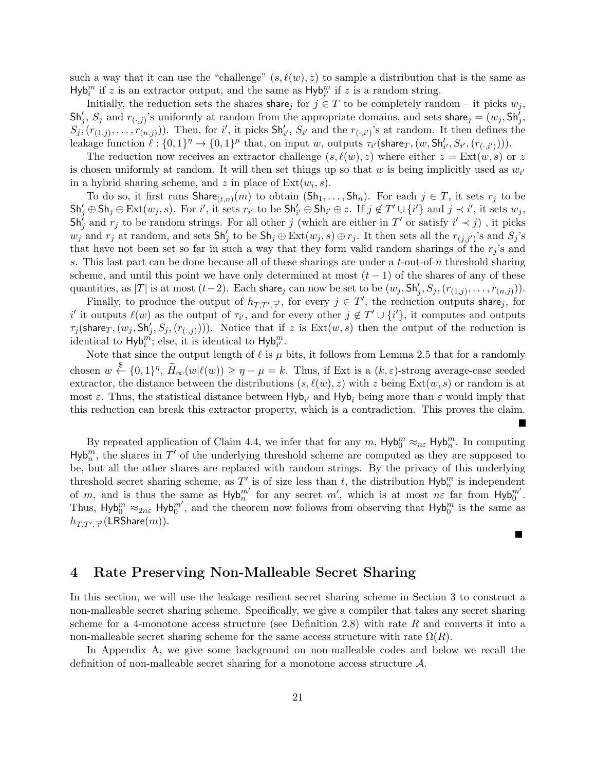such a way that it can use the "challenge"  $(s, \ell(w), z)$  to sample a distribution that is the same as  $\text{Hyb}_{i}^{m}$  if z is an extractor output, and the same as  $\text{Hyb}_{i'}^{m}$  if z is a random string.

Initially, the reduction sets the shares share for  $j \in T$  to be completely random – it picks  $w_j$ ,  $\mathsf{Sh}'_j$ ,  $S_j$  and  $r_{(\cdot,j)}$ 's uniformly at random from the appropriate domains, and sets share $j = (w_j, \mathsf{Sh}'_j, \mathsf{Sh}'_j)$  $S_j$ ,  $(r_{(1,j)},\ldots,r_{(n,j)}')$ ). Then, for i', it picks  $\mathsf{Sh}'_{i'}$ ,  $S_{i'}$  and the  $r_{(\cdot,i')}$ 's at random. It then defines the leakage function  $\ell : \{0,1\}^{\eta} \to \{0,1\}^{\mu}$  that, on input w, outputs  $\tau_{i'}$  (share  $T$ ,  $(w, Sh'_{i'}, S_{i'}, (r_{(\cdot,i')}))$ ).

The reduction now receives an extractor challenge  $(s, \ell(w), z)$  where either  $z = \text{Ext}(w, s)$  or z is chosen uniformly at random. It will then set things up so that w is being implicitly used as  $w_{i'}$ in a hybrid sharing scheme, and z in place of  $\text{Ext}(w_i, s)$ .

To do so, it first runs  $\mathsf{Share}_{(t,n)}(m)$  to obtain  $(\mathsf{Sh}_1,\ldots,\mathsf{Sh}_n)$ . For each  $j \in T$ , it sets  $r_j$  to be  $\mathsf{Sh}'_j \oplus \mathsf{Sh}_j \oplus \mathrm{Ext}(w_j, s)$ . For i', it sets  $r_{i'}$  to be  $\mathsf{Sh}'_{i'} \oplus \mathsf{Sh}_{i'} \oplus z$ . If  $j \notin T' \cup \{i'\}$  and  $j \prec i'$ , it sets  $w_j$ ,  $\text{Sh}_j^j$  and  $r_j$  to be random strings. For all other j (which are either in T' or satisfy  $i' \prec j$ ), it picks  $w_j$  and  $r_j$  at random, and sets  $\mathsf{Sh}'_j$  to be  $\mathsf{Sh}_j \oplus \text{Ext}(w_j, s) \oplus r_j$ . It then sets all the  $r_{(j,j')}$ 's and  $S_j$ 's that have not been set so far in such a way that they form valid random sharings of the  $r_j$ 's and s. This last part can be done because all of these sharings are under a  $t$ -out-of-n threshold sharing scheme, and until this point we have only determined at most  $(t-1)$  of the shares of any of these quantities, as |T| is at most  $(t-2)$ . Each share<sub>j</sub> can now be set to be  $(w_j, Sh'_j, S_j, (r_{(1,j)}, \ldots, r_{(n,j)})).$ 

Finally, to produce the output of  $h_{T,T',\vec{\tau}},$  for every  $j \in T'$ , the reduction outputs share, for i' it outputs  $\ell(w)$  as the output of  $\tau_{i'}$ , and for every other  $j \notin T' \cup \{i'\}$ , it computes and outputs  $\tau_j(\text{share}_T,(w_j, \text{Sh}'_j, S_j, (r_{(.,j)})))$ . Notice that if z is  $\text{Ext}(w, s)$  then the output of the reduction is identical to  $\mathsf{Hyb}_{i}^{m}$ ; else, it is identical to  $\mathsf{Hyb}_{i'}^{m}$ .

Note that since the output length of  $\ell$  is  $\mu$  bits, it follows from Lemma [2.5](#page-11-2) that for a randomly chosen  $w \stackrel{\$}{\leftarrow} \{0,1\}^{\eta}, \tilde{H}_{\infty}(w|\ell(w)) \geq \eta - \mu = k$ . Thus, if Ext is a  $(k, \varepsilon)$ -strong average-case seeded extractor, the distance between the distributions  $(s, \ell(w), z)$  with z being  $Ext(w, s)$  or random is at most  $\varepsilon$ . Thus, the statistical distance between  $Hyb_{i'}$  and  $Hyb_{i}$  being more than  $\varepsilon$  would imply that this reduction can break this extractor property, which is a contradiction. This proves the claim.

**The Second Second** 

By repeated application of Claim [4.4,](#page-23-1) we infer that for any  $m$ ,  $Hyb_0^m \approx_{n \epsilon} Hyb_n^m$ . In computing  $\text{Hyb}_n^m$ , the shares in T' of the underlying threshold scheme are computed as they are supposed to be, but all the other shares are replaced with random strings. By the privacy of this underlying threshold secret sharing scheme, as T' is of size less than t, the distribution  $\mathsf{Hyb}_n^m$  is independent of m, and is thus the same as  $Hyb_n^{m'}$  for any secret m', which is at most  $n \in \mathbb{R}$  far from  $Hyb_0^{m'}$ . Thus,  $H_y b_0^m \approx_{2n\varepsilon} H_y b_0^{m'}$ , and the theorem now follows from observing that  $H_y b_0^m$  is the same as  $h_{T,T',\overrightarrow{\tau}}(\mathsf{LRShare}(m)).$ 

### <span id="page-20-0"></span>4 Rate Preserving Non-Malleable Secret Sharing

In this section, we will use the leakage resilient secret sharing scheme in Section [3](#page-12-0) to construct a non-malleable secret sharing scheme. Specifically, we give a compiler that takes any secret sharing scheme for a 4-monotone access structure (see Definition [2.8\)](#page-11-1) with rate  $R$  and converts it into a non-malleable secret sharing scheme for the same access structure with rate  $\Omega(R)$ .

In Appendix [A,](#page-40-0) we give some background on non-malleable codes and below we recall the definition of non-malleable secret sharing for a monotone access structure A.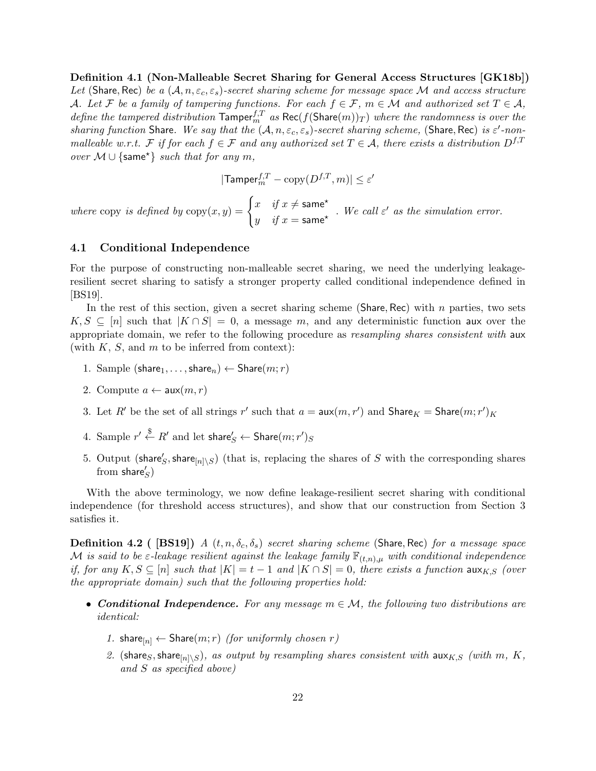Definition 4.1 (Non-Malleable Secret Sharing for General Access Structures [\[GK18b\]](#page-39-5)) Let (Share, Rec) be a  $(A, n, \varepsilon_c, \varepsilon_s)$ -secret sharing scheme for message space M and access structure A. Let F be a family of tampering functions. For each  $f \in \mathcal{F}$ ,  $m \in \mathcal{M}$  and authorized set  $T \in \mathcal{A}$ , define the tampered distribution  $\text{Tamper}_m^{f,T}$  as  $\text{Rec}(f(\text{Share}(m))_T)$  where the randomness is over the sharing function Share. We say that the  $(A, n, \varepsilon_c, \varepsilon_s)$ -secret sharing scheme, (Share, Rec) is  $\varepsilon'$ -nonmalleable w.r.t. F if for each  $f \in \mathcal{F}$  and any authorized set  $T \in \mathcal{A}$ , there exists a distribution  $D^{f,T}$ *over*  $M \cup \{same^*\}$  *such that for any m,* 

$$
|\textsf{Tamper}_m^{f,T} - \text{copy}(D^{f,T},m)| \leq \varepsilon'
$$

where copy is defined by  $\text{copy}(x, y) = \begin{cases} x & \text{if } x \neq \textsf{same}^{\star} \\ y & \text{if } y \neq \textsf{some} \end{cases}$  $y$  if  $x = \text{same}^*$ . We call  $\varepsilon'$  as the simulation error.

#### <span id="page-21-0"></span>4.1 Conditional Independence

For the purpose of constructing non-malleable secret sharing, we need the underlying leakageresilient secret sharing to satisfy a stronger property called conditional independence defined in [\[BS19\]](#page-37-4).

In the rest of this section, given a secret sharing scheme (Share, Rec) with n parties, two sets  $K, S \subseteq [n]$  such that  $|K \cap S| = 0$ , a message m, and any deterministic function aux over the appropriate domain, we refer to the following procedure as resampling shares consistent with aux (with  $K, S$ , and  $m$  to be inferred from context):

- 1. Sample (share<sub>1</sub>, ..., share<sub>n</sub>) ← Share( $m; r$ )
- 2. Compute  $a \leftarrow \text{aux}(m, r)$
- 3. Let R' be the set of all strings  $r'$  such that  $a = \text{aux}(m, r')$  and  $\text{Share}_K = \text{Share}(m; r')_K$
- 4. Sample  $r' \stackrel{\$} {\leftarrow} R'$  and let  $\mathsf{share}'_S \leftarrow \mathsf{Share}(m;r')_S$
- 5. Output (share's, share $_{[n]\setminus S}$ ) (that is, replacing the shares of S with the corresponding shares from  $\operatorname{\sf share}'_S)$

With the above terminology, we now define leakage-resilient secret sharing with conditional independence (for threshold access structures), and show that our construction from Section [3](#page-12-0) satisfies it.

**Definition 4.2 (** [\[BS19\]](#page-37-4)) A  $(t, n, \delta_c, \delta_s)$  secret sharing scheme (Share, Rec) for a message space M is said to be  $\varepsilon$ -leakage resilient against the leakage family  $\mathbb{F}_{(t,n),\mu}$  with conditional independence if, for any  $K, S \subseteq [n]$  such that  $|K| = t - 1$  and  $|K \cap S| = 0$ , there exists a function  $\mathsf{aux}_{K,S}$  (over the appropriate domain) such that the following properties hold:

- Conditional Independence. For any message  $m \in \mathcal{M}$ , the following two distributions are identical:
	- 1. share $\{n\} \leftarrow$  Share $(m;r)$  (for uniformly chosen r)
	- 2. (share<sub>S</sub>, share<sub>[n]</sub>\s), as output by resampling shares consistent with  $aux_{K,S}$  (with  $m, K$ , and S as specified above)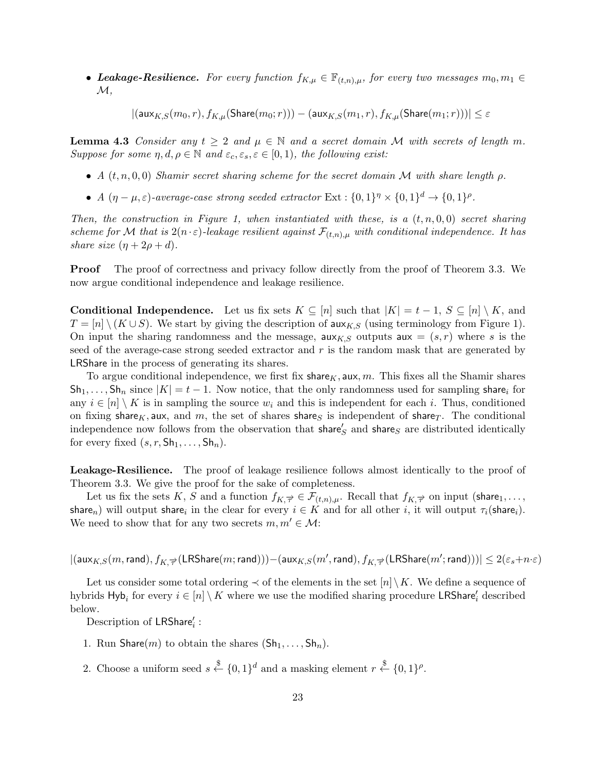• Leakage-Resilience. For every function  $f_{K,\mu} \in \mathbb{F}_{(t,n),\mu}$ , for every two messages  $m_0, m_1 \in$  $\mathcal{M},$ 

 $|(aux_{K,S}(m_0,r), f_{K,u}(Share(m_0;r))) - (aux_{K,S}(m_1,r), f_{K,u}(Share(m_1;r)))| \leq \varepsilon$ 

**Lemma 4.3** Consider any  $t \geq 2$  and  $\mu \in \mathbb{N}$  and a secret domain M with secrets of length m. Suppose for some  $\eta, d, \rho \in \mathbb{N}$  and  $\varepsilon_c, \varepsilon_s, \varepsilon \in [0, 1)$ , the following exist:

- A  $(t, n, 0, 0)$  Shamir secret sharing scheme for the secret domain M with share length  $\rho$ .
- A  $(\eta \mu, \varepsilon)$ -average-case strong seeded extractor Ext :  $\{0,1\}^{\eta} \times \{0,1\}^d \rightarrow \{0,1\}^{\rho}$ .

Then, the construction in Figure [1,](#page-14-0) when instantiated with these, is a  $(t, n, 0, 0)$  secret sharing scheme for M that is  $2(n \cdot \varepsilon)$ -leakage resilient against  $\mathcal{F}_{(t,n),\mu}$  with conditional independence. It has share size  $(\eta + 2\rho + d)$ .

Proof The proof of correctness and privacy follow directly from the proof of Theorem [3.3.](#page-13-1) We now argue conditional independence and leakage resilience.

**Conditional Independence.** Let us fix sets  $K \subseteq [n]$  such that  $|K| = t - 1$ ,  $S \subseteq [n] \setminus K$ , and  $T = [n] \setminus (K \cup S)$ . We start by giving the description of aux<sub>K,S</sub> (using terminology from Figure [1\)](#page-14-0). On input the sharing randomness and the message,  $aux_{K,S}$  outputs aux  $=(s,r)$  where s is the seed of the average-case strong seeded extractor and r is the random mask that are generated by LRShare in the process of generating its shares.

To argue conditional independence, we first fix share<sub>K</sub>, aux, m. This fixes all the Shamir shares  $\mathsf{Sh}_1, \ldots, \mathsf{Sh}_n$  since  $|K| = t - 1$ . Now notice, that the only randomness used for sampling share, for any  $i \in [n] \setminus K$  is in sampling the source  $w_i$  and this is independent for each i. Thus, conditioned on fixing share<sub>K</sub>, aux, and m, the set of shares share<sub>S</sub> is independent of share<sub>T</sub>. The conditional independence now follows from the observation that  $\textsf{share}'_S$  and  $\textsf{share}_S$  are distributed identically for every fixed  $(s, r, Sh_1, \ldots, Sh_n)$ .

Leakage-Resilience. The proof of leakage resilience follows almost identically to the proof of Theorem [3.3.](#page-13-1) We give the proof for the sake of completeness.

Let us fix the sets K, S and a function  $f_{K,\vec{\tau}} \in \mathcal{F}_{(t,n),\mu}$ . Recall that  $f_{K,\vec{\tau}}$  on input (share<sub>1</sub>, ..., share<sub>n</sub>) will output share<sub>i</sub> in the clear for every  $i \in K$  and for all other i, it will output  $\tau_i$ (share<sub>i</sub>). We need to show that for any two secrets  $m, m' \in \mathcal{M}$ :

 $|(\mathsf{aux}_{K,S}(m,\mathsf{rand}), f_{K,\overrightarrow{\tau}}(\mathsf{LRShare}(m;\mathsf{rand}))) - (\mathsf{aux}_{K,S}(m',\mathsf{rand}), f_{K,\overrightarrow{\tau}}(\mathsf{LRShare}(m';\mathsf{rand})))| \leq 2(\varepsilon_s+n\cdot\varepsilon)$ 

Let us consider some total ordering  $\prec$  of the elements in the set  $[n]\setminus K$ . We define a sequence of hybrids  $\mathsf{Hyb}_i$  for every  $i \in [n] \setminus K$  where we use the modified sharing procedure LRShare'<sub>i</sub> described below.

Description of  $\mathsf{LRShare}_i'$  :

- 1. Run Share(m) to obtain the shares  $(Sh_1, \ldots, Sh_n)$ .
- 2. Choose a uniform seed  $s \stackrel{\$}{\leftarrow} \{0,1\}^d$  and a masking element  $r \stackrel{\$}{\leftarrow} \{0,1\}^{\rho}$ .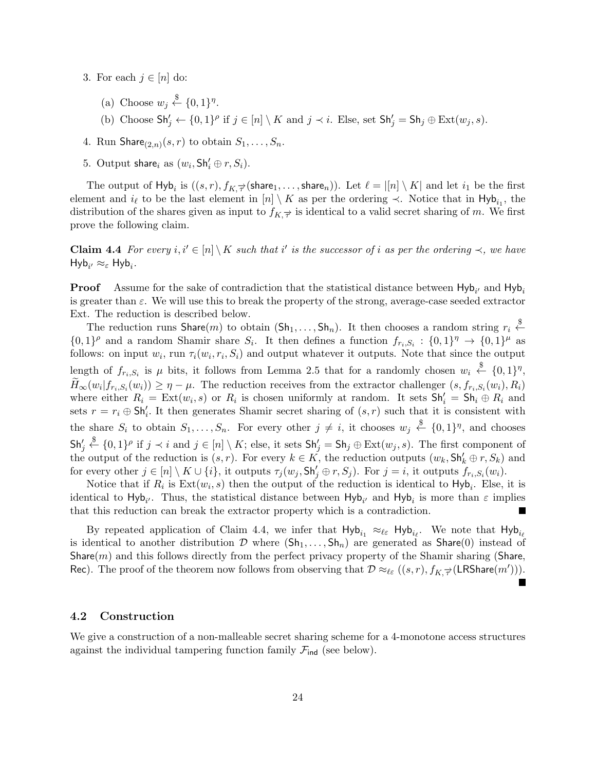- 3. For each  $j \in [n]$  do:
	- (a) Choose  $w_j \overset{\$}{\leftarrow} \{0,1\}^{\eta}$ .
	- (b) Choose  $\mathsf{Sh}'_j \leftarrow \{0,1\}^\rho$  if  $j \in [n] \setminus K$  and  $j \prec i$ . Else, set  $\mathsf{Sh}'_j = \mathsf{Sh}_j \oplus \text{Ext}(w_j, s)$ .
- 4. Run  $\textsf{Share}_{(2,n)}(s,r)$  to obtain  $S_1,\ldots,S_n.$
- 5. Output share<sub>i</sub> as  $(w_i, Sh'_i \oplus r, S_i)$ .

The output of  $H$ yb $_i$  is  $((s, r), f_{K,\overrightarrow{\tau}}(\mathsf{share}_1, \ldots, \mathsf{share}_n)).$  Let  $\ell = |[n] \setminus K|$  and let  $i_1$  be the first element and  $i_{\ell}$  to be the last element in  $[n] \setminus K$  as per the ordering  $\prec$ . Notice that in  $Hyb_{i_1}$ , the distribution of the shares given as input to  $f_{K,\vec{\tau}}$  is identical to a valid secret sharing of m. We first prove the following claim.

<span id="page-23-1"></span>**Claim 4.4** For every  $i, i' \in [n] \setminus K$  such that i' is the successor of i as per the ordering  $\prec$ , we have  $\mathsf{Hyb}_{i'} \approx_{\varepsilon} \mathsf{Hyb}_i.$ 

**Proof** Assume for the sake of contradiction that the statistical distance between  $\text{Hyb}_{i'}$  and  $\text{Hyb}_{i}$ is greater than  $\varepsilon$ . We will use this to break the property of the strong, average-case seeded extractor Ext. The reduction is described below.

The reduction runs Share $(m)$  to obtain  $(\textsf{Sh}_1,\ldots,\textsf{Sh}_n)$ . It then chooses a random string  $r_i \overset{\$}{\leftarrow}$  $\{0,1\}^{\rho}$  and a random Shamir share  $S_i$ . It then defines a function  $f_{r_i,S_i}: \{0,1\}^{\eta} \to \{0,1\}^{\mu}$  as follows: on input  $w_i$ , run  $\tau_i(w_i, r_i, S_i)$  and output whatever it outputs. Note that since the output length of  $f_{r_i, S_i}$  is  $\mu$  bits, it follows from Lemma [2.5](#page-11-2) that for a randomly chosen  $w_i \stackrel{\$}{\leftarrow} \{0,1\}^{\eta}$ ,  $H_{\infty}(w_i|f_{r_i,S_i}(w_i)) \geq \eta - \mu$ . The reduction receives from the extractor challenger  $(s, f_{r_i,S_i}(w_i), R_i)$ where either  $R_i = \text{Ext}(w_i, s)$  or  $R_i$  is chosen uniformly at random. It sets  $\text{Sh}'_i = \text{Sh}_i \oplus R_i$  and sets  $r = r_i \oplus Sh'_i$ . It then generates Shamir secret sharing of  $(s, r)$  such that it is consistent with the share  $S_i$  to obtain  $S_1,\ldots,S_n$ . For every other  $j \neq i$ , it chooses  $w_j \stackrel{\$}{\leftarrow} \{0,1\}^{\eta}$ , and chooses  $\mathsf{Sh}'_j \overset{\$}{\leftarrow} \{0,1\}^\rho$  if  $j \prec i$  and  $j \in [n] \setminus K$ ; else, it sets  $\mathsf{Sh}'_j = \mathsf{Sh}_j \oplus \text{Ext}(w_j, s)$ . The first component of the output of the reduction is  $(s, r)$ . For every  $k \in K$ , the reduction outputs  $(w_k, \mathsf{Sh}'_k \oplus r, S_k)$  and for every other  $j \in [n] \setminus K \cup \{i\}$ , it outputs  $\tau_j(w_j, \mathsf{Sh}'_j \oplus r, S_j)$ . For  $j = i$ , it outputs  $f_{r_i, S_i}(w_i)$ .

Notice that if  $R_i$  is  $Ext(w_i, s)$  then the output of the reduction is identical to  $Hyb_i$ . Else, it is identical to Hyb<sub>i</sub>. Thus, the statistical distance between  $Hyb_{i'}$  and  $Hyb_i$  is more than  $\varepsilon$  implies that this reduction can break the extractor property which is a contradiction. П

By repeated application of Claim [4.4,](#page-23-1) we infer that  $Hyb_{i_1} \approx_{\ell_{\mathcal{E}}} Hyb_{i_{\ell}}$ . We note that  $Hyb_{i_{\ell}}$ is identical to another distribution D where  $(Sh_1, \ldots, Sh_n)$  are generated as Share(0) instead of Share( $m$ ) and this follows directly from the perfect privacy property of the Shamir sharing (Share, Rec). The proof of the theorem now follows from observing that  $\mathcal{D} \approx_{\ell_{\epsilon}} ((s, r), f_{K,\vec{\tau}}(\textsf{LRShare}(m'))).$ 

#### <span id="page-23-0"></span>4.2 Construction

We give a construction of a non-malleable secret sharing scheme for a 4-monotone access structures against the individual tampering function family  $\mathcal{F}_{\text{ind}}$  (see below).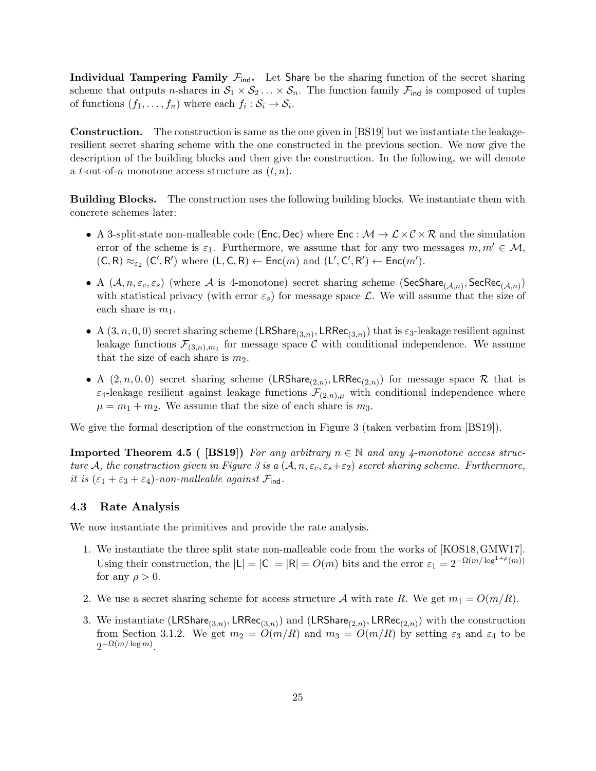**Individual Tampering Family**  $\mathcal{F}_{ind}$ . Let Share be the sharing function of the secret sharing scheme that outputs *n*-shares in  $S_1 \times S_2 \dots \times S_n$ . The function family  $\mathcal{F}_{\text{ind}}$  is composed of tuples of functions  $(f_1, \ldots, f_n)$  where each  $f_i : \mathcal{S}_i \to \mathcal{S}_i$ .

Construction. The construction is same as the one given in [\[BS19\]](#page-37-4) but we instantiate the leakageresilient secret sharing scheme with the one constructed in the previous section. We now give the description of the building blocks and then give the construction. In the following, we will denote a t-out-of-n monotone access structure as  $(t, n)$ .

Building Blocks. The construction uses the following building blocks. We instantiate them with concrete schemes later:

- A 3-split-state non-malleable code (Enc, Dec) where  $\text{Enc}: \mathcal{M} \to \mathcal{L} \times \mathcal{C} \times \mathcal{R}$  and the simulation error of the scheme is  $\varepsilon_1$ . Furthermore, we assume that for any two messages  $m, m' \in \mathcal{M}$ ,  $(C, R) \approx_{\varepsilon_2} (C', R')$  where  $(L, C, R) \leftarrow \mathsf{Enc}(m)$  and  $(L', C', R') \leftarrow \mathsf{Enc}(m')$ .
- A  $(A, n, \varepsilon_c, \varepsilon_s)$  (where A is 4-monotone) secret sharing scheme (SecShare<sub> $(A, n)$ </sub>, SecRec<sub> $(A, n)$ </sub>) with statistical privacy (with error  $\varepsilon_s$ ) for message space L. We will assume that the size of each share is  $m_1$ .
- A  $(3, n, 0, 0)$  secret sharing scheme  $(\mathsf{LRShare}_{(3,n)}, \mathsf{LRRec}_{(3,n)})$  that is  $\varepsilon_3$ -leakage resilient against leakage functions  $\mathcal{F}_{(3,n),m_1}$  for message space C with conditional independence. We assume that the size of each share is  $m_2$ .
- A  $(2, n, 0, 0)$  secret sharing scheme  $(LRShare_{(2,n)}, LRRec_{(2,n)})$  for message space R that is  $\varepsilon_4$ -leakage resilient against leakage functions  $\mathcal{F}_{(2,n),\mu}$  with conditional independence where  $\mu = m_1 + m_2$ . We assume that the size of each share is  $m_3$ .

We give the formal description of the construction in Figure [3](#page-25-0) (taken verbatim from [\[BS19\]](#page-37-4)).

**Imported Theorem 4.5 ( [\[BS19\]](#page-37-4))** For any arbitrary  $n \in \mathbb{N}$  and any 4-monotone access struc-ture A, the construction given in Figure [3](#page-25-0) is a  $(A, n, \varepsilon_c, \varepsilon_s+\varepsilon_2)$  secret sharing scheme. Furthermore, it is  $(\varepsilon_1 + \varepsilon_3 + \varepsilon_4)$ -non-malleable against  $\mathcal{F}_{\text{ind}}$ .

#### <span id="page-24-0"></span>4.3 Rate Analysis

We now instantiate the primitives and provide the rate analysis.

- 1. We instantiate the three split state non-malleable code from the works of [\[KOS18,](#page-40-9)[GMW17\]](#page-39-10). Using their construction, the  $|L| = |C| = |R| = O(m)$  bits and the error  $\varepsilon_1 = 2^{-\Omega(m/\log^{1+\rho}(m))}$ for any  $\rho > 0$ .
- 2. We use a secret sharing scheme for access structure A with rate R. We get  $m_1 = O(m/R)$ .
- 3. We instantiate  $(\mathsf{LRShare}_{(3,n)}, \mathsf{LRRec}_{(3,n)})$  and  $(\mathsf{LRShare}_{(2,n)}, \mathsf{LRRec}_{(2,n)})$  with the construction from Section [3.1.2.](#page-15-0) We get  $m_2 = O(m/R)$  and  $m_3 = O(m/R)$  by setting  $\varepsilon_3$  and  $\varepsilon_4$  to be  $2^{-\Omega(m/\log m)}$ .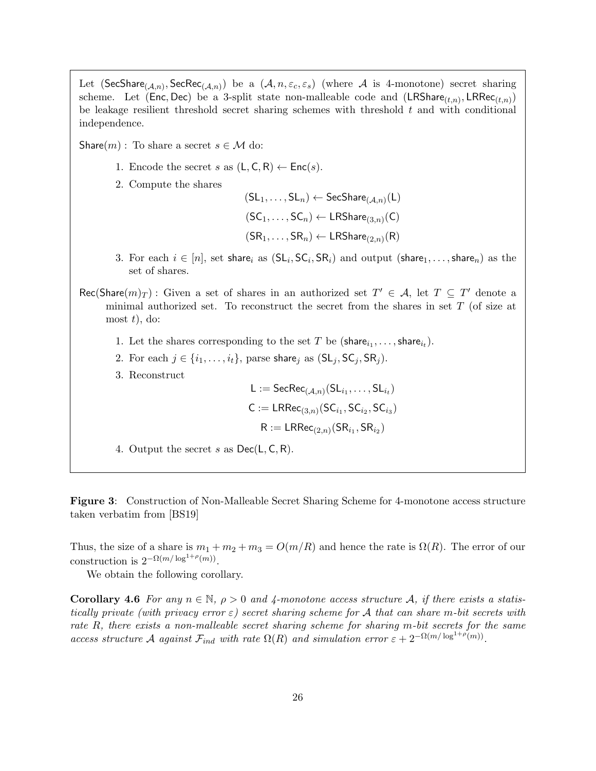Let (SecShare<sub>(A,n)</sub>, SecRec<sub>(A,n)</sub>) be a  $(A, n, \varepsilon_c, \varepsilon_s)$  (where A is 4-monotone) secret sharing scheme. Let (Enc, Dec) be a 3-split state non-malleable code and  $(LRShare_{(t,n)}, LRRec_{(t,n)})$ be leakage resilient threshold secret sharing schemes with threshold  $t$  and with conditional independence. Share(m) : To share a secret  $s \in \mathcal{M}$  do: 1. Encode the secret s as  $(L, C, R) \leftarrow \text{Enc}(s)$ . 2. Compute the shares  $(\mathsf{SL}_1,\ldots,\mathsf{SL}_n)\leftarrow \mathsf{SecShare}_{(\mathcal{A},n)}(\mathsf{L})$  $(\mathsf{SC}_1, \ldots, \mathsf{SC}_n) \leftarrow \mathsf{LRShare}_{(3,n)}(\mathsf{C})$  $(SR_1, \ldots, SR_n) \leftarrow \mathsf{LRShare}_{(2,n)}(R)$ 3. For each  $i \in [n]$ , set share<sub>i</sub> as  $(S\mathsf{L}_i, \mathsf{SC}_i, \mathsf{SR}_i)$  and output  $(\mathsf{share}_1, \ldots, \mathsf{share}_n)$  as the set of shares. Rec(Share $(m)_T$ ): Given a set of shares in an authorized set  $T' \in \mathcal{A}$ , let  $T \subseteq T'$  denote a minimal authorized set. To reconstruct the secret from the shares in set  $T$  (of size at most  $t$ ), do: 1. Let the shares corresponding to the set T be  $(\text{share}_{i_1}, \ldots, \text{share}_{i_t}).$ 2. For each  $j \in \{i_1, \ldots, i_t\}$ , parse share<sub>j</sub> as  $(SL_j, SC_j, SR_j)$ . 3. Reconstruct  $\mathsf{L} := \mathsf{SecRec}_{(\mathcal{A},n)}(\mathsf{SL}_{i_1}, \ldots, \mathsf{SL}_{i_t})$  $\mathsf{C} := \mathsf{LRRec}_{(3,n)}(\mathsf{SC}_{i_1},\mathsf{SC}_{i_2},\mathsf{SC}_{i_3})$  $\mathsf{R} := \mathsf{LRRec}_{(2,n)}(\mathsf{SR}_{i_1},\mathsf{SR}_{i_2})$ 4. Output the secret s as  $Dec(L, C, R)$ .

<span id="page-25-0"></span>Figure 3: Construction of Non-Malleable Secret Sharing Scheme for 4-monotone access structure taken verbatim from [\[BS19\]](#page-37-4)

Thus, the size of a share is  $m_1 + m_2 + m_3 = O(m/R)$  and hence the rate is  $\Omega(R)$ . The error of our construction is  $2^{-\Omega(m/\log^{1+\rho}(m))}$ .

We obtain the following corollary.

**Corollary 4.6** For any  $n \in \mathbb{N}$ ,  $\rho > 0$  and 4-monotone access structure A, if there exists a statistically private (with privacy error  $\varepsilon$ ) secret sharing scheme for A that can share m-bit secrets with rate R, there exists a non-malleable secret sharing scheme for sharing m-bit secrets for the same access structure A against  $\mathcal{F}_{ind}$  with rate  $\Omega(R)$  and simulation error  $\varepsilon + 2^{-\Omega(m/\log^{1+\rho}(m))}$ .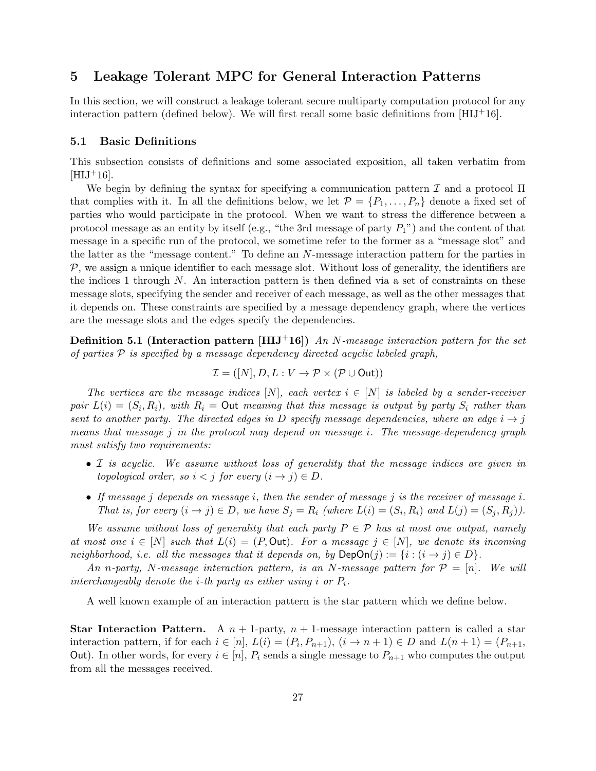### <span id="page-26-0"></span>5 Leakage Tolerant MPC for General Interaction Patterns

In this section, we will construct a leakage tolerant secure multiparty computation protocol for any interaction pattern (defined below). We will first recall some basic definitions from  $[HIJ^+16]$ .

#### <span id="page-26-1"></span>5.1 Basic Definitions

This subsection consists of definitions and some associated exposition, all taken verbatim from  $[HIJ+16]$  $[HIJ+16]$ .

We begin by defining the syntax for specifying a communication pattern  $\mathcal I$  and a protocol  $\Pi$ that complies with it. In all the definitions below, we let  $\mathcal{P} = \{P_1, \ldots, P_n\}$  denote a fixed set of parties who would participate in the protocol. When we want to stress the difference between a protocol message as an entity by itself (e.g., "the 3rd message of party  $P_1$ ") and the content of that message in a specific run of the protocol, we sometime refer to the former as a "message slot" and the latter as the "message content." To define an N-message interaction pattern for the parties in  $P$ , we assign a unique identifier to each message slot. Without loss of generality, the identifiers are the indices 1 through  $N$ . An interaction pattern is then defined via a set of constraints on these message slots, specifying the sender and receiver of each message, as well as the other messages that it depends on. These constraints are specified by a message dependency graph, where the vertices are the message slots and the edges specify the dependencies.

**Definition 5.1 (Interaction pattern [\[HIJ](#page-39-6)+16])** An N-message interaction pattern for the set of parties  $P$  is specified by a message dependency directed acyclic labeled graph,

$$
\mathcal{I} = ([N], D, L: V \to \mathcal{P} \times (\mathcal{P} \cup Out))
$$

The vertices are the message indices  $[N]$ , each vertex  $i \in [N]$  is labeled by a sender-receiver pair  $L(i) = (S_i, R_i)$ , with  $R_i =$  Out meaning that this message is output by party  $S_i$  rather than sent to another party. The directed edges in D specify message dependencies, where an edge  $i \rightarrow j$ means that message j in the protocol may depend on message i. The message-dependency graph must satisfy two requirements:

- I is acyclic. We assume without loss of generality that the message indices are given in topological order, so  $i < j$  for every  $(i \rightarrow j) \in D$ .
- If message j depends on message i, then the sender of message j is the receiver of message i. That is, for every  $(i \rightarrow j) \in D$ , we have  $S_j = R_i$  (where  $L(i) = (S_i, R_i)$  and  $L(j) = (S_j, R_j)$ ).

We assume without loss of generality that each party  $P \in \mathcal{P}$  has at most one output, namely at most one  $i \in [N]$  such that  $L(i) = (P, \text{Out})$ . For a message  $j \in [N]$ , we denote its incoming neighborhood, i.e. all the messages that it depends on, by  $\mathsf{DepOn}(j) := \{i : (i \to j) \in D\}$ .

An n-party, N-message interaction pattern, is an N-message pattern for  $\mathcal{P} = [n]$ . We will interchangeably denote the *i*-th party as either using *i* or  $P_i$ .

A well known example of an interaction pattern is the star pattern which we define below.

**Star Interaction Pattern.** A  $n + 1$ -party,  $n + 1$ -message interaction pattern is called a star interaction pattern, if for each  $i \in [n]$ ,  $L(i) = (P_i, P_{n+1})$ ,  $(i \to n+1) \in D$  and  $L(n+1) = (P_{n+1},$ Out). In other words, for every  $i \in [n]$ ,  $P_i$  sends a single message to  $P_{n+1}$  who computes the output from all the messages received.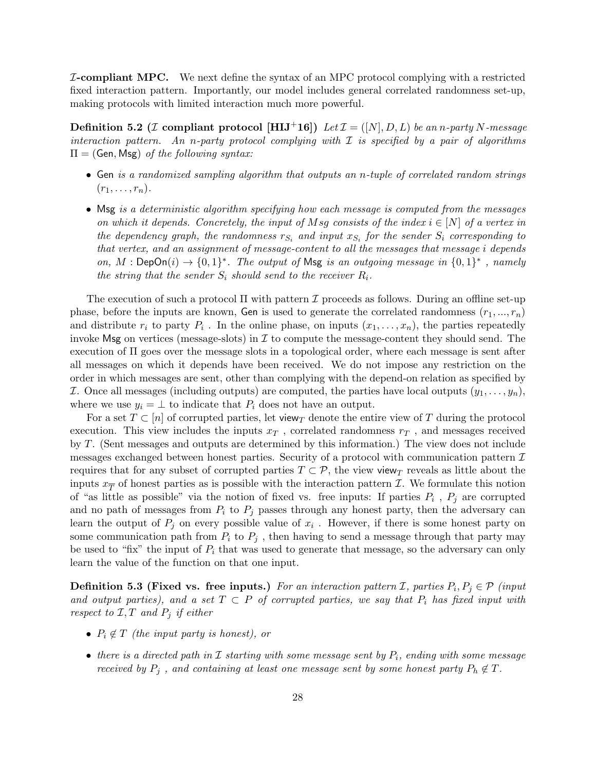**L-compliant MPC.** We next define the syntax of an MPC protocol complying with a restricted fixed interaction pattern. Importantly, our model includes general correlated randomness set-up, making protocols with limited interaction much more powerful.

<span id="page-27-0"></span>**Definition 5.2** (*I* compliant protocol [\[HIJ](#page-39-6)+16]) Let  $\mathcal{I} = ([N], D, L)$  be an n-party N-message interaction pattern. An n-party protocol complying with  $\mathcal I$  is specified by a pair of algorithms  $\Pi = (Gen, Msg)$  of the following syntax:

- Gen is a randomized sampling algorithm that outputs an n-tuple of correlated random strings  $(r_1,\ldots,r_n).$
- Msg is a deterministic algorithm specifying how each message is computed from the messages on which it depends. Concretely, the input of Msg consists of the index  $i \in [N]$  of a vertex in the dependency graph, the randomness  $r_{S_i}$  and input  $x_{S_i}$  for the sender  $S_i$  corresponding to that vertex, and an assignment of message-content to all the messages that message i depends on, M : DepOn(i)  $\rightarrow$  {0,1}<sup>\*</sup>. The output of Msg is an outgoing message in {0,1}<sup>\*</sup>, namely the string that the sender  $S_i$  should send to the receiver  $R_i$ .

The execution of such a protocol  $\Pi$  with pattern  $\mathcal I$  proceeds as follows. During an offline set-up phase, before the inputs are known, Gen is used to generate the correlated randomness  $(r_1, ..., r_n)$ and distribute  $r_i$  to party  $P_i$ . In the online phase, on inputs  $(x_1, \ldots, x_n)$ , the parties repeatedly invoke Msg on vertices (message-slots) in  $\mathcal I$  to compute the message-content they should send. The execution of  $\Pi$  goes over the message slots in a topological order, where each message is sent after all messages on which it depends have been received. We do not impose any restriction on the order in which messages are sent, other than complying with the depend-on relation as specified by *I.* Once all messages (including outputs) are computed, the parties have local outputs  $(y_1, \ldots, y_n)$ , where we use  $y_i = \perp$  to indicate that  $P_i$  does not have an output.

For a set  $T \subset [n]$  of corrupted parties, let view<sub>T</sub> denote the entire view of T during the protocol execution. This view includes the inputs  $x_T$ , correlated randomness  $r_T$ , and messages received by T. (Sent messages and outputs are determined by this information.) The view does not include messages exchanged between honest parties. Security of a protocol with communication pattern  $\mathcal I$ requires that for any subset of corrupted parties  $T \subset \mathcal{P}$ , the view view<sub>T</sub> reveals as little about the inputs  $x_{\overline{T}}$  of honest parties as is possible with the interaction pattern  $\mathcal{I}$ . We formulate this notion of "as little as possible" via the notion of fixed vs. free inputs: If parties  $P_i$ ,  $P_j$  are corrupted and no path of messages from  $P_i$  to  $P_j$  passes through any honest party, then the adversary can learn the output of  $P_j$  on every possible value of  $x_i$ . However, if there is some honest party on some communication path from  $P_i$  to  $P_j$ , then having to send a message through that party may be used to "fix" the input of  $P_i$  that was used to generate that message, so the adversary can only learn the value of the function on that one input.

**Definition 5.3 (Fixed vs. free inputs.)** For an interaction pattern I, parties  $P_i, P_j \in \mathcal{P}$  (input and output parties), and a set  $T \subset P$  of corrupted parties, we say that  $P_i$  has fixed input with respect to  $\mathcal{I}, T$  and  $P_j$  if either

- $P_i \notin T$  (the input party is honest), or
- there is a directed path in  $\mathcal I$  starting with some message sent by  $P_i$ , ending with some message received by  $P_j$ , and containing at least one message sent by some honest party  $P_h \notin T$ .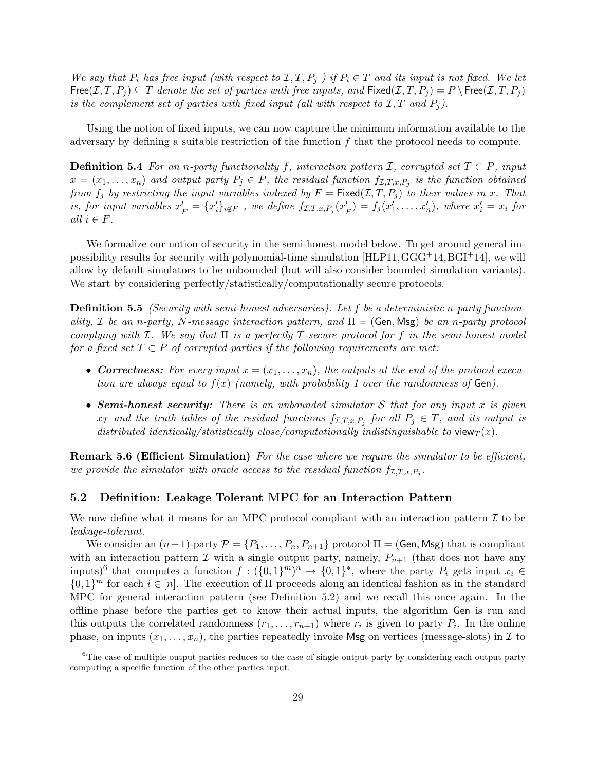We say that  $P_i$  has free input (with respect to  $\mathcal{I}, T, P_j$ ) if  $P_i \in T$  and its input is not fixed. We let Free $(\mathcal{I}, T, P_j) \subseteq T$  denote the set of parties with free inputs, and Fixed $(\mathcal{I}, T, P_j) = P \setminus \text{Free}(\mathcal{I}, T, P_j)$ is the complement set of parties with fixed input (all with respect to  $\mathcal{I}, T$  and  $P_j$ ).

Using the notion of fixed inputs, we can now capture the minimum information available to the adversary by defining a suitable restriction of the function f that the protocol needs to compute.

**Definition 5.4** For an n-party functionality f, interaction pattern I, corrupted set  $T \subset P$ , input  $x = (x_1, \ldots, x_n)$  and output party  $P_j \in P$ , the residual function  $f_{\mathcal{I},T,x,P_j}$  is the function obtained from  $f_j$  by restricting the input variables indexed by  $F = \mathsf{Fixed}(\mathcal{I}, T, P_j)$  to their values in x. That is, for input variables  $x_1$  $\frac{\partial f}{\partial F} = \{x'_i\}_{i \not\in F}$  , we define  $f_{\mathcal{I},T,x,P_j}(x'_j)$  $\frac{d}{F}$  =  $f_j(x_1', \ldots, x_n')$ , where  $x_i' = x_i$  for all  $i\in F.$ 

We formalize our notion of security in the semi-honest model below. To get around general impossibility results for security with polynomial-time simulation [\[HLP11,](#page-39-7)[GGG](#page-38-4)+14,[BGI](#page-37-6)+14], we will allow by default simulators to be unbounded (but will also consider bounded simulation variants). We start by considering perfectly/statistically/computationally secure protocols.

**Definition 5.5** (Security with semi-honest adversaries). Let f be a deterministic n-party functionality, I be an n-party, N-message interaction pattern, and  $\Pi = (Gen, Msg)$  be an n-party protocol complying with I. We say that  $\Pi$  is a perfectly T-secure protocol for f in the semi-honest model for a fixed set  $T \subset P$  of corrupted parties if the following requirements are met:

- Correctness: For every input  $x = (x_1, \ldots, x_n)$ , the outputs at the end of the protocol execution are always equal to  $f(x)$  (namely, with probability 1 over the randomness of Gen).
- Semi-honest security: There is an unbounded simulator S that for any input x is given  $x_T$  and the truth tables of the residual functions  $f_{\mathcal{I},T,x,P_j}$  for all  $P_j \in T$ , and its output is distributed identically/statistically close/computationally indistinguishable to view $_T(x)$ .

**Remark 5.6 (Efficient Simulation)** For the case where we require the simulator to be efficient, we provide the simulator with oracle access to the residual function  $f_{\mathcal{I},T,x,P_j}$ .

#### <span id="page-28-0"></span>5.2 Definition: Leakage Tolerant MPC for an Interaction Pattern

We now define what it means for an MPC protocol compliant with an interaction pattern  $\mathcal I$  to be leakage-tolerant.

We consider an  $(n+1)$ -party  $\mathcal{P} = \{P_1, \ldots, P_n, P_{n+1}\}$  protocol  $\Pi = (Gen, Msg)$  that is compliant with an interaction pattern  $\mathcal I$  with a single output party, namely,  $P_{n+1}$  (that does not have any inputs)<sup>[6](#page-28-1)</sup> that computes a function  $f: (\{0,1\}^m)^n \to \{0,1\}^*$ , where the party  $P_i$  gets input  $x_i \in$  $\{0,1\}^m$  for each  $i \in [n]$ . The execution of  $\Pi$  proceeds along an identical fashion as in the standard MPC for general interaction pattern (see Definition [5.2\)](#page-27-0) and we recall this once again. In the offline phase before the parties get to know their actual inputs, the algorithm Gen is run and this outputs the correlated randomness  $(r_1, \ldots, r_{n+1})$  where  $r_i$  is given to party  $P_i$ . In the online phase, on inputs  $(x_1, \ldots, x_n)$ , the parties repeatedly invoke Msg on vertices (message-slots) in  $\mathcal I$  to

<span id="page-28-1"></span><sup>&</sup>lt;sup>6</sup>The case of multiple output parties reduces to the case of single output party by considering each output party computing a specific function of the other parties input.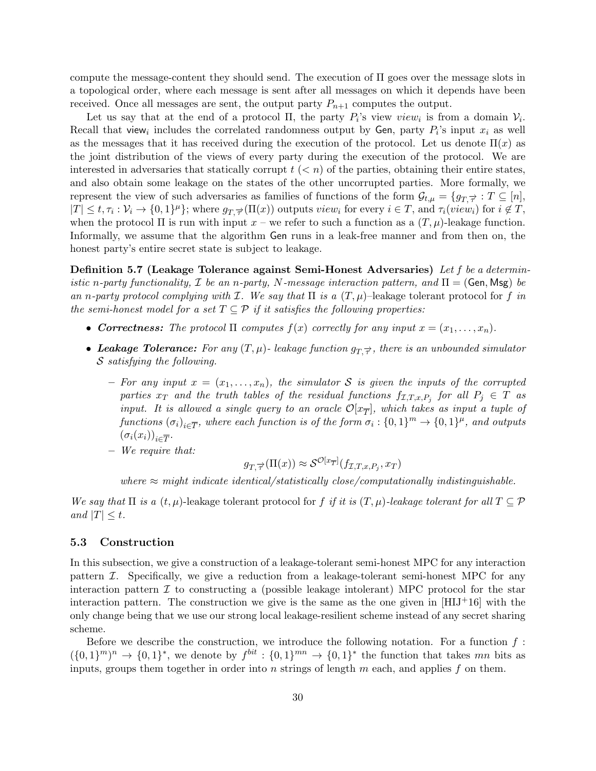compute the message-content they should send. The execution of Π goes over the message slots in a topological order, where each message is sent after all messages on which it depends have been received. Once all messages are sent, the output party  $P_{n+1}$  computes the output.

Let us say that at the end of a protocol  $\Pi$ , the party  $P_i$ 's view view<sub>i</sub> is from a domain  $\mathcal{V}_i$ . Recall that view<sub>i</sub> includes the correlated randomness output by Gen, party  $P_i$ 's input  $x_i$  as well as the messages that it has received during the execution of the protocol. Let us denote  $\Pi(x)$  as the joint distribution of the views of every party during the execution of the protocol. We are interested in adversaries that statically corrupt  $t \leq n$  of the parties, obtaining their entire states, and also obtain some leakage on the states of the other uncorrupted parties. More formally, we represent the view of such adversaries as families of functions of the form  $\mathcal{G}_{t,\mu} = \{g_{T,\vec{\tau}} : T \subseteq [n],$  $|T| \leq t, \tau_i : \mathcal{V}_i \to \{0,1\}^{\mu}\};$  where  $g_{T,\overrightarrow{\tau}}(\Pi(x))$  outputs  $view_i$  for every  $i \in T$ , and  $\tau_i(view_i)$  for  $i \notin T$ , when the protocol  $\Pi$  is run with input  $x$  – we refer to such a function as a  $(T, \mu)$ -leakage function. Informally, we assume that the algorithm Gen runs in a leak-free manner and from then on, the honest party's entire secret state is subject to leakage.

Definition 5.7 (Leakage Tolerance against Semi-Honest Adversaries) Let f be a deterministic n-party functionality, I be an n-party, N-message interaction pattern, and  $\Pi = (Gen, Msg)$  be an n-party protocol complying with I. We say that  $\Pi$  is a  $(T, \mu)$ –leakage tolerant protocol for f in the semi-honest model for a set  $T \subseteq \mathcal{P}$  if it satisfies the following properties:

- Correctness: The protocol  $\Pi$  computes  $f(x)$  correctly for any input  $x = (x_1, \ldots, x_n)$ .
- Leakage Tolerance: For any  $(T, \mu)$ -leakage function  $g_{T, \overrightarrow{\tau}}$ , there is an unbounded simulator S satisfying the following.
	- For any input  $x = (x_1, \ldots, x_n)$ , the simulator S is given the inputs of the corrupted parties  $x_T$  and the truth tables of the residual functions  $f_{\mathcal{I},T,x,P_j}$  for all  $P_j \in T$  as input. It is allowed a single query to an oracle  $\mathcal{O}[x_{\overline{T}}]$ , which takes as input a tuple of functions  $(\sigma_i)_{i \in \overline{T}}$ , where each function is of the form  $\sigma_i : \{0,1\}^m \to \{0,1\}^\mu$ , and outputs  $(\sigma_i(x_i))_{i \in \overline{T}}$ .
	- We require that:

$$
g_{T,\overrightarrow{\tau}}(\Pi(x)) \approx \mathcal{S}^{\mathcal{O}[x_{\overrightarrow{T}}]}(f_{\mathcal{I},T,x,P_j},x_T)
$$

where  $\approx$  might indicate identical/statistically close/computationally indistinguishable.

We say that  $\Pi$  is a  $(t, \mu)$ -leakage tolerant protocol for f if it is  $(T, \mu)$ -leakage tolerant for all  $T \subseteq \mathcal{P}$ and  $|T| \leq t$ .

#### <span id="page-29-0"></span>5.3 Construction

In this subsection, we give a construction of a leakage-tolerant semi-honest MPC for any interaction pattern  $I$ . Specifically, we give a reduction from a leakage-tolerant semi-honest MPC for any interaction pattern  $\mathcal I$  to constructing a (possible leakage intolerant) MPC protocol for the star interaction pattern. The construction we give is the same as the one given in  $[HIJ^+16]$  with the only change being that we use our strong local leakage-resilient scheme instead of any secret sharing scheme.

Before we describe the construction, we introduce the following notation. For a function  $f$ :  $({0,1})^m$ <sup>n</sup>  $\rightarrow$   ${0,1}^*$ , we denote by  $f^{bit}: {0,1}^{mn} \rightarrow {0,1}^*$  the function that takes mn bits as inputs, groups them together in order into n strings of length  $m$  each, and applies  $f$  on them.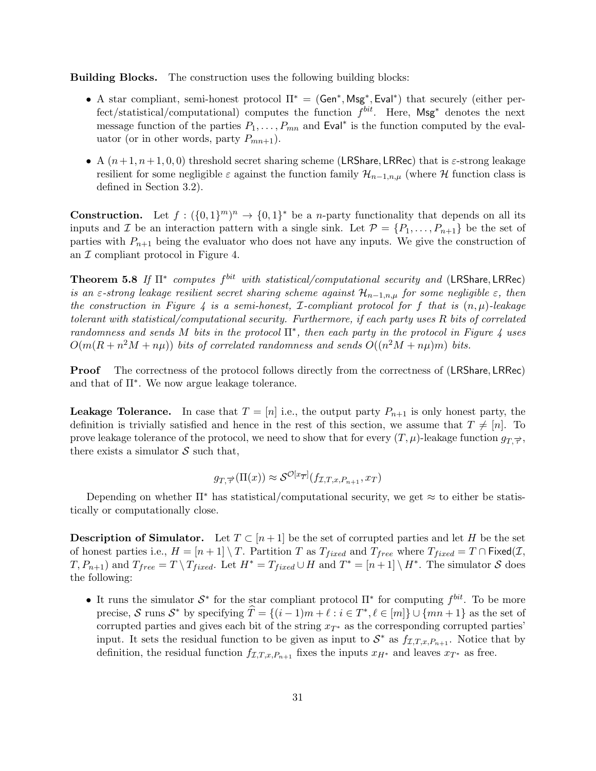Building Blocks. The construction uses the following building blocks:

- A star compliant, semi-honest protocol  $\Pi^* = (\mathsf{Gen}^*, \mathsf{Msg}^*, \mathsf{Eval}^*)$  that securely (either perfect/statistical/computational) computes the function  $f^{bit}$ . Here, Msg<sup>\*</sup> denotes the next message function of the parties  $P_1, \ldots, P_{mn}$  and Eval<sup>\*</sup> is the function computed by the evaluator (or in other words, party  $P_{mn+1}$ ).
- A  $(n+1, n+1, 0, 0)$  threshold secret sharing scheme (LRShare, LRRec) that is  $\varepsilon$ -strong leakage resilient for some negligible  $\varepsilon$  against the function family  $\mathcal{H}_{n-1,n,\mu}$  (where H function class is defined in Section [3.2\)](#page-16-0).

**Construction.** Let  $f: (\{0,1\}^m)^n \to \{0,1\}^*$  be a *n*-party functionality that depends on all its inputs and I be an interaction pattern with a single sink. Let  $\mathcal{P} = \{P_1, \ldots, P_{n+1}\}$  be the set of parties with  $P_{n+1}$  being the evaluator who does not have any inputs. We give the construction of an  $\mathcal I$  compliant protocol in Figure [4.](#page-31-0)

<span id="page-30-0"></span>**Theorem 5.8** If  $\Pi^*$  computes  $f^{bit}$  with statistical/computational security and (LRShare, LRRec) is an  $\varepsilon$ -strong leakage resilient secret sharing scheme against  $\mathcal{H}_{n-1,n,\mu}$  for some negligible  $\varepsilon$ , then the construction in Figure [4](#page-31-0) is a semi-honest, *I*-compliant protocol for f that is  $(n, \mu)$ -leakage tolerant with statistical/computational security. Furthermore, if each party uses R bits of correlated randomness and sends M bits in the protocol  $\Pi^*$ , then each party in the protocol in Figure [4](#page-31-0) uses  $O(m(R + n^2M + n\mu))$  bits of correlated randomness and sends  $O((n^2M + n\mu)m)$  bits.

Proof The correctness of the protocol follows directly from the correctness of (LRShare, LRRec) and that of  $\Pi^*$ . We now argue leakage tolerance.

**Leakage Tolerance.** In case that  $T = [n]$  i.e., the output party  $P_{n+1}$  is only honest party, the definition is trivially satisfied and hence in the rest of this section, we assume that  $T \neq [n]$ . To prove leakage tolerance of the protocol, we need to show that for every  $(T, \mu)$ -leakage function  $g_{T, \vec{\tau}},$ there exists a simulator  $\mathcal S$  such that,

$$
g_{T,\overrightarrow{\tau}}(\Pi(x)) \approx \mathcal{S}^{\mathcal{O}[x_{\overrightarrow{T}}]}(f_{\mathcal{I},T,x,P_{n+1}},x_T)
$$

Depending on whether  $\Pi^*$  has statistical/computational security, we get  $\approx$  to either be statistically or computationally close.

**Description of Simulator.** Let  $T \subset [n+1]$  be the set of corrupted parties and let H be the set of honest parties i.e.,  $H = [n+1] \setminus T$ . Partition T as  $T_{fixed}$  and  $T_{free}$  where  $T_{fixed} = T \cap$  Fixed( $\mathcal{I}$ ,  $T, P_{n+1}$  and  $T_{free} = T \setminus T_{fixed}$ . Let  $H^* = T_{fixed} \cup H$  and  $T^* = [n+1] \setminus H^*$ . The simulator S does the following:

• It runs the simulator  $S^*$  for the star compliant protocol  $\Pi^*$  for computing  $f^{bit}$ . To be more precise, S runs S<sup>\*</sup> by specifying  $\widehat{T} = \{(i-1)m + \ell : i \in T^*, \ell \in [m]\} \cup \{mn+1\}$  as the set of corrupted parties and gives each bit of the string  $x_T^*$  as the corresponding corrupted parties' input. It sets the residual function to be given as input to  $S^*$  as  $f_{\mathcal{I},T,x,P_{n+1}}$ . Notice that by definition, the residual function  $f_{\mathcal{I},T,x,P_{n+1}}$  fixes the inputs  $x_{H^*}$  and leaves  $x_{T^*}$  as free.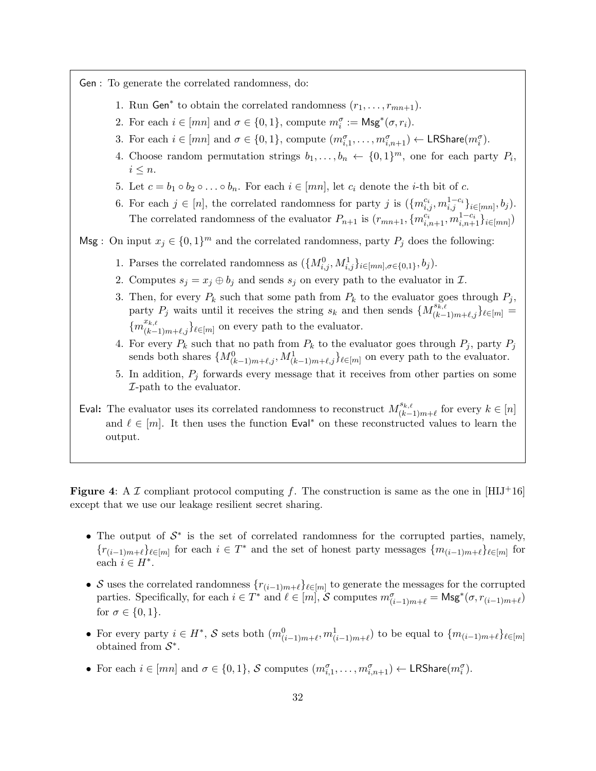Gen : To generate the correlated randomness, do:

- 1. Run Gen<sup>\*</sup> to obtain the correlated randomness  $(r_1, \ldots, r_{mn+1})$ .
- 2. For each  $i \in [mn]$  and  $\sigma \in \{0,1\}$ , compute  $m_i^{\sigma} := \mathsf{Msg}^*(\sigma, r_i)$ .
- 3. For each  $i \in [mn]$  and  $\sigma \in \{0,1\}$ , compute  $(m^{\sigma}_{i,1}, \ldots, m^{\sigma}_{i,n+1}) \leftarrow \textsf{LRShare}(m^{\sigma}_{i}).$
- 4. Choose random permutation strings  $b_1, \ldots, b_n \leftarrow \{0, 1\}^m$ , one for each party  $P_i$ ,  $i \leq n$ .
- 5. Let  $c = b_1 \circ b_2 \circ \ldots \circ b_n$ . For each  $i \in [mn]$ , let  $c_i$  denote the *i*-th bit of c.
- 6. For each  $j \in [n]$ , the correlated randomness for party j is  $(\{m_{i,j}^{c_i}, m_{i,j}^{1-c_i}\}_{i \in [mn]}, b_j)$ . The correlated randomness of the evaluator  $P_{n+1}$  is  $(r_{mn+1}, \{m_{i,n+1}^{c_i}, m_{i,n+1}^{1-c_i}\}_{i \in [mn]})$

### Msg : On input  $x_j \in \{0,1\}^m$  and the correlated randomness, party  $P_j$  does the following:

- 1. Parses the correlated randomness as  $(\{M_{i,j}^0, M_{i,j}^1\}_{i \in [mn], \sigma \in \{0,1\}}, b_j)$ .
- 2. Computes  $s_j = x_j \oplus b_j$  and sends  $s_j$  on every path to the evaluator in  $\mathcal{I}$ .
- 3. Then, for every  $P_k$  such that some path from  $P_k$  to the evaluator goes through  $P_j$ , party  $P_j$  waits until it receives the string  $s_k$  and then sends  $\{M^{s_{k,\ell}}_{(k-1)m+\ell,j}\}_{\ell \in [m]}$  =  $\{m_{(k-1)m+\ell,j}^{x_{k,\ell}}\}_{\ell \in [m]}$  on every path to the evaluator.
- 4. For every  $P_k$  such that no path from  $P_k$  to the evaluator goes through  $P_j$ , party  $P_j$ sends both shares  $\{M_{(k-1)m+\ell,j}^0, M_{(k-1)m+\ell,j}^1\}_{\ell \in [m]}$  on every path to the evaluator.
- 5. In addition,  $P_i$  forwards every message that it receives from other parties on some I-path to the evaluator.
- Eval: The evaluator uses its correlated randomness to reconstruct  $M_{(\mu)}^{s_{k,\ell}}$ <sup>-sk,ℓ</sup> for every  $k \in [n]$ and  $\ell \in [m]$ . It then uses the function Eval<sup>\*</sup> on these reconstructed values to learn the output.

<span id="page-31-0"></span>**Figure 4:** A I compliant protocol computing f. The construction is same as the one in  $[HIJ^+16]$ except that we use our leakage resilient secret sharing.

- The output of  $S^*$  is the set of correlated randomness for the corrupted parties, namely,  ${r_{(i-1)m+\ell}}_{\ell \in [m]}$  for each  $i \in T^*$  and the set of honest party messages  ${m_{(i-1)m+\ell}}_{\ell \in [m]}$  for each  $i \in H^*$ .
- S uses the correlated randomness  $\{r_{(i-1)m+\ell}\}_{\ell \in [m]}$  to generate the messages for the corrupted parties. Specifically, for each  $i \in T^*$  and  $\ell \in [m]$ , S computes  $m_{(i-1)m+\ell}^{\sigma} = \mathsf{Msg}^*(\sigma, r_{(i-1)m+\ell})$ for  $\sigma \in \{0,1\}$ .
- For every party  $i \in H^*$ , S sets both  $(m_{(i-1)m+\ell}^0, m_{(i-1)m+\ell}^1)$  to be equal to  $\{m_{(i-1)m+\ell}\}_{\ell \in [m]}$ obtained from  $S^*$ .
- For each  $i \in [mn]$  and  $\sigma \in \{0,1\}$ , S computes  $(m^{\sigma}_{i,1}, \ldots, m^{\sigma}_{i,n+1}) \leftarrow \textsf{LRShare}(m^{\sigma}_{i}).$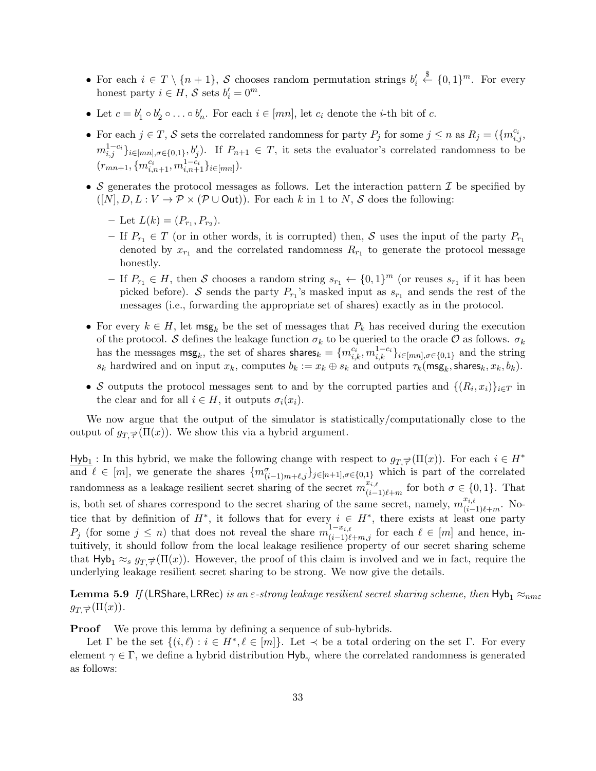- For each  $i \in T \setminus \{n+1\}$ , S chooses random permutation strings  $b'_i \stackrel{\$}{\leftarrow} \{0,1\}^m$ . For every honest party  $i \in H$ ,  $S$  sets  $b'_i = 0^m$ .
- Let  $c = b'_1 \circ b'_2 \circ \ldots \circ b'_n$ . For each  $i \in [mn]$ , let  $c_i$  denote the *i*-th bit of  $c$ .
- For each  $j \in T$ , S sets the correlated randomness for party  $P_j$  for some  $j \leq n$  as  $R_j = (\{m_{i,j}^{c_i}\},\})$  $m_{i,j}^{1-c_i}\}_{i\in[mn],\sigma\in\{0,1\},\,b'_j$ ). If  $P_{n+1}\in\mathcal{T}$ , it sets the evaluator's correlated randomness to be  $(r_{mn+1}, \{m_{i,n+1}^{c_i}, m_{i,n+1}^{1-c_i}\}_{i \in [mn]})$ .
- S generates the protocol messages as follows. Let the interaction pattern  $\mathcal I$  be specified by  $([N], D, L: V \to \mathcal{P} \times (\mathcal{P} \cup Out)).$  For each k in 1 to N, S does the following:
	- Let  $L(k) = (P_{r_1}, P_{r_2}).$
	- If  $P_{r_1} \in T$  (or in other words, it is corrupted) then, S uses the input of the party  $P_{r_1}$ denoted by  $x_{r_1}$  and the correlated randomness  $R_{r_1}$  to generate the protocol message honestly.
	- If  $P_{r_1}$  ∈ H, then S chooses a random string  $s_{r_1}$  ←  $\{0,1\}^m$  (or reuses  $s_{r_1}$  if it has been picked before). S sends the party  $P_{r_1}$ 's masked input as  $s_{r_1}$  and sends the rest of the messages (i.e., forwarding the appropriate set of shares) exactly as in the protocol.
- For every  $k \in H$ , let msg<sub>k</sub> be the set of messages that  $P_k$  has received during the execution of the protocol. S defines the leakage function  $\sigma_k$  to be queried to the oracle  $\mathcal O$  as follows.  $\sigma_k$ has the messages msg<sub>k</sub>, the set of shares shares<sub>k</sub> =  $\{m_{i,k}^{c_i}, m_{i,k}^{1-c_i}\}_{i \in [mn], \sigma \in \{0,1\}}$  and the string  $s_k$  hardwired and on input  $x_k$ , computes  $b_k := x_k \oplus s_k$  and outputs  $\tau_k(\text{msg}_k, \text{shares}_k, x_k, b_k)$ .
- S outputs the protocol messages sent to and by the corrupted parties and  $\{(R_i, x_i)\}_{i\in\mathcal{I}}$  in the clear and for all  $i \in H$ , it outputs  $\sigma_i(x_i)$ .

We now argue that the output of the simulator is statistically/computationally close to the output of  $g_{T,\vec{\tau}}(\Pi(x))$ . We show this via a hybrid argument.

 $Hyb<sub>1</sub>$ : In this hybrid, we make the following change with respect to  $g<sub>T</sub>$ ,  $\neq$  ( $\Pi(x)$ ). For each  $i \in H^*$ and  $\ell \in [m]$ , we generate the shares  $\{m_{(i-1)m+\ell,j}^{\sigma}\}_{j\in[n+1],\sigma\in\{0,1\}}$  which is part of the correlated randomness as a leakage resilient secret sharing of the secret  $m_{i}^{x_{i,\ell}}$  $\{u_{i,\ell}\}_{(\ell-1)\ell+m}$  for both  $\sigma \in \{0, 1\}$ . That is, both set of shares correspond to the secret sharing of the same secret, namely,  $m_{i,j}^{x_{i,\ell}}$  $\frac{x_{i,\ell}}{(i-1)\ell+m}$ . Notice that by definition of  $H^*$ , it follows that for every  $i \in H^*$ , there exists at least one party  $P_j$  (for some  $j \leq n$ ) that does not reveal the share  $m_{(i-1)\ell+m,j}^{1-x_{i,\ell}}$  for each  $\ell \in [m]$  and hence, intuitively, it should follow from the local leakage resilience property of our secret sharing scheme that  $Hy_{\mathbf{b}_1} \approx_s g_{T,\vec{\tau}}(\Pi(x))$ . However, the proof of this claim is involved and we in fact, require the underlying leakage resilient secret sharing to be strong. We now give the details.

**Lemma 5.9** If (LRShare, LRRec) is an  $\varepsilon$ -strong leakage resilient secret sharing scheme, then Hyb<sub>1</sub>  $\approx$ <sub>nms</sub>  $g_{T,\overrightarrow{\tau}}(\Pi(x)).$ 

**Proof** We prove this lemma by defining a sequence of sub-hybrids.

Let  $\Gamma$  be the set  $\{(i, \ell) : i \in H^*, \ell \in [m]\}.$  Let  $\prec$  be a total ordering on the set  $\Gamma$ . For every element  $\gamma \in \Gamma$ , we define a hybrid distribution  $H_y$ , where the correlated randomness is generated as follows: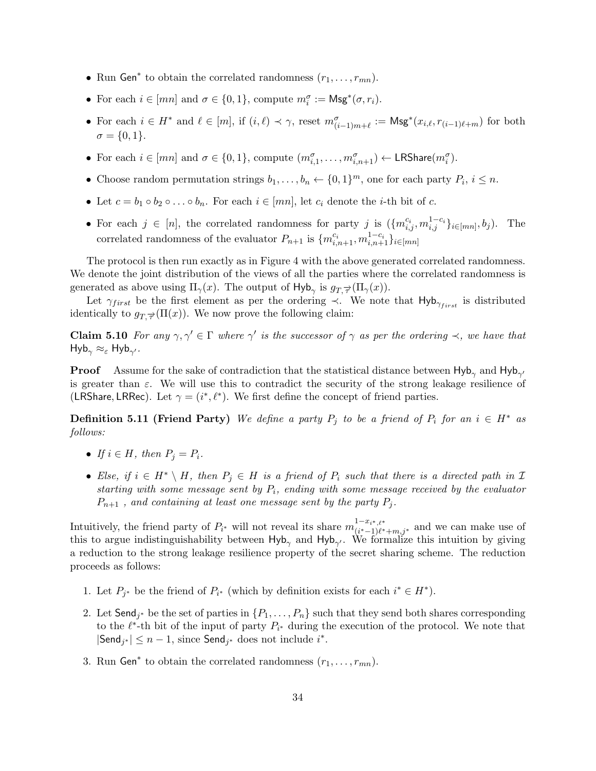- Run Gen<sup>\*</sup> to obtain the correlated randomness  $(r_1, \ldots, r_{mn})$ .
- For each  $i \in [mn]$  and  $\sigma \in \{0,1\}$ , compute  $m_i^{\sigma} := \mathsf{Msg}^*(\sigma, r_i)$ .
- For each  $i \in H^*$  and  $\ell \in [m]$ , if  $(i, \ell) \prec \gamma$ , reset  $m_{(i-1)m+\ell}^{\sigma} := \mathsf{Msg}^*(x_{i,\ell}, r_{(i-1)\ell+m})$  for both  $\sigma = \{0, 1\}.$
- For each  $i \in [mn]$  and  $\sigma \in \{0,1\}$ , compute  $(m^{\sigma}_{i,1}, \ldots, m^{\sigma}_{i,n+1}) \leftarrow \textsf{LRShare}(m^{\sigma}_{i}).$
- Choose random permutation strings  $b_1, \ldots, b_n \leftarrow \{0, 1\}^m$ , one for each party  $P_i, i \leq n$ .
- Let  $c = b_1 \circ b_2 \circ \ldots \circ b_n$ . For each  $i \in [mn]$ , let  $c_i$  denote the *i*-th bit of  $c$ .
- <span id="page-33-0"></span>• For each  $j \in [n]$ , the correlated randomness for party j is  $(\{m_{i,j}^{c_i}, m_{i,j}^{1-c_i}\}_{i \in [mn]}, b_j)$ . The correlated randomness of the evaluator  $P_{n+1}$  is  $\{m_{i,n+1}^{c_i}, m_{i,n+1}^{1-c_i}\}_{i \in [mn]}$

The protocol is then run exactly as in Figure [4](#page-31-0) with the above generated correlated randomness. We denote the joint distribution of the views of all the parties where the correlated randomness is generated as above using  $\Pi_{\gamma}(x)$ . The output of  $Hy_{\gamma}$  is  $g_{T,\overrightarrow{\tau}}(\Pi_{\gamma}(x))$ .

Let  $\gamma_{first}$  be the first element as per the ordering  $\prec$ . We note that Hyb<sub> $\gamma_{first}$ </sub> is distributed identically to  $g_{T,\overrightarrow{r}}(\Pi(x))$ . We now prove the following claim:

**Claim 5.10** For any  $\gamma, \gamma' \in \Gamma$  where  $\gamma'$  is the successor of  $\gamma$  as per the ordering  $\prec$ , we have that  $\mathsf{Hyb}_{\gamma} \approx_{\varepsilon} \mathsf{Hyb}_{\gamma'}$ .

**Proof** Assume for the sake of contradiction that the statistical distance between  $Hyb_{\gamma}$  and  $Hyb_{\gamma'}$ is greater than  $\varepsilon$ . We will use this to contradict the security of the strong leakage resilience of (LRShare, LRRec). Let  $\gamma = (i^*, \ell^*)$ . We first define the concept of friend parties.

**Definition 5.11 (Friend Party)** We define a party  $P_j$  to be a friend of  $P_i$  for an  $i \in H^*$  as follows:

- If  $i \in H$ , then  $P_i = P_i$ .
- Else, if  $i \in H^* \setminus H$ , then  $P_j \in H$  is a friend of  $P_i$  such that there is a directed path in  $\mathcal{I}$ starting with some message sent by  $P_i$ , ending with some message received by the evaluator  $P_{n+1}$ , and containing at least one message sent by the party  $P_i$ .

Intuitively, the friend party of  $P_{i^*}$  will not reveal its share  $m_{(i^*-1)\ell^*}^{1-x_{i^*,\ell^*}}$  $\sum_{i=-1}^{1-x_{i^*},\ell^*}$  and we can make use of this to argue indistinguishability between  $Hyb_{\gamma}$  and  $Hyb_{\gamma'}$ . We formalize this intuition by giving a reduction to the strong leakage resilience property of the secret sharing scheme. The reduction proceeds as follows:

- 1. Let  $P_{j^*}$  be the friend of  $P_{i^*}$  (which by definition exists for each  $i^* \in H^*$ ).
- 2. Let Send<sub>j\*</sub> be the set of parties in  $\{P_1, \ldots, P_n\}$  such that they send both shares corresponding to the  $\ell^*$ -th bit of the input of party  $P_{i^*}$  during the execution of the protocol. We note that  $|\mathsf{Send}_{j^*}| \leq n-1$ , since  $\mathsf{Send}_{j^*}$  does not include  $i^*$ .
- 3. Run Gen<sup>\*</sup> to obtain the correlated randomness  $(r_1, \ldots, r_{mn})$ .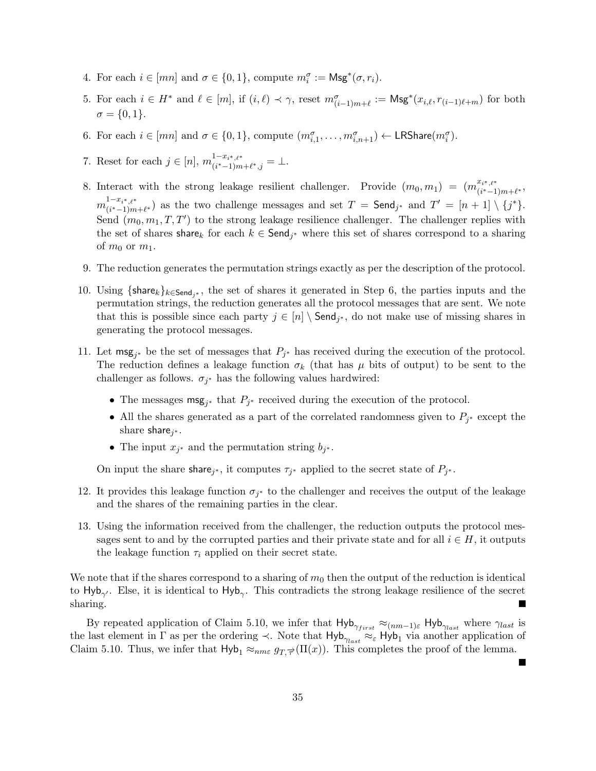- 4. For each  $i \in [mn]$  and  $\sigma \in \{0,1\}$ , compute  $m_i^{\sigma} := \mathsf{Msg}^*(\sigma, r_i)$ .
- 5. For each  $i \in H^*$  and  $\ell \in [m]$ , if  $(i, \ell) \prec \gamma$ , reset  $m_{(i-1)m+\ell}^{\sigma} := \mathsf{Msg}^*(x_{i,\ell}, r_{(i-1)\ell+m})$  for both  $\sigma = \{0, 1\}.$
- 6. For each  $i \in [mn]$  and  $\sigma \in \{0,1\}$ , compute  $(m^{\sigma}_{i,1}, \ldots, m^{\sigma}_{i,n+1}) \leftarrow \textsf{LRShare}(m^{\sigma}_{i}).$
- 7. Reset for each  $j \in [n]$ ,  $m_{(i^* 1)m}^{1 x_{i^*}, \ell^*}$  $\frac{1-x_i*,\ell^*}{(i^*-1)m+\ell^*,j} = \bot.$
- 8. Interact with the strong leakage resilient challenger. Provide  $(m_0, m_1) = (m_{(i^* 1)}^{x_{i^*}, \ell^*}$  $\overset{x_i, \ell^*}{(i^*-1)m+\ell^*},$  $m_{(i^*-1)m}^{1-x_{i^*,\ell^*}}$  $\{a^{1-x_i*,\ell^*}_{(i^*-1)m+\ell^*}\}$  as the two challenge messages and set  $T = \mathsf{Send}_{j^*}$  and  $T' = [n+1] \setminus \{j^*\}.$ Send  $(m_0, m_1, T, T')$  to the strong leakage resilience challenger. The challenger replies with the set of shares share<sub>k</sub> for each  $k \in \mathsf{Send}_{j^*}$  where this set of shares correspond to a sharing of  $m_0$  or  $m_1$ .
- 9. The reduction generates the permutation strings exactly as per the description of the protocol.
- 10. Using  $\{\text{share}_k\}_{k \in \text{Send}_{i^*}}$ , the set of shares it generated in Step 6, the parties inputs and the permutation strings, the reduction generates all the protocol messages that are sent. We note that this is possible since each party  $j \in [n] \setminus \mathsf{Send}_{j^*}$ , do not make use of missing shares in generating the protocol messages.
- 11. Let  $\text{msg}_{j^*}$  be the set of messages that  $P_{j^*}$  has received during the execution of the protocol. The reduction defines a leakage function  $\sigma_k$  (that has  $\mu$  bits of output) to be sent to the challenger as follows.  $\sigma_{j^*}$  has the following values hardwired:
	- The messages  $\text{msg}_{j^*}$  that  $P_{j^*}$  received during the execution of the protocol.
	- All the shares generated as a part of the correlated randomness given to  $P_{j^*}$  except the share share $j^*$ .
	- The input  $x_{j^*}$  and the permutation string  $b_{j^*}$ .

On input the share share<sub>j\*</sub>, it computes  $\tau_{j^*}$  applied to the secret state of  $P_{j^*}$ .

- 12. It provides this leakage function  $\sigma_{j^*}$  to the challenger and receives the output of the leakage and the shares of the remaining parties in the clear.
- 13. Using the information received from the challenger, the reduction outputs the protocol messages sent to and by the corrupted parties and their private state and for all  $i \in H$ , it outputs the leakage function  $\tau_i$  applied on their secret state.

We note that if the shares correspond to a sharing of  $m_0$  then the output of the reduction is identical to Hyb<sub>γ</sub>. Else, it is identical to Hyb<sub>γ</sub>. This contradicts the strong leakage resilience of the secret sharing. П

By repeated application of Claim [5.10,](#page-33-0) we infer that  $Hyb_{\gamma_{first}} \approx_{(nm-1)\varepsilon} Hy b_{\gamma_{last}}$  where  $\gamma_{last}$  is the last element in  $\Gamma$  as per the ordering  $\prec$ . Note that  $Hy_{\alpha_{ast}} \approx_{\varepsilon} Hy_{\alpha_1}$  via another application of Claim [5.10.](#page-33-0) Thus, we infer that  $Hy_{\mathbf{b}_1} \approx_{nm\varepsilon} g_{T,\vec{\tau}}(\Pi(x))$ . This completes the proof of the lemma.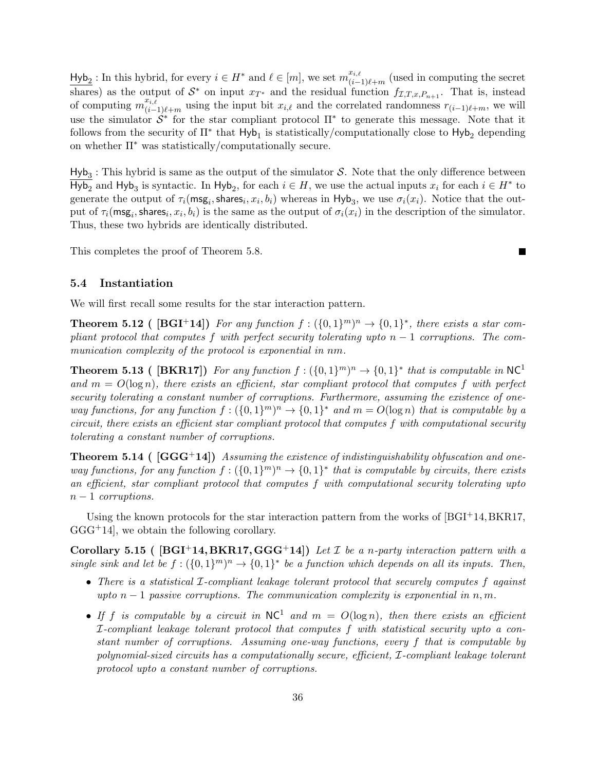$\mathsf{Hyb}_2$ : In this hybrid, for every  $i \in H^*$  and  $\ell \in [m]$ , we set  $m_{(i-1)}^{x_{i,\ell}}$  $\binom{x_i,\ell}{(i-1)\ell+m}$  (used in computing the secret shares) as the output of  $S^*$  on input  $x_{T^*}$  and the residual function  $f_{\mathcal{I},T,x,P_{n+1}}$ . That is, instead of computing  $m_{ij}^{x_{i},\ell}$  $x_{i,\ell}^{x_{i,\ell}}$  using the input bit  $x_{i,\ell}$  and the correlated randomness  $r_{(i-1)\ell+m}$ , we will use the simulator  $S^*$  for the star compliant protocol  $\Pi^*$  to generate this message. Note that it follows from the security of  $\Pi^*$  that  $\mathsf{Hyb}_1$  is statistically/computationally close to  $\mathsf{Hyb}_2$  depending on whether  $\Pi^*$  was statistically/computationally secure.

 $Hyb_3:$  This hybrid is same as the output of the simulator S. Note that the only difference between  $\overline{\text{Hyb}_2}$  and  $\text{Hyb}_3$  is syntactic. In  $\text{Hyb}_2$ , for each  $i \in H$ , we use the actual inputs  $x_i$  for each  $i \in H^*$  to generate the output of  $\tau_i(\mathsf{msg}_i,\mathsf{shares}_i,x_i,b_i)$  whereas in  $\mathsf{Hyb}_3$ , we use  $\sigma_i(x_i)$ . Notice that the output of  $\tau_i(\mathsf{msg}_i,\mathsf{shares}_i,x_i,b_i)$  is the same as the output of  $\sigma_i(x_i)$  in the description of the simulator. Thus, these two hybrids are identically distributed.

This completes the proof of Theorem [5.8.](#page-30-0)

#### <span id="page-35-0"></span>5.4 Instantiation

We will first recall some results for the star interaction pattern.

**Theorem 5.12 (** [\[BGI](#page-37-6)<sup>+</sup>14]) For any function  $f: (\{0,1\}^m)^n \rightarrow \{0,1\}^*$ , there exists a star compliant protocol that computes f with perfect security tolerating upto  $n-1$  corruptions. The communication complexity of the protocol is exponential in nm.

**Theorem 5.13 (** [\[BKR17\]](#page-37-7)) For any function  $f: (\{0,1\}^m)^n \rightarrow \{0,1\}^*$  that is computable in NC<sup>1</sup> and  $m = O(\log n)$ , there exists an efficient, star compliant protocol that computes f with perfect security tolerating a constant number of corruptions. Furthermore, assuming the existence of oneway functions, for any function  $f: (\{0,1\}^m)^n \to \{0,1\}^*$  and  $m = O(\log n)$  that is computable by a circuit, there exists an efficient star compliant protocol that computes f with computational security tolerating a constant number of corruptions.

**Theorem 5.14 (**  $[\text{GGG+14}]$ ) Assuming the existence of indistinguishability obfuscation and oneway functions, for any function  $f: (\{0,1\}^m)^n \to \{0,1\}^*$  that is computable by circuits, there exists an efficient, star compliant protocol that computes f with computational security tolerating upto  $n-1$  corruptions.

Using the known protocols for the star interaction pattern from the works of  $[BGI^+14, BKR17,$  $[BGI^+14, BKR17,$ [GGG](#page-38-4)+14], we obtain the following corollary.

Corollary 5.15 (  $[BGI^+14, BKR17, GGG^+14]$  $[BGI^+14, BKR17, GGG^+14]$  $[BGI^+14, BKR17, GGG^+14]$  $[BGI^+14, BKR17, GGG^+14]$  $[BGI^+14, BKR17, GGG^+14]$  $[BGI^+14, BKR17, GGG^+14]$ ) Let I be a n-party interaction pattern with a single sink and let be  $f: (\{0,1\}^m)^n \to \{0,1\}^*$  be a function which depends on all its inputs. Then,

- There is a statistical *I*-compliant leakage tolerant protocol that securely computes f against upto  $n-1$  passive corruptions. The communication complexity is exponential in  $n, m$ .
- If f is computable by a circuit in  $NC^1$  and  $m = O(\log n)$ , then there exists an efficient I-compliant leakage tolerant protocol that computes f with statistical security upto a constant number of corruptions. Assuming one-way functions, every f that is computable by polynomial-sized circuits has a computationally secure, efficient, I-compliant leakage tolerant protocol upto a constant number of corruptions.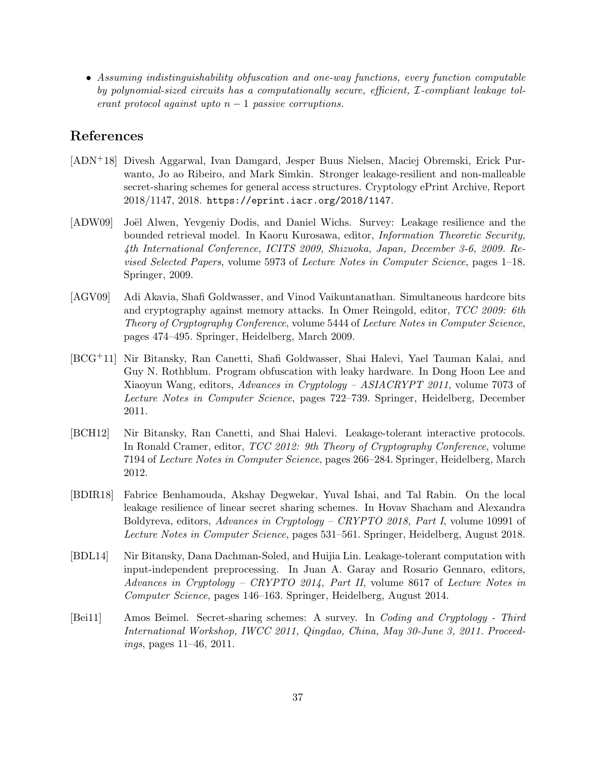• Assuming indistinguishability obfuscation and one-way functions, every function computable by polynomial-sized circuits has a computationally secure, efficient, I-compliant leakage tolerant protocol against upto  $n - 1$  passive corruptions.

### References

- <span id="page-36-3"></span>[ADN+18] Divesh Aggarwal, Ivan Damgard, Jesper Buus Nielsen, Maciej Obremski, Erick Purwanto, Jo ao Ribeiro, and Mark Simkin. Stronger leakage-resilient and non-malleable secret-sharing schemes for general access structures. Cryptology ePrint Archive, Report 2018/1147, 2018. <https://eprint.iacr.org/2018/1147>.
- <span id="page-36-4"></span>[ADW09] Joël Alwen, Yevgeniy Dodis, and Daniel Wichs. Survey: Leakage resilience and the bounded retrieval model. In Kaoru Kurosawa, editor, Information Theoretic Security, 4th International Conference, ICITS 2009, Shizuoka, Japan, December 3-6, 2009. Revised Selected Papers, volume 5973 of Lecture Notes in Computer Science, pages 1–18. Springer, 2009.
- <span id="page-36-0"></span>[AGV09] Adi Akavia, Shafi Goldwasser, and Vinod Vaikuntanathan. Simultaneous hardcore bits and cryptography against memory attacks. In Omer Reingold, editor, TCC 2009: 6th Theory of Cryptography Conference, volume 5444 of Lecture Notes in Computer Science, pages 474–495. Springer, Heidelberg, March 2009.
- <span id="page-36-5"></span>[BCG+11] Nir Bitansky, Ran Canetti, Shafi Goldwasser, Shai Halevi, Yael Tauman Kalai, and Guy N. Rothblum. Program obfuscation with leaky hardware. In Dong Hoon Lee and Xiaoyun Wang, editors, Advances in Cryptology – ASIACRYPT 2011, volume 7073 of Lecture Notes in Computer Science, pages 722–739. Springer, Heidelberg, December 2011.
- <span id="page-36-2"></span>[BCH12] Nir Bitansky, Ran Canetti, and Shai Halevi. Leakage-tolerant interactive protocols. In Ronald Cramer, editor, TCC 2012: 9th Theory of Cryptography Conference, volume 7194 of Lecture Notes in Computer Science, pages 266–284. Springer, Heidelberg, March 2012.
- <span id="page-36-1"></span>[BDIR18] Fabrice Benhamouda, Akshay Degwekar, Yuval Ishai, and Tal Rabin. On the local leakage resilience of linear secret sharing schemes. In Hovav Shacham and Alexandra Boldyreva, editors, Advances in Cryptology – CRYPTO 2018, Part I, volume 10991 of Lecture Notes in Computer Science, pages 531–561. Springer, Heidelberg, August 2018.
- <span id="page-36-6"></span>[BDL14] Nir Bitansky, Dana Dachman-Soled, and Huijia Lin. Leakage-tolerant computation with input-independent preprocessing. In Juan A. Garay and Rosario Gennaro, editors, Advances in Cryptology – CRYPTO 2014, Part II, volume 8617 of Lecture Notes in Computer Science, pages 146–163. Springer, Heidelberg, August 2014.
- <span id="page-36-7"></span>[Bei11] Amos Beimel. Secret-sharing schemes: A survey. In Coding and Cryptology - Third International Workshop, IWCC 2011, Qingdao, China, May 30-June 3, 2011. Proceedings, pages 11–46, 2011.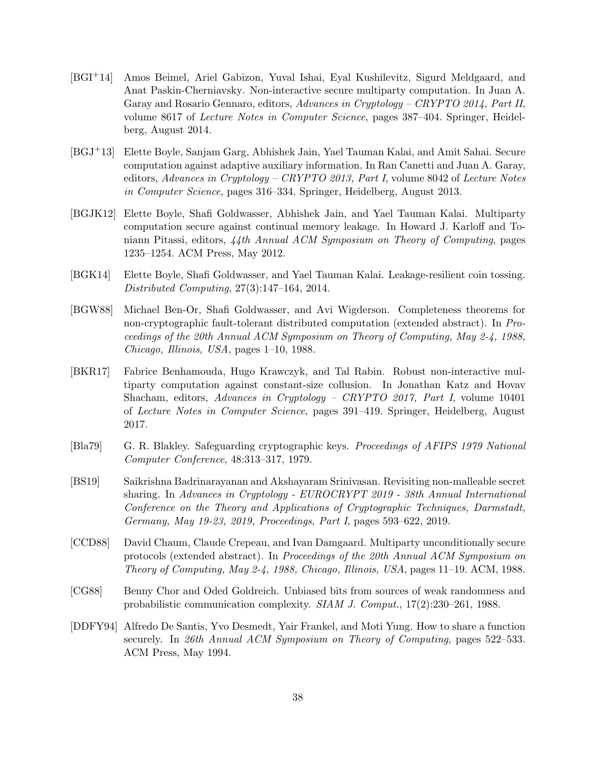- <span id="page-37-6"></span>[BGI+14] Amos Beimel, Ariel Gabizon, Yuval Ishai, Eyal Kushilevitz, Sigurd Meldgaard, and Anat Paskin-Cherniavsky. Non-interactive secure multiparty computation. In Juan A. Garay and Rosario Gennaro, editors, Advances in Cryptology – CRYPTO 2014, Part II, volume 8617 of Lecture Notes in Computer Science, pages 387–404. Springer, Heidelberg, August 2014.
- <span id="page-37-10"></span>[BGJ+13] Elette Boyle, Sanjam Garg, Abhishek Jain, Yael Tauman Kalai, and Amit Sahai. Secure computation against adaptive auxiliary information. In Ran Canetti and Juan A. Garay, editors, Advances in Cryptology – CRYPTO 2013, Part I, volume 8042 of Lecture Notes in Computer Science, pages 316–334. Springer, Heidelberg, August 2013.
- <span id="page-37-9"></span>[BGJK12] Elette Boyle, Shafi Goldwasser, Abhishek Jain, and Yael Tauman Kalai. Multiparty computation secure against continual memory leakage. In Howard J. Karloff and Toniann Pitassi, editors, 44th Annual ACM Symposium on Theory of Computing, pages 1235–1254. ACM Press, May 2012.
- <span id="page-37-8"></span>[BGK14] Elette Boyle, Shafi Goldwasser, and Yael Tauman Kalai. Leakage-resilient coin tossing. Distributed Computing, 27(3):147–164, 2014.
- <span id="page-37-1"></span>[BGW88] Michael Ben-Or, Shafi Goldwasser, and Avi Wigderson. Completeness theorems for non-cryptographic fault-tolerant distributed computation (extended abstract). In Proceedings of the 20th Annual ACM Symposium on Theory of Computing, May 2-4, 1988, Chicago, Illinois, USA, pages 1–10, 1988.
- <span id="page-37-7"></span>[BKR17] Fabrice Benhamouda, Hugo Krawczyk, and Tal Rabin. Robust non-interactive multiparty computation against constant-size collusion. In Jonathan Katz and Hovav Shacham, editors, Advances in Cryptology – CRYPTO 2017, Part I, volume 10401 of Lecture Notes in Computer Science, pages 391–419. Springer, Heidelberg, August 2017.
- <span id="page-37-0"></span>[Bla79] G. R. Blakley. Safeguarding cryptographic keys. Proceedings of AFIPS 1979 National Computer Conference, 48:313–317, 1979.
- <span id="page-37-4"></span>[BS19] Saikrishna Badrinarayanan and Akshayaram Srinivasan. Revisiting non-malleable secret sharing. In Advances in Cryptology - EUROCRYPT 2019 - 38th Annual International Conference on the Theory and Applications of Cryptographic Techniques, Darmstadt, Germany, May 19-23, 2019, Proceedings, Part I, pages 593–622, 2019.
- <span id="page-37-2"></span>[CCD88] David Chaum, Claude Crepeau, and Ivan Damgaard. Multiparty unconditionally secure protocols (extended abstract). In Proceedings of the 20th Annual ACM Symposium on Theory of Computing, May 2-4, 1988, Chicago, Illinois, USA, pages 11–19. ACM, 1988.
- <span id="page-37-5"></span>[CG88] Benny Chor and Oded Goldreich. Unbiased bits from sources of weak randomness and probabilistic communication complexity. SIAM J. Comput., 17(2):230–261, 1988.
- <span id="page-37-3"></span>[DDFY94] Alfredo De Santis, Yvo Desmedt, Yair Frankel, and Moti Yung. How to share a function securely. In 26th Annual ACM Symposium on Theory of Computing, pages 522–533. ACM Press, May 1994.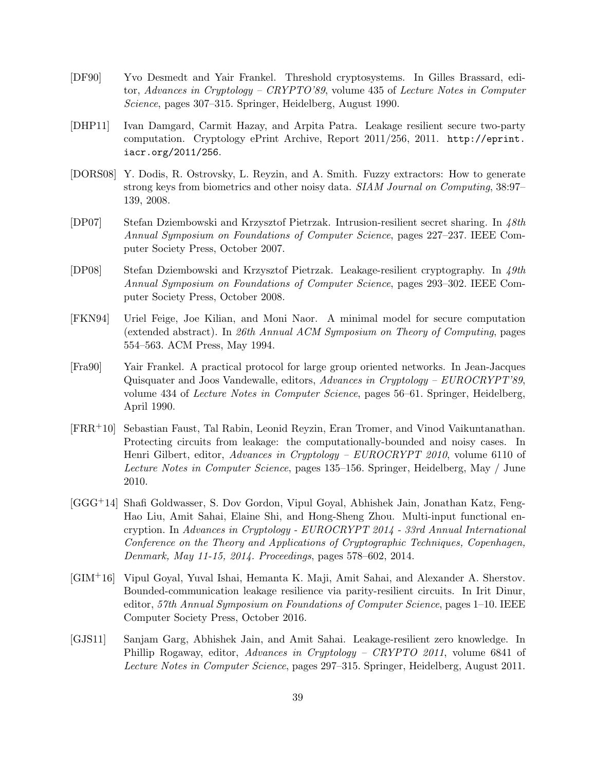- <span id="page-38-0"></span>[DF90] Yvo Desmedt and Yair Frankel. Threshold cryptosystems. In Gilles Brassard, editor, Advances in Cryptology – CRYPTO'89, volume 435 of Lecture Notes in Computer Science, pages 307–315. Springer, Heidelberg, August 1990.
- <span id="page-38-9"></span>[DHP11] Ivan Damgard, Carmit Hazay, and Arpita Patra. Leakage resilient secure two-party computation. Cryptology ePrint Archive, Report 2011/256, 2011. [http://eprint.](http://eprint.iacr.org/2011/256) [iacr.org/2011/256](http://eprint.iacr.org/2011/256).
- <span id="page-38-10"></span>[DORS08] Y. Dodis, R. Ostrovsky, L. Reyzin, and A. Smith. Fuzzy extractors: How to generate strong keys from biometrics and other noisy data. SIAM Journal on Computing, 38:97– 139, 2008.
- <span id="page-38-7"></span>[DP07] Stefan Dziembowski and Krzysztof Pietrzak. Intrusion-resilient secret sharing. In 48th Annual Symposium on Foundations of Computer Science, pages 227–237. IEEE Computer Society Press, October 2007.
- <span id="page-38-3"></span>[DP08] Stefan Dziembowski and Krzysztof Pietrzak. Leakage-resilient cryptography. In 49th Annual Symposium on Foundations of Computer Science, pages 293–302. IEEE Computer Society Press, October 2008.
- <span id="page-38-5"></span>[FKN94] Uriel Feige, Joe Kilian, and Moni Naor. A minimal model for secure computation (extended abstract). In 26th Annual ACM Symposium on Theory of Computing, pages 554–563. ACM Press, May 1994.
- <span id="page-38-1"></span>[Fra90] Yair Frankel. A practical protocol for large group oriented networks. In Jean-Jacques Quisquater and Joos Vandewalle, editors, Advances in Cryptology – EUROCRYPT'89, volume 434 of Lecture Notes in Computer Science, pages 56–61. Springer, Heidelberg, April 1990.
- <span id="page-38-2"></span>[FRR+10] Sebastian Faust, Tal Rabin, Leonid Reyzin, Eran Tromer, and Vinod Vaikuntanathan. Protecting circuits from leakage: the computationally-bounded and noisy cases. In Henri Gilbert, editor, Advances in Cryptology – EUROCRYPT 2010, volume 6110 of Lecture Notes in Computer Science, pages 135–156. Springer, Heidelberg, May / June 2010.
- <span id="page-38-4"></span>[GGG+14] Shafi Goldwasser, S. Dov Gordon, Vipul Goyal, Abhishek Jain, Jonathan Katz, Feng-Hao Liu, Amit Sahai, Elaine Shi, and Hong-Sheng Zhou. Multi-input functional encryption. In Advances in Cryptology - EUROCRYPT 2014 - 33rd Annual International Conference on the Theory and Applications of Cryptographic Techniques, Copenhagen, Denmark, May 11-15, 2014. Proceedings, pages 578–602, 2014.
- <span id="page-38-8"></span>[GIM+16] Vipul Goyal, Yuval Ishai, Hemanta K. Maji, Amit Sahai, and Alexander A. Sherstov. Bounded-communication leakage resilience via parity-resilient circuits. In Irit Dinur, editor, 57th Annual Symposium on Foundations of Computer Science, pages 1–10. IEEE Computer Society Press, October 2016.
- <span id="page-38-6"></span>[GJS11] Sanjam Garg, Abhishek Jain, and Amit Sahai. Leakage-resilient zero knowledge. In Phillip Rogaway, editor, Advances in Cryptology – CRYPTO 2011, volume 6841 of Lecture Notes in Computer Science, pages 297–315. Springer, Heidelberg, August 2011.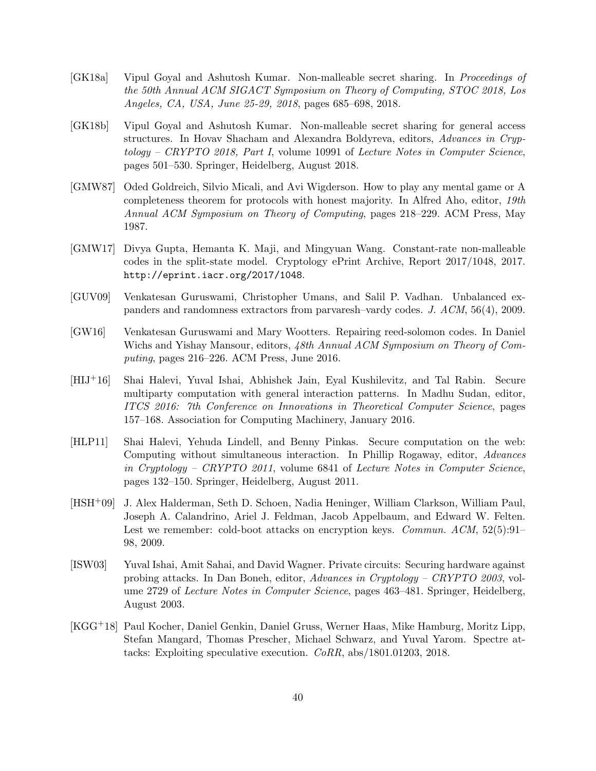- <span id="page-39-3"></span>[GK18a] Vipul Goyal and Ashutosh Kumar. Non-malleable secret sharing. In Proceedings of the 50th Annual ACM SIGACT Symposium on Theory of Computing, STOC 2018, Los Angeles, CA, USA, June 25-29, 2018, pages 685–698, 2018.
- <span id="page-39-5"></span>[GK18b] Vipul Goyal and Ashutosh Kumar. Non-malleable secret sharing for general access structures. In Hovav Shacham and Alexandra Boldyreva, editors, Advances in Cryptology – CRYPTO 2018, Part I, volume 10991 of Lecture Notes in Computer Science, pages 501–530. Springer, Heidelberg, August 2018.
- <span id="page-39-0"></span>[GMW87] Oded Goldreich, Silvio Micali, and Avi Wigderson. How to play any mental game or A completeness theorem for protocols with honest majority. In Alfred Aho, editor, 19th Annual ACM Symposium on Theory of Computing, pages 218–229. ACM Press, May 1987.
- <span id="page-39-10"></span>[GMW17] Divya Gupta, Hemanta K. Maji, and Mingyuan Wang. Constant-rate non-malleable codes in the split-state model. Cryptology ePrint Archive, Report 2017/1048, 2017. <http://eprint.iacr.org/2017/1048>.
- <span id="page-39-9"></span>[GUV09] Venkatesan Guruswami, Christopher Umans, and Salil P. Vadhan. Unbalanced expanders and randomness extractors from parvaresh–vardy codes. J. ACM, 56(4), 2009.
- <span id="page-39-8"></span>[GW16] Venkatesan Guruswami and Mary Wootters. Repairing reed-solomon codes. In Daniel Wichs and Yishay Mansour, editors, 48th Annual ACM Symposium on Theory of Computing, pages 216–226. ACM Press, June 2016.
- <span id="page-39-6"></span>[HIJ+16] Shai Halevi, Yuval Ishai, Abhishek Jain, Eyal Kushilevitz, and Tal Rabin. Secure multiparty computation with general interaction patterns. In Madhu Sudan, editor, ITCS 2016: 7th Conference on Innovations in Theoretical Computer Science, pages 157–168. Association for Computing Machinery, January 2016.
- <span id="page-39-7"></span>[HLP11] Shai Halevi, Yehuda Lindell, and Benny Pinkas. Secure computation on the web: Computing without simultaneous interaction. In Phillip Rogaway, editor, Advances in Cryptology – CRYPTO 2011, volume 6841 of Lecture Notes in Computer Science, pages 132–150. Springer, Heidelberg, August 2011.
- <span id="page-39-4"></span>[HSH+09] J. Alex Halderman, Seth D. Schoen, Nadia Heninger, William Clarkson, William Paul, Joseph A. Calandrino, Ariel J. Feldman, Jacob Appelbaum, and Edward W. Felten. Lest we remember: cold-boot attacks on encryption keys. *Commun. ACM*, 52(5):91– 98, 2009.
- <span id="page-39-1"></span>[ISW03] Yuval Ishai, Amit Sahai, and David Wagner. Private circuits: Securing hardware against probing attacks. In Dan Boneh, editor, Advances in Cryptology – CRYPTO 2003, volume 2729 of Lecture Notes in Computer Science, pages 463–481. Springer, Heidelberg, August 2003.
- <span id="page-39-2"></span>[KGG+18] Paul Kocher, Daniel Genkin, Daniel Gruss, Werner Haas, Mike Hamburg, Moritz Lipp, Stefan Mangard, Thomas Prescher, Michael Schwarz, and Yuval Yarom. Spectre attacks: Exploiting speculative execution. CoRR, abs/1801.01203, 2018.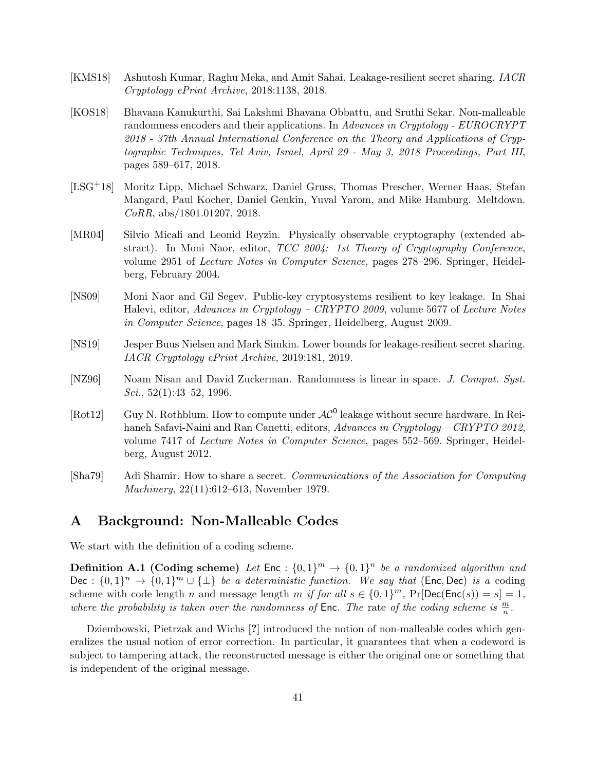- <span id="page-40-6"></span>[KMS18] Ashutosh Kumar, Raghu Meka, and Amit Sahai. Leakage-resilient secret sharing. IACR Cryptology ePrint Archive, 2018:1138, 2018.
- <span id="page-40-9"></span>[KOS18] Bhavana Kanukurthi, Sai Lakshmi Bhavana Obbattu, and Sruthi Sekar. Non-malleable randomness encoders and their applications. In Advances in Cryptology - EUROCRYPT 2018 - 37th Annual International Conference on the Theory and Applications of Cryptographic Techniques, Tel Aviv, Israel, April 29 - May 3, 2018 Proceedings, Part III, pages 589–617, 2018.
- <span id="page-40-3"></span>[LSG+18] Moritz Lipp, Michael Schwarz, Daniel Gruss, Thomas Prescher, Werner Haas, Stefan Mangard, Paul Kocher, Daniel Genkin, Yuval Yarom, and Mike Hamburg. Meltdown. CoRR, abs/1801.01207, 2018.
- <span id="page-40-4"></span>[MR04] Silvio Micali and Leonid Reyzin. Physically observable cryptography (extended abstract). In Moni Naor, editor, TCC 2004: 1st Theory of Cryptography Conference, volume 2951 of Lecture Notes in Computer Science, pages 278–296. Springer, Heidelberg, February 2004.
- <span id="page-40-5"></span>[NS09] Moni Naor and Gil Segev. Public-key cryptosystems resilient to key leakage. In Shai Halevi, editor, Advances in Cryptology – CRYPTO 2009, volume 5677 of Lecture Notes in Computer Science, pages 18–35. Springer, Heidelberg, August 2009.
- <span id="page-40-7"></span>[NS19] Jesper Buus Nielsen and Mark Simkin. Lower bounds for leakage-resilient secret sharing. IACR Cryptology ePrint Archive, 2019:181, 2019.
- <span id="page-40-8"></span>[NZ96] Noam Nisan and David Zuckerman. Randomness is linear in space. J. Comput. Syst.  $Sci., 52(1):43-52, 1996.$
- <span id="page-40-2"></span>[Rot12] Guy N. Rothblum. How to compute under  $AC^0$  leakage without secure hardware. In Reihaneh Safavi-Naini and Ran Canetti, editors, Advances in Cryptology – CRYPTO 2012, volume 7417 of Lecture Notes in Computer Science, pages 552–569. Springer, Heidelberg, August 2012.
- <span id="page-40-1"></span>[Sha79] Adi Shamir. How to share a secret. Communications of the Association for Computing Machinery, 22(11):612–613, November 1979.

### <span id="page-40-0"></span>A Background: Non-Malleable Codes

We start with the definition of a coding scheme.

**Definition A.1 (Coding scheme)** Let  $\text{Enc} : \{0,1\}^m \rightarrow \{0,1\}^n$  be a randomized algorithm and Dec :  $\{0,1\}^n \to \{0,1\}^m \cup \{\perp\}$  be a deterministic function. We say that (Enc, Dec) is a coding scheme with code length n and message length m if for all  $s \in \{0,1\}^m$ ,  $Pr[Dec(Enc(s)) = s] = 1$ , where the probability is taken over the randomness of Enc. The rate of the coding scheme is  $\frac{m}{n}$ .

Dziembowski, Pietrzak and Wichs [?] introduced the notion of non-malleable codes which generalizes the usual notion of error correction. In particular, it guarantees that when a codeword is subject to tampering attack, the reconstructed message is either the original one or something that is independent of the original message.